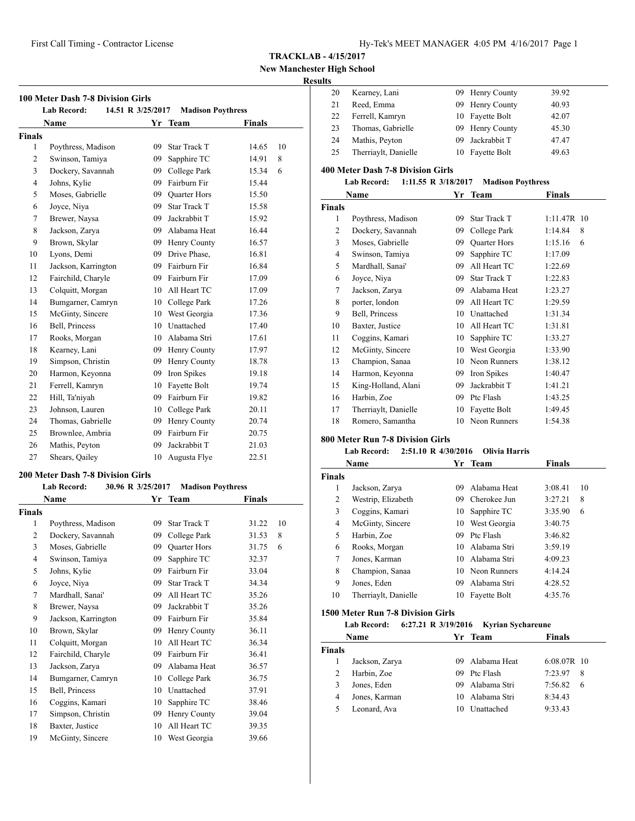**New Manchester High School**

## **Results**

| . . |                      |                 |       |
|-----|----------------------|-----------------|-------|
| 20  | Kearney, Lani        | 09 Henry County | 39.92 |
| 21  | Reed, Emma           | 09 Henry County | 40.93 |
| 22  | Ferrell, Kamryn      | 10 Fayette Bolt | 42.07 |
| 23  | Thomas, Gabrielle    | 09 Henry County | 45.30 |
| 24  | Mathis, Peyton       | 09 Jackrabbit T | 47.47 |
| 25  | Therriaylt, Danielle | 10 Fayette Bolt | 49.63 |
|     |                      |                 |       |

#### **400 Meter Dash 7-8 Division Girls**

| <b>Lab Record:</b> | 1:11.55 R $3/18/2017$ | <b>Madison Poythress</b> |
|--------------------|-----------------------|--------------------------|
|--------------------|-----------------------|--------------------------|

|                | Name                 |    | Yr Team             | Finals        |
|----------------|----------------------|----|---------------------|---------------|
| <b>Finals</b>  |                      |    |                     |               |
| 1              | Poythress, Madison   | 09 | Star Track T        | $1:11.47R$ 10 |
| $\overline{c}$ | Dockery, Savannah    | 09 | College Park        | 1:14.84<br>8  |
| 3              | Moses, Gabrielle     | 09 | <b>Quarter Hors</b> | 1:15.16<br>6  |
| $\overline{4}$ | Swinson, Tamiya      | 09 | Sapphire TC         | 1:17.09       |
| 5              | Mardhall, Sanai'     | 09 | All Heart TC        | 1:22.69       |
| 6              | Joyce, Niya          | 09 | <b>Star Track T</b> | 1:22.83       |
| 7              | Jackson, Zarya       | 09 | Alabama Heat        | 1:23.27       |
| 8              | porter, london       | 09 | All Heart TC        | 1:29.59       |
| 9              | Bell, Princess       | 10 | Unattached          | 1:31.34       |
| 10             | Baxter, Justice      | 10 | All Heart TC        | 1:31.81       |
| 11             | Coggins, Kamari      | 10 | Sapphire TC         | 1:33.27       |
| 12             | McGinty, Sincere     | 10 | West Georgia        | 1:33.90       |
| 13             | Champion, Sanaa      | 10 | Neon Runners        | 1:38.12       |
| 14             | Harmon, Keyonna      | 09 | Iron Spikes         | 1:40.47       |
| 15             | King-Holland, Alani  | 09 | Jackrabbit T        | 1:41.21       |
| 16             | Harbin, Zoe          | 09 | Ptc Flash           | 1:43.25       |
| 17             | Therriaylt, Danielle | 10 | Fayette Bolt        | 1:49.45       |
| 18             | Romero, Samantha     | 10 | Neon Runners        | 1:54.38       |

## **800 Meter Run 7-8 Division Girls**

# **Lab Record: 2:51.10 R 4/30/2016 Olivia Harris**

|               | Name                 |     | Team            | <b>Finals</b> |  |
|---------------|----------------------|-----|-----------------|---------------|--|
| <b>Finals</b> |                      |     |                 |               |  |
| 1             | Jackson, Zarya       | 09  | Alabama Heat    | 3:08.41<br>10 |  |
| 2             | Westrip, Elizabeth   | 09  | Cherokee Jun    | 3:27.21<br>8  |  |
| 3             | Coggins, Kamari      |     | 10 Sapphire TC  | 3:35.90<br>6  |  |
| 4             | McGinty, Sincere     | 10  | West Georgia    | 3:40.75       |  |
| 5             | Harbin, Zoe          | 09  | Ptc Flash       | 3:46.82       |  |
| 6             | Rooks, Morgan        | 10  | Alabama Stri    | 3:59.19       |  |
| 7             | Jones, Karman        | 10. | Alabama Stri    | 4:09.23       |  |
| 8             | Champion, Sanaa      |     | 10 Neon Runners | 4:14.24       |  |
| 9             | Jones, Eden          | 09  | Alabama Stri    | 4:28.52       |  |
| 10            | Therriaylt, Danielle | 10  | Fayette Bolt    | 4:35.76       |  |

## **1500 Meter Run 7-8 Division Girls**

#### **Lab Record: 6:27.21 R 3/19/2016 Kyrian Sychareune**

|               | <b>Name</b>    |     | Yr Team      | <b>Finals</b>  |
|---------------|----------------|-----|--------------|----------------|
| <b>Finals</b> |                |     |              |                |
|               | Jackson, Zarya |     | Alabama Heat | $6:08.07R$ 10  |
| 2             | Harbin, Zoe    | 09. | Ptc Flash    | 7:23.97<br>8   |
| 3             | Jones, Eden    | 09  | Alabama Stri | 7:56.82<br>- 6 |
| 4             | Jones, Karman  | 10  | Alabama Stri | 8:34.43        |
| 5             | Leonard, Ava   | 10  | Unattached   | 9:33.43        |

|                | <b>Lab Record:</b>  | 14.51 R 3/25/2017 | <b>Madison Poythress</b> |               |    |
|----------------|---------------------|-------------------|--------------------------|---------------|----|
|                | Name                |                   | Yr Team                  | <b>Finals</b> |    |
| <b>Finals</b>  |                     |                   |                          |               |    |
| 1              | Poythress, Madison  | 09                | <b>Star Track T</b>      | 14.65         | 10 |
| $\overline{2}$ | Swinson, Tamiya     | 09                | Sapphire TC              | 14.91         | 8  |
| 3              | Dockery, Savannah   | 09                | College Park             | 15.34         | 6  |
| $\overline{4}$ | Johns, Kylie        | 09                | Fairburn Fir             | 15.44         |    |
| 5              | Moses, Gabrielle    | 09                | Quarter Hors             | 15.50         |    |
| 6              | Joyce, Niya         | 09                | <b>Star Track T</b>      | 15.58         |    |
| 7              | Brewer, Naysa       | 09                | Jackrabbit T             | 15.92         |    |
| 8              | Jackson, Zarya      | 09                | Alabama Heat             | 16.44         |    |
| 9              | Brown, Skylar       | 09                | Henry County             | 16.57         |    |
| 10             | Lyons, Demi         | 09                | Drive Phase,             | 16.81         |    |
| 11             | Jackson, Karrington | 09                | Fairburn Fir             | 16.84         |    |
| 12             | Fairchild, Charyle  | 09                | Fairburn Fir             | 17.09         |    |
| 13             | Colquitt, Morgan    | 10                | All Heart TC             | 17.09         |    |
| 14             | Bumgarner, Camryn   | 10                | College Park             | 17.26         |    |
| 15             | McGinty, Sincere    | 10                | West Georgia             | 17.36         |    |
| 16             | Bell, Princess      | 10                | Unattached               | 17.40         |    |
| 17             | Rooks, Morgan       | 10                | Alabama Stri             | 17.61         |    |
| 18             | Kearney, Lani       | 09                | Henry County             | 17.97         |    |
| 19             | Simpson, Christin   | 09                | Henry County             | 18.78         |    |
| 20             | Harmon, Keyonna     | 09                | Iron Spikes              | 19.18         |    |
| 21             | Ferrell, Kamryn     | 10                | Fayette Bolt             | 19.74         |    |
| 22             | Hill, Ta'niyah      | 09                | Fairburn Fir             | 19.82         |    |
| 23             | Johnson, Lauren     | 10                | College Park             | 20.11         |    |
| 24             | Thomas, Gabrielle   | 09                | Henry County             | 20.74         |    |
| 25             | Brownlee, Ambria    | 09                | Fairburn Fir             | 20.75         |    |
| 26             | Mathis, Peyton      | 09                | Jackrabbit T             | 21.03         |    |
| 27             | Shears, Qailey      | 10                | Augusta Flye             | 22.51         |    |

# **200 Meter Dash 7-8 Division Girls**

| <b>Lab Record:</b>  |    |                     |                              |                          |
|---------------------|----|---------------------|------------------------------|--------------------------|
| Name                |    |                     | Finals                       |                          |
| Finals              |    |                     |                              |                          |
| Poythress, Madison  | 09 | <b>Star Track T</b> | 31.22                        | 10                       |
| Dockery, Savannah   | 09 | College Park        | 31.53                        | 8                        |
| Moses, Gabrielle    | 09 | <b>Quarter Hors</b> | 31.75                        | 6                        |
| Swinson, Tamiya     | 09 | Sapphire TC         | 32.37                        |                          |
| Johns, Kylie        | 09 | Fairburn Fir        | 33.04                        |                          |
| Joyce, Niya         | 09 | <b>Star Track T</b> | 34.34                        |                          |
| Mardhall, Sanai'    | 09 | All Heart TC        | 35.26                        |                          |
| Brewer, Naysa       | 09 | Jackrabbit T        | 35.26                        |                          |
| Jackson, Karrington | 09 | Fairburn Fir        | 35.84                        |                          |
| Brown, Skylar       | 09 | Henry County        | 36.11                        |                          |
| Colquitt, Morgan    | 10 | All Heart TC        | 36.34                        |                          |
| Fairchild, Charyle  | 09 | Fairburn Fir        | 36.41                        |                          |
| Jackson, Zarya      | 09 | Alabama Heat        | 36.57                        |                          |
| Bumgarner, Camryn   | 10 | College Park        | 36.75                        |                          |
| Bell, Princess      | 10 | Unattached          | 37.91                        |                          |
| Coggins, Kamari     | 10 | Sapphire TC         | 38.46                        |                          |
| Simpson, Christin   | 09 | Henry County        | 39.04                        |                          |
| Baxter, Justice     | 10 | All Heart TC        | 39.35                        |                          |
| McGinty, Sincere    | 10 | West Georgia        | 39.66                        |                          |
|                     |    |                     | 30.96 R 3/25/2017<br>Yr Team | <b>Madison Poythress</b> |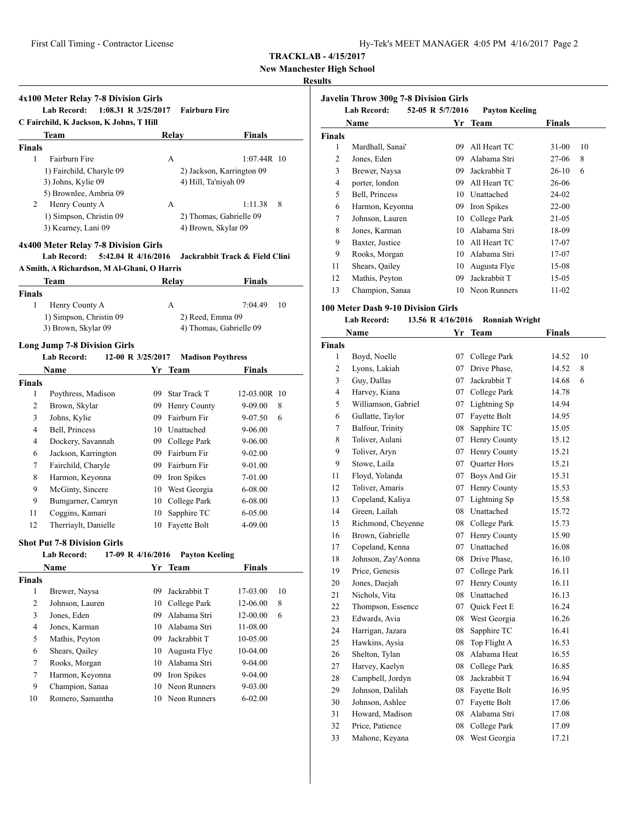**New Manchester High School**

# **Results**

|               | 4x100 Meter Relay 7-8 Division Girls                                           |    |                           |                                |    |
|---------------|--------------------------------------------------------------------------------|----|---------------------------|--------------------------------|----|
|               | <b>Lab Record:</b><br>$1:08.31$ R $3/25/2017$                                  |    | <b>Fairburn Fire</b>      |                                |    |
|               | C Fairchild, K Jackson, K Johns, T Hill                                        |    |                           |                                |    |
|               | Team                                                                           |    | Relay                     | Finals                         |    |
| <b>Finals</b> |                                                                                |    |                           |                                |    |
| 1             | Fairburn Fire                                                                  |    | А                         | $1:07.44R$ 10                  |    |
|               | 1) Fairchild, Charyle 09                                                       |    | 2) Jackson, Karrington 09 |                                |    |
|               | 3) Johns, Kylie 09                                                             |    | 4) Hill, Ta'niyah 09      |                                |    |
|               | 5) Brownlee, Ambria 09                                                         |    |                           |                                |    |
| 2             | Henry County A                                                                 |    | A                         | 1:11.38                        | 8  |
|               | 1) Simpson, Christin 09                                                        |    | 2) Thomas, Gabrielle 09   |                                |    |
|               | 3) Kearney, Lani 09                                                            |    | 4) Brown, Skylar 09       |                                |    |
|               | 4x400 Meter Relay 7-8 Division Girls                                           |    |                           |                                |    |
|               | Lab Record:<br>5:42.04 R 4/16/2016                                             |    |                           | Jackrabbit Track & Field Clini |    |
|               | A Smith, A Richardson, M Al-Ghani, O Harris                                    |    |                           |                                |    |
|               | Team                                                                           |    | Relay                     | Finals                         |    |
| <b>Finals</b> |                                                                                |    |                           |                                |    |
| 1             | Henry County A                                                                 |    | A                         | 7:04.49                        | 10 |
|               | 1) Simpson, Christin 09                                                        |    | 2) Reed, Emma 09          |                                |    |
|               | 3) Brown, Skylar 09                                                            |    | 4) Thomas, Gabrielle 09   |                                |    |
|               |                                                                                |    |                           |                                |    |
|               | <b>Long Jump 7-8 Division Girls</b><br>12-00 R 3/25/2017<br><b>Lab Record:</b> |    | <b>Madison Poythress</b>  |                                |    |
|               | Name                                                                           | Yr | Team                      |                                |    |
|               |                                                                                |    |                           | Finals                         |    |
| <b>Finals</b> |                                                                                |    |                           |                                |    |
| 1             | Poythress, Madison                                                             |    | 09 Star Track T           | 12-03.00R 10                   |    |
| 2             | Brown, Skylar                                                                  |    | 09 Henry County           | 9-09.00                        | 8  |
| 3             | Johns, Kylie                                                                   |    | 09 Fairburn Fir           | 9-07.50                        | 6  |
| 4             | Bell, Princess                                                                 |    | 10 Unattached             | 9-06.00                        |    |
| 4             | Dockery, Savannah                                                              |    | 09 College Park           | 9-06.00                        |    |
| 6             | Jackson, Karrington                                                            |    | 09 Fairburn Fir           | 9-02.00                        |    |
| 7             | Fairchild, Charyle                                                             |    | 09 Fairburn Fir           | 9-01.00                        |    |
| 8             | Harmon, Keyonna                                                                |    | 09 Iron Spikes            | 7-01.00                        |    |
| 9             | McGinty, Sincere                                                               |    | 10 West Georgia           | 6-08.00                        |    |
| 9             | Bumgarner, Camryn                                                              |    | 10 College Park           | 6-08.00                        |    |
| 11            | Coggins, Kamari                                                                | 10 | Sapphire TC               | 6-05.00                        |    |
| 12            | Therriaylt, Danielle                                                           | 10 | Fayette Bolt              | 4-09.00                        |    |
|               | <b>Shot Put 7-8 Division Girls</b>                                             |    |                           |                                |    |
|               | Lab Record: 17-09 R 4/16/2016 Payton Keeling                                   |    |                           |                                |    |
|               | Name                                                                           |    | Yr Team                   | <b>Finals</b>                  |    |
| <b>Finals</b> |                                                                                |    |                           |                                |    |
| $\mathbf{1}$  | Brewer, Naysa                                                                  | 09 | Jackrabbit T              | 17-03.00                       | 10 |
| 2             | Johnson, Lauren                                                                | 10 | College Park              | 12-06.00                       | 8  |
| 3             | Jones, Eden                                                                    | 09 | Alabama Stri              | 12-00.00                       | 6  |
| 4             | Jones, Karman                                                                  | 10 | Alabama Stri              | 11-08.00                       |    |
| 5             | Mathis, Peyton                                                                 | 09 | Jackrabbit T              | 10-05.00                       |    |
| 6             | Shears, Qailey                                                                 | 10 | Augusta Flye              | 10-04.00                       |    |
| 7             | Rooks, Morgan                                                                  | 10 | Alabama Stri              | 9-04.00                        |    |
| 7             | Harmon, Keyonna                                                                | 09 | Iron Spikes               | 9-04.00                        |    |
| 9             | Champion, Sanaa                                                                | 10 | Neon Runners              | 9-03.00                        |    |
| 10            | Romero, Samantha                                                               | 10 | Neon Runners              | $6 - 02.00$                    |    |
|               |                                                                                |    |                           |                                |    |

| <b>Javelin Throw 300g 7-8 Division Girls</b><br>52-05 R 5/7/2016<br><b>Lab Record:</b><br><b>Payton Keeling</b> |                  |    |              |           |    |  |
|-----------------------------------------------------------------------------------------------------------------|------------------|----|--------------|-----------|----|--|
|                                                                                                                 | Name             | Yr | Team         | Finals    |    |  |
| <b>Finals</b>                                                                                                   |                  |    |              |           |    |  |
| 1                                                                                                               | Mardhall, Sanai' | 09 | All Heart TC | $31-00$   | 10 |  |
| 2                                                                                                               | Jones, Eden      | 09 | Alabama Stri | 27-06     | 8  |  |
| 3                                                                                                               | Brewer, Naysa    | 09 | Jackrabbit T | $26-10$   | 6  |  |
| 4                                                                                                               | porter, london   | 09 | All Heart TC | 26-06     |    |  |
| 5                                                                                                               | Bell, Princess   | 10 | Unattached   | $24-02$   |    |  |
| 6                                                                                                               | Harmon, Keyonna  | 09 | Iron Spikes  | $22 - 00$ |    |  |
| 7                                                                                                               | Johnson, Lauren  | 10 | College Park | 21-05     |    |  |
| 8                                                                                                               | Jones, Karman    | 10 | Alabama Stri | 18-09     |    |  |
| 9                                                                                                               | Baxter, Justice  | 10 | All Heart TC | 17-07     |    |  |
| 9                                                                                                               | Rooks, Morgan    | 10 | Alabama Stri | 17-07     |    |  |
| 11                                                                                                              | Shears, Qailey   | 10 | Augusta Flye | 15-08     |    |  |
| 12                                                                                                              | Mathis, Peyton   | 09 | Jackrabbit T | 15-05     |    |  |
| 13                                                                                                              | Champion, Sanaa  | 10 | Neon Runners | $11 - 02$ |    |  |

# **100 Meter Dash 9-10 Division Girls**

# **Lab Record: 13.56 R 4/16/2016 Ronniah Wright**

|               | Name                | Yr | Team         | <b>Finals</b> |    |
|---------------|---------------------|----|--------------|---------------|----|
| <b>Finals</b> |                     |    |              |               |    |
| 1             | Boyd, Noelle        | 07 | College Park | 14.52         | 10 |
| 2             | Lyons, Lakiah       | 07 | Drive Phase, | 14.52         | 8  |
| 3             | Guy, Dallas         | 07 | Jackrabbit T | 14.68         | 6  |
| 4             | Harvey, Kiana       | 07 | College Park | 14.78         |    |
| 5             | Williamson, Gabriel | 07 | Lightning Sp | 14.94         |    |
| 6             | Gullatte, Taylor    | 07 | Fayette Bolt | 14.95         |    |
| 7             | Balfour, Trinity    | 08 | Sapphire TC  | 15.05         |    |
| 8             | Toliver, Aulani     | 07 | Henry County | 15.12         |    |
| 9             | Toliver, Aryn       | 07 | Henry County | 15.21         |    |
| 9             | Stowe, Laila        | 07 | Quarter Hors | 15.21         |    |
| 11            | Floyd, Yolanda      | 07 | Boys And Gir | 15.31         |    |
| 12            | Toliver, Amaris     | 07 | Henry County | 15.53         |    |
| 13            | Copeland, Kaliya    | 07 | Lightning Sp | 15.58         |    |
| 14            | Green, Lailah       | 08 | Unattached   | 15.72         |    |
| 15            | Richmond, Cheyenne  | 08 | College Park | 15.73         |    |
| 16            | Brown, Gabrielle    | 07 | Henry County | 15.90         |    |
| 17            | Copeland, Kenna     | 07 | Unattached   | 16.08         |    |
| 18            | Johnson, Zay'Aonna  | 08 | Drive Phase, | 16.10         |    |
| 19            | Price, Genesis      | 07 | College Park | 16.11         |    |
| 20            | Jones, Daejah       | 07 | Henry County | 16.11         |    |
| 21            | Nichols, Vita       | 08 | Unattached   | 16.13         |    |
| 22            | Thompson, Essence   | 07 | Quick Feet E | 16.24         |    |
| 23            | Edwards, Avia       | 08 | West Georgia | 16.26         |    |
| 24            | Harrigan, Jazara    | 08 | Sapphire TC  | 16.41         |    |
| 25            | Hawkins, Aysia      | 08 | Top Flight A | 16.53         |    |
| 26            | Shelton, Tylan      | 08 | Alabama Heat | 16.55         |    |
| 27            | Harvey, Kaelyn      | 08 | College Park | 16.85         |    |
| 28            | Campbell, Jordyn    | 08 | Jackrabbit T | 16.94         |    |
| 29            | Johnson, Dalilah    | 08 | Fayette Bolt | 16.95         |    |
| 30            | Johnson, Ashlee     | 07 | Fayette Bolt | 17.06         |    |
| 31            | Howard, Madison     | 08 | Alabama Stri | 17.08         |    |
| 32            | Price, Patience     | 08 | College Park | 17.09         |    |
| 33            | Mahone, Keyana      | 08 | West Georgia | 17.21         |    |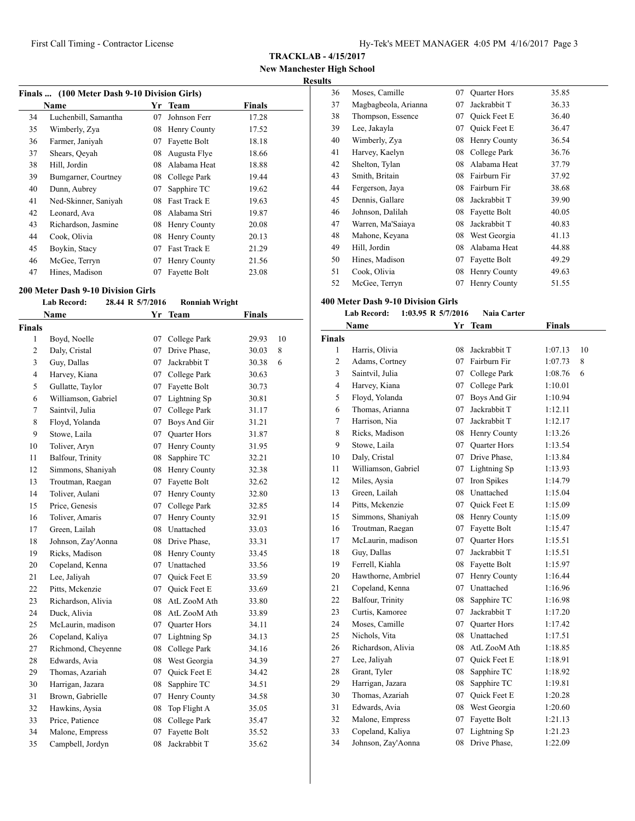**TRACKLAB - 4/15/2017**

**New Manchester High School Results**

| Finals  (100 Meter Dash 9-10 Division Girls) |                      |    |              |               |  |
|----------------------------------------------|----------------------|----|--------------|---------------|--|
|                                              | Name                 |    | Yr Team      | <b>Finals</b> |  |
| 34                                           | Luchenbill, Samantha | 07 | Johnson Ferr | 17.28         |  |
| 35                                           | Wimberly, Zya        | 08 | Henry County | 17.52         |  |
| 36                                           | Farmer, Janiyah      | 07 | Fayette Bolt | 18.18         |  |
| 37                                           | Shears, Qeyah        | 08 | Augusta Flye | 18.66         |  |
| 38                                           | Hill, Jordin         | 08 | Alabama Heat | 18.88         |  |
| 39                                           | Bumgarner, Courtney  | 08 | College Park | 19.44         |  |
| 40                                           | Dunn, Aubrey         | 07 | Sapphire TC  | 19.62         |  |
| 41                                           | Ned-Skinner, Saniyah | 08 | Fast Track E | 19.63         |  |
| 42                                           | Leonard, Ava         | 08 | Alabama Stri | 19.87         |  |
| 43                                           | Richardson, Jasmine  | 08 | Henry County | 20.08         |  |
| 44                                           | Cook, Olivia         | 08 | Henry County | 20.13         |  |
| 45                                           | Boykin, Stacy        | 07 | Fast Track E | 21.29         |  |
| 46                                           | McGee, Terryn        | 07 | Henry County | 21.56         |  |
| 47                                           | Hines, Madison       | 07 | Fayette Bolt | 23.08         |  |

#### **200 Meter Dash 9-10 Division Girls**

## **Lab Record: 28.44 R 5/7/2016 Ronniah Wright**

|                | <b>Name</b>         | Yr | <b>Team</b>         | <b>Finals</b> |    |
|----------------|---------------------|----|---------------------|---------------|----|
| <b>Finals</b>  |                     |    |                     |               |    |
| 1              | Boyd, Noelle        | 07 | College Park        | 29.93         | 10 |
| $\overline{c}$ | Daly, Cristal       | 07 | Drive Phase,        | 30.03         | 8  |
| 3              | Guy, Dallas         | 07 | Jackrabbit T        | 30.38         | 6  |
| 4              | Harvey, Kiana       | 07 | College Park        | 30.63         |    |
| 5              | Gullatte, Taylor    | 07 | Fayette Bolt        | 30.73         |    |
| 6              | Williamson, Gabriel | 07 | Lightning Sp        | 30.81         |    |
| 7              | Saintvil, Julia     | 07 | College Park        | 31.17         |    |
| 8              | Floyd, Yolanda      | 07 | Boys And Gir        | 31.21         |    |
| 9              | Stowe, Laila        | 07 | Quarter Hors        | 31.87         |    |
| 10             | Toliver, Aryn       | 07 | Henry County        | 31.95         |    |
| 11             | Balfour, Trinity    | 08 | Sapphire TC         | 32.21         |    |
| 12             | Simmons, Shaniyah   | 08 | Henry County        | 32.38         |    |
| 13             | Troutman, Raegan    | 07 | Fayette Bolt        | 32.62         |    |
| 14             | Toliver, Aulani     | 07 | Henry County        | 32.80         |    |
| 15             | Price, Genesis      | 07 | College Park        | 32.85         |    |
| 16             | Toliver, Amaris     | 07 | Henry County        | 32.91         |    |
| 17             | Green, Lailah       | 08 | Unattached          | 33.03         |    |
| 18             | Johnson, Zay'Aonna  | 08 | Drive Phase,        | 33.31         |    |
| 19             | Ricks, Madison      | 08 | Henry County        | 33.45         |    |
| 20             | Copeland, Kenna     | 07 | Unattached          | 33.56         |    |
| 21             | Lee, Jaliyah        | 07 | Quick Feet E        | 33.59         |    |
| 22             | Pitts, Mckenzie     | 07 | <b>Ouick Feet E</b> | 33.69         |    |
| 23             | Richardson, Alivia  | 08 | AtL ZooM Ath        | 33.80         |    |
| 24             | Duck, Alivia        | 08 | AtL ZooM Ath        | 33.89         |    |
| 25             | McLaurin, madison   | 07 | <b>Ouarter Hors</b> | 34.11         |    |
| 26             | Copeland, Kaliya    | 07 | Lightning Sp        | 34.13         |    |
| 27             | Richmond, Cheyenne  | 08 | College Park        | 34.16         |    |
| 28             | Edwards, Avia       | 08 | West Georgia        | 34.39         |    |
| 29             | Thomas, Azariah     | 07 | Quick Feet E        | 34.42         |    |
| 30             | Harrigan, Jazara    | 08 | Sapphire TC         | 34.51         |    |
| 31             | Brown, Gabrielle    | 07 | Henry County        | 34.58         |    |
| 32             | Hawkins, Aysia      | 08 | Top Flight A        | 35.05         |    |
| 33             | Price, Patience     | 08 | College Park        | 35.47         |    |
| 34             | Malone, Empress     | 07 | Fayette Bolt        | 35.52         |    |
| 35             | Campbell, Jordyn    | 08 | Jackrabbit T        | 35.62         |    |

| 36 | Moses, Camille       | 07 | <b>Quarter Hors</b> | 35.85 |
|----|----------------------|----|---------------------|-------|
| 37 | Magbagbeola, Arianna | 07 | Jackrabbit T        | 36.33 |
| 38 | Thompson, Essence    | 07 | Quick Feet E        | 36.40 |
| 39 | Lee, Jakayla         | 07 | <b>Ouick Feet E</b> | 36.47 |
| 40 | Wimberly, Zya        | 08 | Henry County        | 36.54 |
| 41 | Harvey, Kaelyn       | 08 | College Park        | 36.76 |
| 42 | Shelton, Tylan       | 08 | Alabama Heat        | 37.79 |
| 43 | Smith, Britain       | 08 | Fairburn Fir        | 37.92 |
| 44 | Fergerson, Jaya      | 08 | Fairburn Fir        | 38.68 |
| 45 | Dennis, Gallare      | 08 | Jackrabbit T        | 39.90 |
| 46 | Johnson, Dalilah     | 08 | Fayette Bolt        | 40.05 |
| 47 | Warren, Ma'Saiaya    | 08 | Jackrabbit T        | 40.83 |
| 48 | Mahone, Keyana       | 08 | West Georgia        | 41.13 |
| 49 | Hill, Jordin         | 08 | Alabama Heat        | 44.88 |
| 50 | Hines, Madison       | 07 | Fayette Bolt        | 49.29 |
| 51 | Cook, Olivia         | 08 | Henry County        | 49.63 |
| 52 | McGee, Terryn        | 07 | Henry County        | 51.55 |

#### **400 Meter Dash 9-10 Division Girls**

#### **Lab Record: 1:03.95 R 5/7/2016 Naia Carter**

|                | Name                | Yr | Team                | <b>Finals</b> |    |
|----------------|---------------------|----|---------------------|---------------|----|
| <b>Finals</b>  |                     |    |                     |               |    |
| 1              | Harris, Olivia      | 08 | Jackrabbit T        | 1:07.13       | 10 |
| $\overline{c}$ | Adams, Cortney      | 07 | Fairburn Fir        | 1:07.73       | 8  |
| 3              | Saintvil, Julia     | 07 | College Park        | 1:08.76       | 6  |
| 4              | Harvey, Kiana       | 07 | College Park        | 1:10.01       |    |
| 5              | Floyd, Yolanda      | 07 | Boys And Gir        | 1:10.94       |    |
| 6              | Thomas, Arianna     | 07 | Jackrabbit T        | 1:12.11       |    |
| 7              | Harrison, Nia       | 07 | Jackrabbit T        | 1:12.17       |    |
| 8              | Ricks, Madison      | 08 | Henry County        | 1:13.26       |    |
| 9              | Stowe, Laila        | 07 | <b>Quarter Hors</b> | 1:13.54       |    |
| 10             | Daly, Cristal       | 07 | Drive Phase,        | 1:13.84       |    |
| 11             | Williamson, Gabriel | 07 | Lightning Sp        | 1:13.93       |    |
| 12             | Miles, Aysia        | 07 | Iron Spikes         | 1:14.79       |    |
| 13             | Green, Lailah       | 08 | Unattached          | 1:15.04       |    |
| 14             | Pitts, Mckenzie     | 07 | <b>Ouick Feet E</b> | 1:15.09       |    |
| 15             | Simmons, Shaniyah   | 08 | Henry County        | 1:15.09       |    |
| 16             | Troutman, Raegan    | 07 | Fayette Bolt        | 1:15.47       |    |
| 17             | McLaurin, madison   | 07 | <b>Quarter Hors</b> | 1:15.51       |    |
| 18             | Guy, Dallas         | 07 | Jackrabbit T        | 1:15.51       |    |
| 19             | Ferrell, Kiahla     | 08 | Fayette Bolt        | 1:15.97       |    |
| 20             | Hawthorne, Ambriel  | 07 | Henry County        | 1:16.44       |    |
| 21             | Copeland, Kenna     | 07 | Unattached          | 1:16.96       |    |
| 22             | Balfour, Trinity    | 08 | Sapphire TC         | 1:16.98       |    |
| 23             | Curtis, Kamoree     | 07 | Jackrabbit T        | 1:17.20       |    |
| 24             | Moses, Camille      | 07 | <b>Ouarter Hors</b> | 1:17.42       |    |
| 25             | Nichols, Vita       | 08 | Unattached          | 1:17.51       |    |
| 26             | Richardson, Alivia  | 08 | AtL ZooM Ath        | 1:18.85       |    |
| 27             | Lee, Jaliyah        | 07 | <b>Ouick Feet E</b> | 1:18.91       |    |
| 28             | Grant, Tyler        | 08 | Sapphire TC         | 1:18.92       |    |
| 29             | Harrigan, Jazara    | 08 | Sapphire TC         | 1:19.81       |    |
| 30             | Thomas, Azariah     | 07 | Quick Feet E        | 1:20.28       |    |
| 31             | Edwards, Avia       | 08 | West Georgia        | 1:20.60       |    |
| 32             | Malone, Empress     | 07 | Fayette Bolt        | 1:21.13       |    |
| 33             | Copeland, Kaliya    | 07 | Lightning Sp        | 1:21.23       |    |
| 34             | Johnson, Zay'Aonna  | 08 | Drive Phase.        | 1:22.09       |    |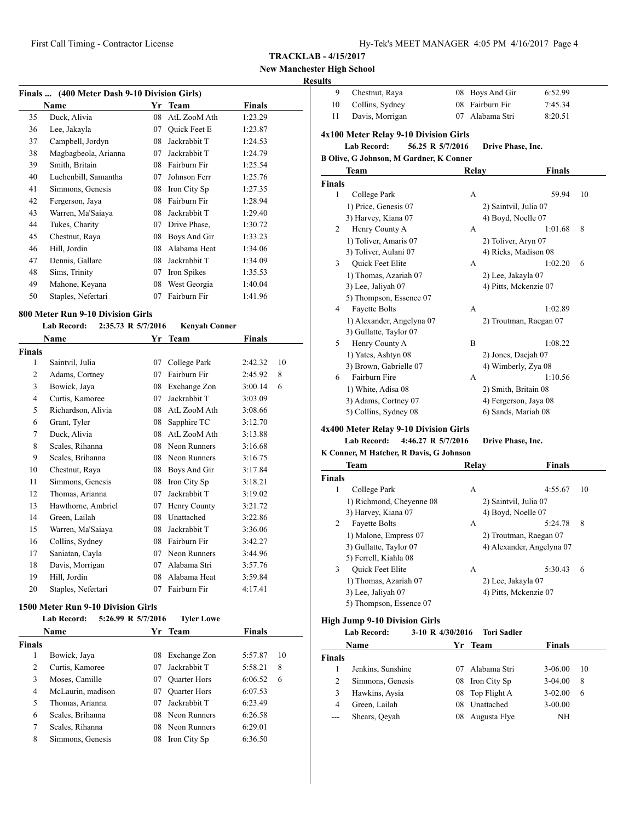## **New Manchester High School**

## **Results**

|    | Finals  (400 Meter Dash 9-10 Division Girls) |    |                     |         |  |
|----|----------------------------------------------|----|---------------------|---------|--|
|    | Name                                         | Yr | <b>Team</b>         | Finals  |  |
| 35 | Duck, Alivia                                 | 08 | AtL ZooM Ath        | 1:23.29 |  |
| 36 | Lee, Jakayla                                 | 07 | <b>Ouick Feet E</b> | 1:23.87 |  |
| 37 | Campbell, Jordyn                             | 08 | Jackrabbit T        | 1:24.53 |  |
| 38 | Magbagbeola, Arianna                         | 07 | Jackrabbit T        | 1:24.79 |  |
| 39 | Smith, Britain                               | 08 | Fairburn Fir        | 1:25.54 |  |
| 40 | Luchenbill, Samantha                         | 07 | Johnson Ferr        | 1:25.76 |  |
| 41 | Simmons, Genesis                             | 08 | Iron City Sp        | 1:27.35 |  |
| 42 | Fergerson, Jaya                              | 08 | Fairburn Fir        | 1:28.94 |  |
| 43 | Warren, Ma'Saiaya                            | 08 | Jackrabbit T        | 1:29.40 |  |
| 44 | Tukes, Charity                               | 07 | Drive Phase,        | 1:30.72 |  |
| 45 | Chestnut, Raya                               | 08 | Boys And Gir        | 1:33.23 |  |
| 46 | Hill, Jordin                                 | 08 | Alabama Heat        | 1:34.06 |  |
| 47 | Dennis, Gallare                              | 08 | Jackrabbit T        | 1:34.09 |  |
| 48 | Sims, Trinity                                | 07 | Iron Spikes         | 1:35.53 |  |
| 49 | Mahone, Keyana                               | 08 | West Georgia        | 1:40.04 |  |
| 50 | Staples, Nefertari                           | 07 | Fairburn Fir        | 1:41.96 |  |

# **800 Meter Run 9-10 Division Girls**

|                | <b>Lab Record:</b> | 2:35.73 R 5/7/2016 | <b>Kenyah Conner</b> |         |    |
|----------------|--------------------|--------------------|----------------------|---------|----|
|                | Name               | Yr                 | <b>Team</b>          | Finals  |    |
| Finals         |                    |                    |                      |         |    |
| $\mathbf{1}$   | Saintvil, Julia    | 07                 | College Park         | 2:42.32 | 10 |
| $\overline{2}$ | Adams, Cortney     | 07                 | Fairburn Fir         | 2:45.92 | 8  |
| 3              | Bowick, Jaya       | 08                 | Exchange Zon         | 3:00.14 | 6  |
| 4              | Curtis, Kamoree    | 07                 | Jackrabbit T         | 3:03.09 |    |
| 5              | Richardson, Alivia | 08                 | AtL ZooM Ath         | 3:08.66 |    |
| 6              | Grant, Tyler       | 08                 | Sapphire TC          | 3:12.70 |    |
| 7              | Duck, Alivia       | 08                 | AtL ZooM Ath         | 3:13.88 |    |
| 8              | Scales, Rihanna    | 08                 | Neon Runners         | 3:16.68 |    |
| 9              | Scales, Brihanna   | 08                 | Neon Runners         | 3:16.75 |    |
| 10             | Chestnut, Raya     | 08                 | Boys And Gir         | 3:17.84 |    |
| 11             | Simmons, Genesis   | 08                 | Iron City Sp         | 3:18.21 |    |
| 12             | Thomas, Arianna    | 07                 | Jackrabbit T         | 3:19.02 |    |
| 13             | Hawthorne, Ambriel | 07                 | Henry County         | 3:21.72 |    |
| 14             | Green, Lailah      | 08                 | Unattached           | 3:22.86 |    |
| 15             | Warren, Ma'Saiaya  | 08                 | Jackrabbit T         | 3:36.06 |    |
| 16             | Collins, Sydney    | 08                 | Fairburn Fir         | 3:42.27 |    |
| 17             | Saniatan, Cayla    | 07                 | Neon Runners         | 3:44.96 |    |
| 18             | Davis, Morrigan    | 07                 | Alabama Stri         | 3:57.76 |    |
| 19             | Hill, Jordin       | 08                 | Alabama Heat         | 3:59.84 |    |
| 20             | Staples, Nefertari | 07                 | Fairburn Fir         | 4:17.41 |    |
|                |                    |                    |                      |         |    |

#### **1500 Meter Run 9-10 Division Girls**

|               | <b>Lab Record:</b> | 5:26.99 R 5/7/2016 | <b>Tyler Lowe</b>   |               |    |
|---------------|--------------------|--------------------|---------------------|---------------|----|
|               | <b>Name</b>        |                    | Yr Team             | <b>Finals</b> |    |
| <b>Finals</b> |                    |                    |                     |               |    |
| 1             | Bowick, Jaya       | 08                 | Exchange Zon        | 5:57.87       | 10 |
| 2             | Curtis, Kamoree    | 07                 | Jackrabbit T        | 5:58.21       | 8  |
| 3             | Moses, Camille     | 07                 | <b>Quarter Hors</b> | 6:06.52       | 6  |
| 4             | McLaurin, madison  | 07                 | <b>Quarter Hors</b> | 6:07.53       |    |
| 5             | Thomas, Arianna    | 07                 | Jackrabbit T        | 6:23.49       |    |
| 6             | Scales, Brihanna   |                    | 08 Neon Runners     | 6:26.58       |    |
| 7             | Scales, Rihanna    |                    | 08 Neon Runners     | 6:29.01       |    |
| 8             | Simmons, Genesis   | 08                 | Iron City Sp        | 6:36.50       |    |

|    | Chestnut, Raya  | 08 Boys And Gir | 6:52.99 |
|----|-----------------|-----------------|---------|
| 10 | Collins, Sydney | 08 Fairburn Fir | 7:45.34 |
| 11 | Davis, Morrigan | 07 Alabama Stri | 8:20.51 |

# **4x100 Meter Relay 9-10 Division Girls**

| 10012000120001 |                  |                   |
|----------------|------------------|-------------------|
| Lab Record:    | 56.25 R 5/7/2016 | Drive Phase, Inc. |

#### **B Olive, G Johnson, M Gardner, K Conner**

|               | <b>Team</b>               | Relay              | Finals                 |  |
|---------------|---------------------------|--------------------|------------------------|--|
| <b>Finals</b> |                           |                    |                        |  |
| 1             | College Park              | А                  | 10<br>59.94            |  |
|               | 1) Price, Genesis 07      |                    | 2) Saintvil, Julia 07  |  |
|               | 3) Harvey, Kiana 07       |                    | 4) Boyd, Noelle 07     |  |
| 2             | Henry County A            | A                  | 8<br>1:01.68           |  |
|               | 1) Toliver, Amaris 07     |                    | 2) Toliver, Aryn 07    |  |
|               | 3) Toliver, Aulani 07     |                    | 4) Ricks, Madison 08   |  |
| 3             | Quick Feet Elite          | A                  | 1:02.20<br>6           |  |
|               | 1) Thomas, Azariah 07     | 2) Lee, Jakayla 07 |                        |  |
|               | 3) Lee, Jaliyah 07        |                    | 4) Pitts, Mckenzie 07  |  |
|               | 5) Thompson, Essence 07   |                    |                        |  |
| 4             | <b>Fayette Bolts</b>      | A                  | 1:02.89                |  |
|               | 1) Alexander, Angelyna 07 |                    | 2) Troutman, Raegan 07 |  |
|               | 3) Gullatte, Taylor 07    |                    |                        |  |
| 5             | Henry County A            | B                  | 1:08.22                |  |
|               | 1) Yates, Ashtyn 08       |                    | 2) Jones, Daejah 07    |  |
|               | 3) Brown, Gabrielle 07    |                    | 4) Wimberly, Zya 08    |  |
| 6             | Fairburn Fire             | A                  | 1:10.56                |  |
|               | 1) White, Adisa 08        |                    | 2) Smith, Britain 08   |  |
|               | 3) Adams, Cortney 07      |                    | 4) Fergerson, Jaya 08  |  |
|               | 5) Collins, Sydney 08     |                    | 6) Sands, Mariah 08    |  |
|               |                           |                    |                        |  |

# **4x400 Meter Relay 9-10 Division Girls**

#### **Lab Record: 4:46.27 R 5/7/2016 Drive Phase, Inc.**

#### **K Conner, M Hatcher, R Davis, G Johnson**

|               | Team                     | Relav                 | <b>Finals</b>             |  |
|---------------|--------------------------|-----------------------|---------------------------|--|
| <b>Finals</b> |                          |                       |                           |  |
| 1             | College Park             | А                     | 4:55.67<br>10             |  |
|               | 1) Richmond, Cheyenne 08 | 2) Saintvil, Julia 07 |                           |  |
|               | 3) Harvey, Kiana 07      | 4) Boyd, Noelle 07    |                           |  |
| 2             | <b>Fayette Bolts</b>     | А                     | 5:24.78<br>8              |  |
|               | 1) Malone, Empress 07    |                       | 2) Troutman, Raegan 07    |  |
|               | 3) Gullatte, Taylor 07   |                       | 4) Alexander, Angelyna 07 |  |
|               | 5) Ferrell, Kiahla 08    |                       |                           |  |
| 3             | Quick Feet Elite         | А                     | 5:30.43<br>6              |  |
|               | 1) Thomas, Azariah 07    | 2) Lee, Jakayla 07    |                           |  |
|               | 3) Lee, Jaliyah 07       |                       | 4) Pitts, Mckenzie 07     |  |
|               | 5) Thompson, Essence 07  |                       |                           |  |

#### **High Jump 9-10 Division Girls**

**Lab Record: 3-10 R 4/30/2016 Tori Sadler**

|               | Name              | Yr Team         | <b>Finals</b> |     |
|---------------|-------------------|-----------------|---------------|-----|
| <b>Finals</b> |                   |                 |               |     |
|               | Jenkins, Sunshine | 07 Alabama Stri | 3-06.00       | -10 |
| 2             | Simmons, Genesis  | 08 Iron City Sp | $3-04.00$     | 8   |
| 3             | Hawkins, Aysia    | 08 Top Flight A | $3-02.00$     | 6   |
| 4             | Green, Lailah     | 08 Unattached   | $3 - 00.00$   |     |
| $---$         | Shears, Qeyah     | 08 Augusta Flye | ΝH            |     |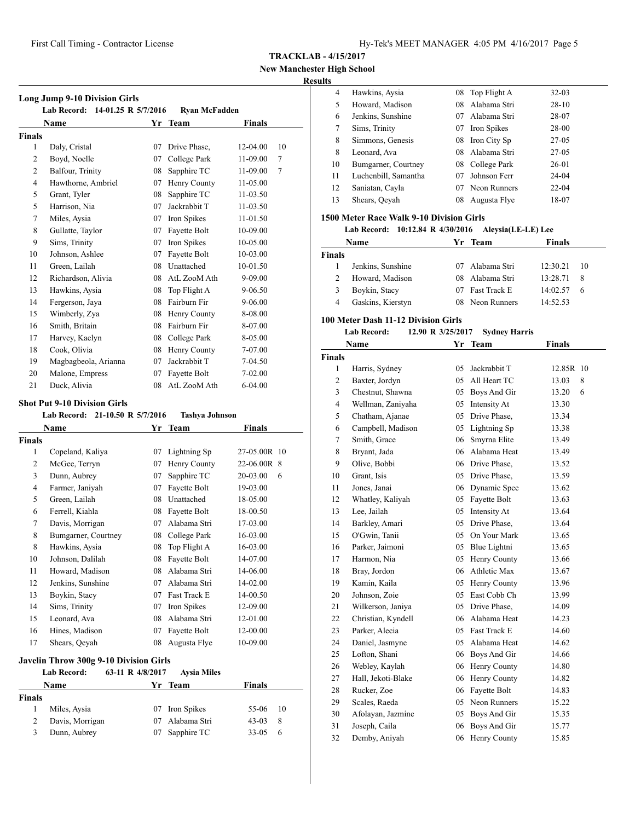**New Manchester High School**

## **Results**

| <b>Long Jump 9-10 Division Girls</b><br>Lab Record: 14-01.25 R 5/7/2016 |                      |    |                                 |               |    |
|-------------------------------------------------------------------------|----------------------|----|---------------------------------|---------------|----|
|                                                                         | Name                 |    | <b>Ryan McFadden</b><br>Yr Team | <b>Finals</b> |    |
| Finals                                                                  |                      |    |                                 |               |    |
| $\mathbf{1}$                                                            | Daly, Cristal        | 07 | Drive Phase.                    | 12-04.00      | 10 |
| 2                                                                       | Boyd, Noelle         | 07 | College Park                    | 11-09.00      | 7  |
| $\overline{c}$                                                          | Balfour, Trinity     | 08 | Sapphire TC                     | 11-09.00      | 7  |
| $\overline{4}$                                                          | Hawthorne, Ambriel   | 07 | Henry County                    | 11-05.00      |    |
| 5                                                                       | Grant, Tyler         | 08 | Sapphire TC                     | 11-03.50      |    |
| 5                                                                       | Harrison, Nia        | 07 | Jackrabbit T                    | 11-03.50      |    |
| 7                                                                       | Miles, Aysia         | 07 | Iron Spikes                     | 11-01.50      |    |
| 8                                                                       | Gullatte, Taylor     | 07 | Fayette Bolt                    | 10-09.00      |    |
| 9                                                                       | Sims, Trinity        | 07 | Iron Spikes                     | 10-05.00      |    |
| 10                                                                      | Johnson, Ashlee      | 07 | Fayette Bolt                    | 10-03.00      |    |
| 11                                                                      | Green, Lailah        | 08 | Unattached                      | 10-01.50      |    |
| 12                                                                      | Richardson, Alivia   | 08 | AtL ZooM Ath                    | 9-09.00       |    |
| 13                                                                      | Hawkins, Aysia       | 08 | Top Flight A                    | 9-06.50       |    |
| 14                                                                      | Fergerson, Jaya      | 08 | Fairburn Fir                    | 9-06.00       |    |
| 15                                                                      | Wimberly, Zya        | 08 | Henry County                    | 8-08.00       |    |
| 16                                                                      | Smith, Britain       | 08 | Fairburn Fir                    | 8-07.00       |    |
| 17                                                                      | Harvey, Kaelyn       | 08 | College Park                    | 8-05.00       |    |
| 18                                                                      | Cook, Olivia         | 08 | Henry County                    | 7-07.00       |    |
| 19                                                                      | Magbagbeola, Arianna | 07 | Jackrabbit T                    | 7-04.50       |    |
| 20                                                                      | Malone, Empress      | 07 | Fayette Bolt                    | 7-02.00       |    |
| 21                                                                      | Duck, Alivia         | 08 | AtL ZooM Ath                    | $6 - 04.00$   |    |

#### **Shot Put 9-10 Division Girls**

|                | 21-10.50 R 5/7/2016<br><b>Lab Record:</b> |                  | <b>Tashya Johnson</b> |               |  |
|----------------|-------------------------------------------|------------------|-----------------------|---------------|--|
|                | Name                                      |                  | Yr Team               | Finals        |  |
| Finals         |                                           |                  |                       |               |  |
| 1              | Copeland, Kaliya                          | 07               | Lightning Sp          | 27-05.00R 10  |  |
| 2              | McGee, Terryn                             | 07               | Henry County          | 22-06.00R 8   |  |
| 3              | Dunn, Aubrey                              | 07               | Sapphire TC           | 20-03.00<br>6 |  |
| $\overline{4}$ | Farmer, Janiyah                           | 07               | Fayette Bolt          | 19-03.00      |  |
| 5              | Green, Lailah                             | 08               | Unattached            | 18-05.00      |  |
| 6              | Ferrell, Kiahla                           | 08               | Fayette Bolt          | 18-00.50      |  |
| 7              | Davis, Morrigan                           | 07               | Alabama Stri          | 17-03.00      |  |
| 8              | Bumgarner, Courtney                       | 08               | College Park          | 16-03.00      |  |
| 8              | Hawkins, Aysia                            | 08               | Top Flight A          | 16-03.00      |  |
| 10             | Johnson, Dalilah                          | 08               | Fayette Bolt          | 14-07.00      |  |
| 11             | Howard, Madison                           | 08               | Alabama Stri          | 14-06.00      |  |
| 12             | Jenkins, Sunshine                         | 07               | Alabama Stri          | 14-02.00      |  |
| 13             | Boykin, Stacy                             | 07               | Fast Track E          | 14-00.50      |  |
| 14             | Sims, Trinity                             | 07               | Iron Spikes           | 12-09.00      |  |
| 15             | Leonard, Ava                              | 08               | Alabama Stri          | 12-01.00      |  |
| 16             | Hines, Madison                            | 07               | Fayette Bolt          | 12-00.00      |  |
| 17             | Shears, Qeyah                             | 08               | Augusta Flye          | 10-09.00      |  |
|                |                                           |                  |                       |               |  |
|                | Javelin Throw 300g 9-10 Division Girls    |                  |                       |               |  |
|                | <b>Lab Record:</b>                        | 63-11 R 4/8/2017 | <b>Aysia Miles</b>    |               |  |

|        | Name            | Yr Team         | Finals     |    |
|--------|-----------------|-----------------|------------|----|
| Finals |                 |                 |            |    |
|        | Miles, Aysia    | 07 Iron Spikes  | $55-06$ 10 |    |
|        | Davis, Morrigan | 07 Alabama Stri | $43-03$    | -8 |
|        | Dunn, Aubrey    | 07 Sapphire TC  | $33-0.5$ 6 |    |

| 4  | Hawkins, Aysia       | 08 | Top Flight A | $32-03$   |
|----|----------------------|----|--------------|-----------|
| 5  | Howard, Madison      | 08 | Alabama Stri | $28-10$   |
| 6  | Jenkins, Sunshine    | 07 | Alabama Stri | 28-07     |
| 7  | Sims, Trinity        | 07 | Iron Spikes  | 28-00     |
| 8  | Simmons, Genesis     | 08 | Iron City Sp | $27-05$   |
| 8  | Leonard, Ava         | 08 | Alabama Stri | $27-05$   |
| 10 | Bumgarner, Courtney  | 08 | College Park | 26-01     |
| 11 | Luchenbill, Samantha | 07 | Johnson Ferr | 24-04     |
| 12 | Saniatan, Cayla      | 07 | Neon Runners | $22 - 04$ |
| 13 | Shears, Qeyah        | 08 | Augusta Flye | 18-07     |
|    |                      |    |              |           |

## **1500 Meter Race Walk 9-10 Division Girls**

## **Lab Record: 10:12.84 R 4/30/2016 Aleysia(LE-LE) Lee**

|               | Name              |     | Yr Team             | <b>Finals</b> |      |
|---------------|-------------------|-----|---------------------|---------------|------|
| <b>Finals</b> |                   |     |                     |               |      |
|               | Jenkins, Sunshine |     | 07 Alabama Stri     | 12:30.21      | - 10 |
| $\mathcal{L}$ | Howard, Madison   |     | 08 Alabama Stri     | 13:28.71      | - 8  |
| 3             | Boykin, Stacy     | 07. | <b>Fast Track E</b> | 14:02.57      | 6    |
|               | Gaskins, Kierstyn |     | 08 Neon Runners     | 14:52.53      |      |

#### **100 Meter Dash 11-12 Division Girls**

# **Lab Record: 12.90 R 3/25/2017 Sydney Harris**

|                | Name               | Yr | <b>Team</b>     | Finals     |
|----------------|--------------------|----|-----------------|------------|
| <b>Finals</b>  |                    |    |                 |            |
| 1              | Harris, Sydney     | 05 | Jackrabbit T    | 12.85R 10  |
| $\overline{c}$ | Baxter, Jordyn     | 05 | All Heart TC    | 8<br>13.03 |
| 3              | Chestnut, Shawna   | 05 | Boys And Gir    | 6<br>13.20 |
| $\overline{4}$ | Wellman, Zaniyaha  | 05 | Intensity At    | 13.30      |
| 5              | Chatham, Ajanae    | 05 | Drive Phase,    | 13.34      |
| 6              | Campbell, Madison  | 05 | Lightning Sp    | 13.38      |
| 7              | Smith, Grace       | 06 | Smyrna Elite    | 13.49      |
| 8              | Bryant, Jada       | 06 | Alabama Heat    | 13.49      |
| 9              | Olive, Bobbi       |    | 06 Drive Phase. | 13.52      |
| 10             | Grant, Isis        | 05 | Drive Phase,    | 13.59      |
| 11             | Jones, Janai       | 06 | Dynamic Spee    | 13.62      |
| 12             | Whatley, Kaliyah   | 05 | Fayette Bolt    | 13.63      |
| 13             | Lee, Jailah        | 05 | Intensity At    | 13.64      |
| 14             | Barkley, Amari     | 05 | Drive Phase,    | 13.64      |
| 15             | O'Gwin, Tanii      | 05 | On Your Mark    | 13.65      |
| 16             | Parker, Jaimoni    | 05 | Blue Lightni    | 13.65      |
| 17             | Harmon, Nia        | 05 | Henry County    | 13.66      |
| 18             | Bray, Jordon       | 06 | Athletic Max    | 13.67      |
| 19             | Kamin, Kaila       | 05 | Henry County    | 13.96      |
| 20             | Johnson, Zoie      | 05 | East Cobb Ch    | 13.99      |
| 21             | Wilkerson, Janiya  | 05 | Drive Phase,    | 14.09      |
| 22             | Christian, Kyndell |    | 06 Alabama Heat | 14.23      |
| 23             | Parker, Alecia     |    | 05 Fast Track E | 14.60      |
| 24             | Daniel, Jasmyne    | 05 | Alabama Heat    | 14.62      |
| 25             | Lofton, Shani      | 06 | Boys And Gir    | 14.66      |
| 26             | Webley, Kaylah     | 06 | Henry County    | 14.80      |
| 27             | Hall, Jekoti-Blake | 06 | Henry County    | 14.82      |
| 28             | Rucker, Zoe        | 06 | Fayette Bolt    | 14.83      |
| 29             | Scales, Raeda      | 05 | Neon Runners    | 15.22      |
| 30             | Afolayan, Jazmine  | 05 | Boys And Gir    | 15.35      |
| 31             | Joseph, Caila      | 06 | Boys And Gir    | 15.77      |
| 32             | Demby, Aniyah      | 06 | Henry County    | 15.85      |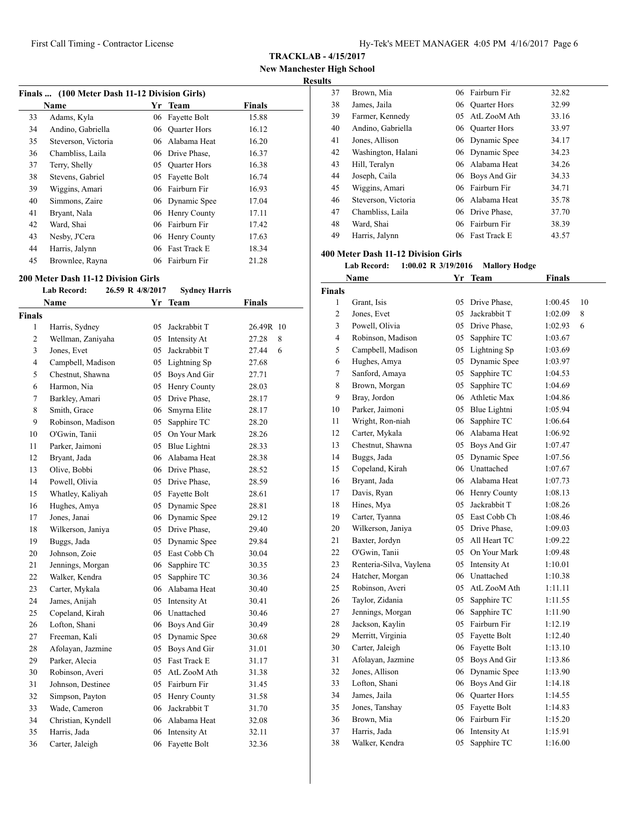**TRACKLAB - 4/15/2017**

**New Manchester High School**

## **Results**

| Finals  (100 Meter Dash 11-12 Division Girls) |                     |    |                     |               |  |  |
|-----------------------------------------------|---------------------|----|---------------------|---------------|--|--|
|                                               | <b>Name</b>         | Yr | Team                | <b>Finals</b> |  |  |
| 33                                            | Adams, Kyla         |    | 06 Fayette Bolt     | 15.88         |  |  |
| 34                                            | Andino, Gabriella   |    | 06 Ouarter Hors     | 16.12         |  |  |
| 35                                            | Steverson, Victoria | 06 | Alabama Heat        | 16.20         |  |  |
| 36                                            | Chambliss, Laila    |    | 06 Drive Phase,     | 16.37         |  |  |
| 37                                            | Terry, Shelly       |    | 05 Ouarter Hors     | 16.38         |  |  |
| 38                                            | Stevens, Gabriel    | 05 | Fayette Bolt        | 16.74         |  |  |
| 39                                            | Wiggins, Amari      |    | 06 Fairburn Fir     | 16.93         |  |  |
| 40                                            | Simmons, Zaire      |    | 06 Dynamic Spee     | 17.04         |  |  |
| 41                                            | Bryant, Nala        |    | 06 Henry County     | 17.11         |  |  |
| 42                                            | Ward, Shai          |    | 06 Fairburn Fir     | 17.42         |  |  |
| 43                                            | Nesby, J'Cera       |    | 06 Henry County     | 17.63         |  |  |
| 44                                            | Harris, Jalynn      | 06 | <b>Fast Track E</b> | 18.34         |  |  |
| 45                                            | Brownlee, Rayna     |    | 06 Fairburn Fir     | 21.28         |  |  |

#### **200 Meter Dash 11-12 Division Girls**

|                | <b>Lab Record:</b> | 26.59 R 4/8/2017 | <b>Sydney Harris</b> |               |
|----------------|--------------------|------------------|----------------------|---------------|
|                | <b>Name</b>        |                  | Yr Team              | <b>Finals</b> |
| Finals         |                    |                  |                      |               |
| 1              | Harris, Sydney     | 05               | Jackrabbit T         | 26.49R 10     |
| $\overline{c}$ | Wellman, Zaniyaha  | 05               | Intensity At         | 27.28<br>8    |
| 3              | Jones, Evet        | 05               | Jackrabbit T         | 27.44<br>6    |
| $\overline{4}$ | Campbell, Madison  |                  | 05 Lightning Sp      | 27.68         |
| 5              | Chestnut, Shawna   |                  | 05 Boys And Gir      | 27.71         |
| 6              | Harmon, Nia        |                  | 05 Henry County      | 28.03         |
| 7              | Barkley, Amari     |                  | 05 Drive Phase,      | 28.17         |
| 8              | Smith, Grace       |                  | 06 Smyrna Elite      | 28.17         |
| 9              | Robinson, Madison  |                  | 05 Sapphire TC       | 28.20         |
| 10             | O'Gwin, Tanii      |                  | 05 On Your Mark      | 28.26         |
| 11             | Parker, Jaimoni    |                  | 05 Blue Lightni      | 28.33         |
| 12             | Bryant, Jada       |                  | 06 Alabama Heat      | 28.38         |
| 13             | Olive, Bobbi       |                  | 06 Drive Phase,      | 28.52         |
| 14             | Powell, Olivia     |                  | 05 Drive Phase,      | 28.59         |
| 15             | Whatley, Kaliyah   |                  | 05 Fayette Bolt      | 28.61         |
| 16             | Hughes, Amya       |                  | 05 Dynamic Spee      | 28.81         |
| 17             | Jones, Janai       |                  | 06 Dynamic Spee      | 29.12         |
| 18             | Wilkerson, Janiya  |                  | 05 Drive Phase,      | 29.40         |
| 19             | Buggs, Jada        |                  | 05 Dynamic Spee      | 29.84         |
| 20             | Johnson, Zoie      |                  | 05 East Cobb Ch      | 30.04         |
| 21             | Jennings, Morgan   |                  | 06 Sapphire TC       | 30.35         |
| 22             | Walker, Kendra     |                  | 05 Sapphire TC       | 30.36         |
| 23             | Carter, Mykala     |                  | 06 Alabama Heat      | 30.40         |
| 24             | James, Anijah      |                  | 05 Intensity At      | 30.41         |
| 25             | Copeland, Kirah    |                  | 06 Unattached        | 30.46         |
| 26             | Lofton, Shani      |                  | 06 Boys And Gir      | 30.49         |
| 27             | Freeman, Kali      | 05               | Dynamic Spee         | 30.68         |
| 28             | Afolayan, Jazmine  | 05               | Boys And Gir         | 31.01         |
| 29             | Parker, Alecia     |                  | 05 Fast Track E      | 31.17         |
| 30             | Robinson, Averi    |                  | 05 AtL ZooM Ath      | 31.38         |
| 31             | Johnson, Destinee  |                  | 05 Fairburn Fir      | 31.45         |
| 32             | Simpson, Payton    | 05               | Henry County         | 31.58         |
| 33             | Wade, Cameron      |                  | 06 Jackrabbit T      | 31.70         |
| 34             | Christian, Kyndell |                  | 06 Alabama Heat      | 32.08         |
| 35             | Harris, Jada       | 06               | Intensity At         | 32.11         |
| 36             | Carter, Jaleigh    | 06               | Fayette Bolt         | 32.36         |

| IJ. |                     |    |                     |       |
|-----|---------------------|----|---------------------|-------|
| 37  | Brown, Mia          |    | 06 Fairburn Fir     | 32.82 |
| 38  | James, Jaila        | 06 | <b>Quarter Hors</b> | 32.99 |
| 39  | Farmer, Kennedy     | 05 | AtL ZooM Ath        | 33.16 |
| 40  | Andino, Gabriella   | 06 | <b>Quarter Hors</b> | 33.97 |
| 41  | Jones, Allison      |    | 06 Dynamic Spee     | 34.17 |
| 42  | Washington, Halani  |    | 06 Dynamic Spee     | 34.23 |
| 43  | Hill, Teralyn       |    | 06 Alabama Heat     | 34.26 |
| 44  | Joseph, Caila       |    | 06 Boys And Gir     | 34.33 |
| 45  | Wiggins, Amari      |    | 06 Fairburn Fir     | 34.71 |
| 46  | Steverson, Victoria |    | 06 Alabama Heat     | 35.78 |
| 47  | Chambliss, Laila    |    | 06 Drive Phase,     | 37.70 |
| 48  | Ward, Shai          |    | 06 Fairburn Fir     | 38.39 |
| 49  | Harris, Jalynn      | 06 | Fast Track E        | 43.57 |

# **400 Meter Dash 11-12 Division Girls**

**Lab Record: 1:00.02 R 3/19/2016 Mallory Hodge**

|                | Name                    | Yr | <b>Team</b>   | <b>Finals</b> |    |
|----------------|-------------------------|----|---------------|---------------|----|
| <b>Finals</b>  |                         |    |               |               |    |
| 1              | Grant, Isis             | 05 | Drive Phase,  | 1:00.45       | 10 |
| 2              | Jones, Evet             | 05 | Jackrabbit T  | 1:02.09       | 8  |
| 3              | Powell, Olivia          | 05 | Drive Phase,  | 1:02.93       | 6  |
| $\overline{4}$ | Robinson, Madison       | 05 | Sapphire TC   | 1:03.67       |    |
| 5              | Campbell, Madison       | 05 | Lightning Sp  | 1:03.69       |    |
| 6              | Hughes, Amya            | 05 | Dynamic Spee  | 1:03.97       |    |
| $\tau$         | Sanford, Amaya          | 05 | Sapphire TC   | 1:04.53       |    |
| 8              | Brown, Morgan           | 05 | Sapphire TC   | 1:04.69       |    |
| 9              | Bray, Jordon            | 06 | Athletic Max  | 1:04.86       |    |
| 10             | Parker, Jaimoni         | 05 | Blue Lightni  | 1:05.94       |    |
| 11             | Wright, Ron-niah        | 06 | Sapphire TC   | 1:06.64       |    |
| 12             | Carter, Mykala          | 06 | Alabama Heat  | 1:06.92       |    |
| 13             | Chestnut, Shawna        | 05 | Boys And Gir  | 1:07.47       |    |
| 14             | Buggs, Jada             | 05 | Dynamic Spee  | 1:07.56       |    |
| 15             | Copeland, Kirah         |    | 06 Unattached | 1:07.67       |    |
| 16             | Bryant, Jada            | 06 | Alabama Heat  | 1:07.73       |    |
| 17             | Davis, Ryan             | 06 | Henry County  | 1:08.13       |    |
| 18             | Hines, Mya              | 05 | Jackrabbit T  | 1:08.26       |    |
| 19             | Carter, Tyanna          | 05 | East Cobb Ch  | 1:08.46       |    |
| 20             | Wilkerson, Janiya       | 05 | Drive Phase,  | 1:09.03       |    |
| 21             | Baxter, Jordyn          | 05 | All Heart TC  | 1:09.22       |    |
| 22             | O'Gwin, Tanii           | 05 | On Your Mark  | 1:09.48       |    |
| 23             | Renteria-Silva, Vaylena | 05 | Intensity At  | 1:10.01       |    |
| 24             | Hatcher, Morgan         |    | 06 Unattached | 1:10.38       |    |
| 25             | Robinson, Averi         | 05 | AtL ZooM Ath  | 1:11.11       |    |
| 26             | Taylor, Zidania         | 05 | Sapphire TC   | 1:11.55       |    |
| 27             | Jennings, Morgan        | 06 | Sapphire TC   | 1:11.90       |    |
| 28             | Jackson, Kaylin         | 05 | Fairburn Fir  | 1:12.19       |    |
| 29             | Merritt, Virginia       | 05 | Fayette Bolt  | 1:12.40       |    |
| 30             | Carter, Jaleigh         | 06 | Fayette Bolt  | 1:13.10       |    |
| 31             | Afolayan, Jazmine       | 05 | Boys And Gir  | 1:13.86       |    |
| 32             | Jones, Allison          | 06 | Dynamic Spee  | 1:13.90       |    |
| 33             | Lofton, Shani           | 06 | Boys And Gir  | 1:14.18       |    |
| 34             | James, Jaila            | 06 | Quarter Hors  | 1:14.55       |    |
| 35             | Jones, Tanshay          | 05 | Fayette Bolt  | 1:14.83       |    |
| 36             | Brown, Mia              | 06 | Fairburn Fir  | 1:15.20       |    |
| 37             | Harris, Jada            | 06 | Intensity At  | 1:15.91       |    |
| 38             | Walker, Kendra          | 05 | Sapphire TC   | 1:16.00       |    |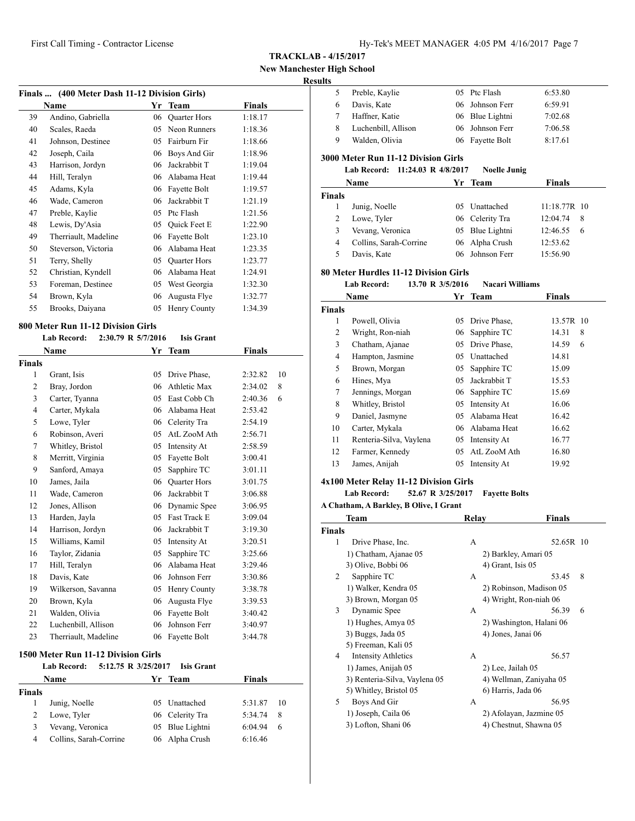# **New Manchester High School**

## **Results**

| Finals  (400 Meter Dash 11-12 Division Girls) |                      |    |                     |         |  |  |
|-----------------------------------------------|----------------------|----|---------------------|---------|--|--|
|                                               | Name                 | Yr | <b>Team</b>         | Finals  |  |  |
| 39                                            | Andino, Gabriella    | 06 | <b>Quarter Hors</b> | 1:18.17 |  |  |
| 40                                            | Scales, Raeda        | 05 | Neon Runners        | 1:18.36 |  |  |
| 41                                            | Johnson, Destinee    | 05 | Fairburn Fir        | 1:18.66 |  |  |
| 42                                            | Joseph, Caila        | 06 | Boys And Gir        | 1:18.96 |  |  |
| 43                                            | Harrison, Jordyn     | 06 | Jackrabbit T        | 1:19.04 |  |  |
| 44                                            | Hill, Teralyn        | 06 | Alabama Heat        | 1:19.44 |  |  |
| 45                                            | Adams, Kyla          | 06 | Fayette Bolt        | 1:19.57 |  |  |
| 46                                            | Wade, Cameron        | 06 | Jackrabbit T        | 1:21.19 |  |  |
| 47                                            | Preble, Kaylie       | 05 | Ptc Flash           | 1:21.56 |  |  |
| 48                                            | Lewis, Dy'Asia       | 05 | <b>Ouick Feet E</b> | 1:22.90 |  |  |
| 49                                            | Therriault, Madeline | 06 | Fayette Bolt        | 1:23.10 |  |  |
| 50                                            | Steverson, Victoria  | 06 | Alabama Heat        | 1:23.35 |  |  |
| 51                                            | Terry, Shelly        | 05 | <b>Quarter Hors</b> | 1:23.77 |  |  |
| 52                                            | Christian, Kyndell   | 06 | Alabama Heat        | 1:24.91 |  |  |
| 53                                            | Foreman, Destinee    | 05 | West Georgia        | 1:32.30 |  |  |
| 54                                            | Brown, Kyla          | 06 | Augusta Flye        | 1:32.77 |  |  |
| 55                                            | Brooks, Daiyana      | 05 | Henry County        | 1:34.39 |  |  |
|                                               |                      |    |                     |         |  |  |

#### **800 Meter Run 11-12 Division Girls**

# **Lab Record: 2:30.79 R 5/7/2016 Isis Grant**

|               | Name                 | Yr | <b>Team</b>         | <b>Finals</b> |    |
|---------------|----------------------|----|---------------------|---------------|----|
| <b>Finals</b> |                      |    |                     |               |    |
| 1             | Grant, Isis          | 05 | Drive Phase.        | 2:32.82       | 10 |
| 2             | Bray, Jordon         | 06 | Athletic Max        | 2:34.02       | 8  |
| 3             | Carter, Tyanna       | 05 | East Cobb Ch        | 2:40.36       | 6  |
| 4             | Carter, Mykala       | 06 | Alabama Heat        | 2:53.42       |    |
| 5             | Lowe, Tyler          | 06 | Celerity Tra        | 2:54.19       |    |
| 6             | Robinson, Averi      | 05 | AtL ZooM Ath        | 2:56.71       |    |
| 7             | Whitley, Bristol     | 05 | Intensity At        | 2:58.59       |    |
| 8             | Merritt, Virginia    | 05 | Fayette Bolt        | 3:00.41       |    |
| 9             | Sanford, Amaya       | 05 | Sapphire TC         | 3:01.11       |    |
| 10            | James, Jaila         | 06 | <b>Quarter Hors</b> | 3:01.75       |    |
| 11            | Wade, Cameron        | 06 | Jackrabbit T        | 3:06.88       |    |
| 12            | Jones, Allison       | 06 | Dynamic Spee        | 3:06.95       |    |
| 13            | Harden, Jayla        | 05 | <b>Fast Track E</b> | 3:09.04       |    |
| 14            | Harrison, Jordyn     | 06 | Jackrabbit T        | 3:19.30       |    |
| 15            | Williams, Kamil      | 05 | Intensity At        | 3:20.51       |    |
| 16            | Taylor, Zidania      | 05 | Sapphire TC         | 3:25.66       |    |
| 17            | Hill, Teralyn        | 06 | Alabama Heat        | 3:29.46       |    |
| 18            | Davis, Kate          | 06 | Johnson Ferr        | 3:30.86       |    |
| 19            | Wilkerson, Savanna   | 05 | Henry County        | 3:38.78       |    |
| 20            | Brown, Kyla          | 06 | Augusta Flye        | 3:39.53       |    |
| 21            | Walden, Olivia       | 06 | Fayette Bolt        | 3:40.42       |    |
| 22            | Luchenbill, Allison  | 06 | Johnson Ferr        | 3:40.97       |    |
| 23            | Therriault, Madeline | 06 | Fayette Bolt        | 3:44.78       |    |
|               |                      |    |                     |               |    |

#### **1500 Meter Run 11-12 Division Girls**

|               | <b>Lab Record:</b>     | 5:12.75 R 3/25/2017 Isis Grant |               |      |
|---------------|------------------------|--------------------------------|---------------|------|
|               | <b>Name</b>            | Yr Team                        | <b>Finals</b> |      |
| <b>Finals</b> |                        |                                |               |      |
|               | Junig, Noelle          | 05 Unattached                  | 5:31.87       | - 10 |
| 2             | Lowe, Tyler            | 06 Celerity Tra                | 5:34.74       | 8    |
| 3             | Vevang, Veronica       | 05 Blue Lightni                | 6:04.94       | 6    |
| 4             | Collins, Sarah-Corrine | 06 Alpha Crush                 | 6:16.46       |      |

| шњ             |                                            |    |                        |               |
|----------------|--------------------------------------------|----|------------------------|---------------|
| 5              | Preble, Kaylie                             | 05 | Ptc Flash              | 6:53.80       |
| 6              | Davis, Kate                                | 06 | Johnson Ferr           | 6:59.91       |
| 7              | Haffner, Katie                             | 06 | Blue Lightni           | 7:02.68       |
| 8              | Luchenbill, Allison                        | 06 | Johnson Ferr           | 7:06.58       |
| 9              | Walden, Olivia                             | 06 | Fayette Bolt           | 8:17.61       |
|                | <b>3000 Meter Run 11-12 Division Girls</b> |    |                        |               |
|                | <b>Lab Record:</b><br>11:24.03 R 4/8/2017  |    | <b>Noelle Junig</b>    |               |
|                | Name                                       | Yr | <b>Team</b>            | <b>Finals</b> |
| <b>Finals</b>  |                                            |    |                        |               |
| 1              | Junig, Noelle                              | 05 | Unattached             | 11:18.77R 10  |
| $\overline{c}$ | Lowe, Tyler                                | 06 | Celerity Tra           | 12:04.74<br>8 |
| 3              | Vevang, Veronica                           | 05 | Blue Lightni           | 12:46.55<br>6 |
| 4              | Collins, Sarah-Corrine                     | 06 | Alpha Crush            | 12:53.62      |
| 5              | Davis, Kate                                | 06 | Johnson Ferr           | 15:56.90      |
|                | 80 Meter Hurdles 11-12 Division Girls      |    |                        |               |
|                | <b>Lab Record:</b><br>13.70 R 3/5/2016     |    | <b>Nacari Williams</b> |               |
|                | Name                                       | Yr | <b>Team</b>            | <b>Finals</b> |
| <b>Finals</b>  |                                            |    |                        |               |
| 1              | Powell, Olivia                             | 05 | Drive Phase,           | 13.57R 10     |
| $\overline{c}$ | Wright, Ron-niah                           | 06 | Sapphire TC            | 14.31<br>8    |
| 3              | Chatham, Ajanae                            | 05 | Drive Phase,           | 14.59<br>6    |
| $\overline{4}$ | Hampton, Jasmine                           | 05 | Unattached             | 14.81         |
| 5              | Brown, Morgan                              | 05 | Sapphire TC            | 15.09         |
| 6              | Hines, Mya                                 | 05 | Jackrabbit T           | 15.53         |
| 7              | Jennings, Morgan                           | 06 | Sapphire TC            | 15.69         |
| 8              | Whitley, Bristol                           | 05 | Intensity At           | 16.06         |
| 9              | Daniel, Jasmyne                            | 05 | Alabama Heat           | 16.42         |

| $\rightarrow$ | Daniel, Jasmyne         | 05. Alabama Heat | 10.42 |
|---------------|-------------------------|------------------|-------|
| 10            | Carter, Mykala          | 06 Alabama Heat  | 16.62 |
| -11           | Renteria-Silva, Vaylena | 05 Intensity At  | 16.77 |
| 12            | Farmer, Kennedy         | 05 AtL ZooM Ath  | 16.80 |
| 13            | James, Anijah           | 05 Intensity At  | 19.92 |
|               |                         |                  |       |

## **4x100 Meter Relay 11-12 Division Girls**

#### **Lab Record: 52.67 R 3/25/2017 Fayette Bolts**

|               | Team                          | Relay | Finals                   |
|---------------|-------------------------------|-------|--------------------------|
| <b>Finals</b> |                               |       |                          |
| 1             | Drive Phase, Inc.             | A     | 52.65R 10                |
|               | 1) Chatham, Ajanae 05         |       | 2) Barkley, Amari 05     |
|               | 3) Olive, Bobbi 06            |       | 4) Grant, Isis 05        |
| 2             | Sapphire TC                   | А     | 8<br>53.45               |
|               | 1) Walker, Kendra 05          |       | 2) Robinson, Madison 05  |
|               | 3) Brown, Morgan 05           |       | 4) Wright, Ron-niah 06   |
| 3             | Dynamic Spee                  | A     | 56.39<br>6               |
|               | 1) Hughes, Amya 05            |       | 2) Washington, Halani 06 |
|               | 3) Buggs, Jada 05             |       | 4) Jones, Janai 06       |
|               | 5) Freeman, Kali 05           |       |                          |
| 4             | <b>Intensity Athletics</b>    | A     | 56.57                    |
|               | 1) James, Anijah 05           |       | 2) Lee, Jailah 05        |
|               | 3) Renteria-Silva, Vaylena 05 |       | 4) Wellman, Zaniyaha 05  |
|               | 5) Whitley, Bristol 05        |       | 6) Harris, Jada 06       |
| 5             | Boys And Gir                  | A     | 56.95                    |
|               | 1) Joseph, Caila 06           |       | 2) Afolayan, Jazmine 05  |
|               | 3) Lofton, Shani 06           |       | 4) Chestnut, Shawna 05   |
|               |                               |       |                          |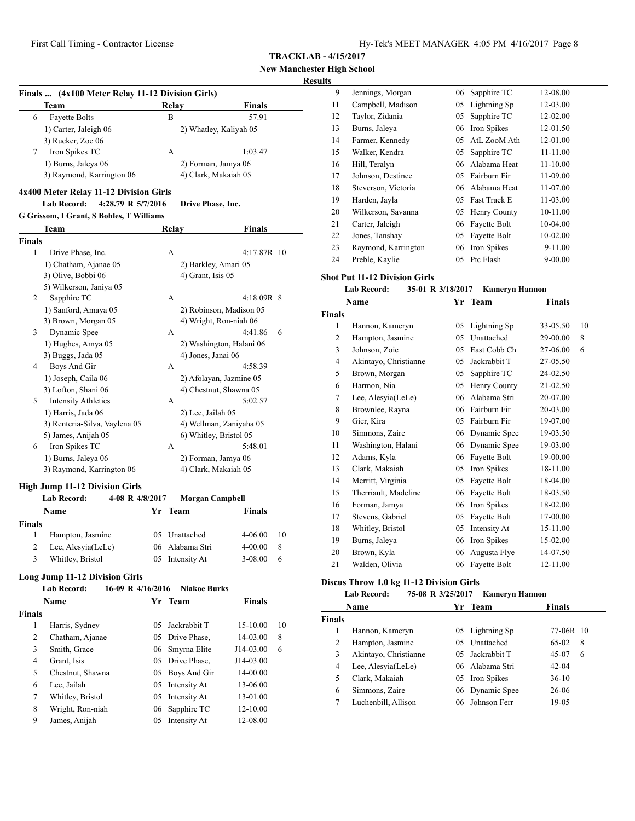# **New Manchester High School**

# **Results**

|                    | Finals  (4x100 Meter Relay 11-12 Division Girls)     |    |              |                                                   |                    |         |
|--------------------|------------------------------------------------------|----|--------------|---------------------------------------------------|--------------------|---------|
|                    | Team                                                 |    | <b>Relay</b> |                                                   | Finals             |         |
| 6                  | <b>Fayette Bolts</b>                                 |    | B            |                                                   | 57.91              |         |
|                    | 1) Carter, Jaleigh 06                                |    |              | 2) Whatley, Kaliyah 05                            |                    |         |
|                    | 3) Rucker, Zoe 06                                    |    |              |                                                   |                    |         |
| 7                  | Iron Spikes TC                                       |    | А            |                                                   | 1:03.47            |         |
|                    | 1) Burns, Jaleya 06                                  |    |              | 2) Forman, Jamya 06                               |                    |         |
|                    | 3) Raymond, Karrington 06                            |    |              | 4) Clark, Makaiah 05                              |                    |         |
|                    | 4x400 Meter Relay 11-12 Division Girls               |    |              |                                                   |                    |         |
|                    | <b>Lab Record:</b><br>4:28.79 R 5/7/2016             |    |              | Drive Phase, Inc.                                 |                    |         |
|                    | G Grissom, I Grant, S Bohles, T Williams             |    |              |                                                   |                    |         |
|                    | Team                                                 |    | <b>Relay</b> |                                                   | <b>Finals</b>      |         |
| <b>Finals</b>      |                                                      |    |              |                                                   |                    |         |
| 1                  | Drive Phase, Inc.                                    |    | А            |                                                   | 4:17.87R 10        |         |
|                    | 1) Chatham, Ajanae 05                                |    |              | 2) Barkley, Amari 05                              |                    |         |
|                    | 3) Olive, Bobbi 06                                   |    |              | 4) Grant, Isis 05                                 |                    |         |
|                    | 5) Wilkerson, Janiya 05                              |    |              |                                                   |                    |         |
| 2                  | Sapphire TC                                          |    | А            |                                                   | $4:18.09R$ 8       |         |
|                    | 1) Sanford, Amaya 05                                 |    |              | 2) Robinson, Madison 05                           |                    |         |
|                    | 3) Brown, Morgan 05                                  |    |              | 4) Wright, Ron-niah 06                            |                    |         |
| 3                  | Dynamic Spee                                         |    | А            |                                                   | 4:41.86            | 6       |
|                    | 1) Hughes, Amya 05                                   |    |              | 2) Washington, Halani 06                          |                    |         |
|                    | 3) Buggs, Jada 05                                    |    |              | 4) Jones, Janai 06                                |                    |         |
| 4                  | Boys And Gir                                         |    | А            |                                                   | 4:58.39            |         |
|                    | 1) Joseph, Caila 06                                  |    |              | 2) Afolayan, Jazmine 05                           |                    |         |
|                    | 3) Lofton, Shani 06                                  |    |              | 4) Chestnut, Shawna 05                            |                    |         |
| 5                  | <b>Intensity Athletics</b>                           |    | А            |                                                   | 5:02.57            |         |
|                    | 1) Harris, Jada 06                                   |    |              | 2) Lee, Jailah 05                                 |                    |         |
|                    | 3) Renteria-Silva, Vaylena 05<br>5) James, Anijah 05 |    |              | 4) Wellman, Zaniyaha 05<br>6) Whitley, Bristol 05 |                    |         |
| 6                  | Iron Spikes TC                                       |    | A            |                                                   | 5:48.01            |         |
|                    | 1) Burns, Jaleya 06                                  |    |              | 2) Forman, Jamya 06                               |                    |         |
|                    | 3) Raymond, Karrington 06                            |    |              | 4) Clark, Makaiah 05                              |                    |         |
|                    |                                                      |    |              |                                                   |                    |         |
|                    | <b>High Jump 11-12 Division Girls</b>                |    |              |                                                   |                    |         |
|                    | <b>Lab Record:</b><br>4-08 R 4/8/2017                |    |              | Morgan Campbell                                   |                    |         |
|                    | Name                                                 | Yr | Team         |                                                   | <b>Finals</b>      |         |
| <b>Finals</b><br>1 |                                                      |    |              | 05 Unattached                                     |                    |         |
| 2                  | Hampton, Jasmine<br>Lee, Alesyia(LeLe)               |    |              | 06 Alabama Stri                                   | 4-06.00<br>4-00.00 | 10<br>8 |
| 3                  | Whitley, Bristol                                     |    |              | 05 Intensity At                                   | 3-08.00            | 6       |
|                    |                                                      |    |              |                                                   |                    |         |
|                    | <b>Long Jump 11-12 Division Girls</b>                |    |              |                                                   |                    |         |
|                    | 16-09 R 4/16/2016<br>Lab Record:                     |    |              | <b>Niakoe Burks</b>                               |                    |         |
|                    | Name                                                 | Yr |              | Team                                              | <b>Finals</b>      |         |
| Finals             |                                                      |    |              |                                                   |                    |         |
| 1                  | Harris, Sydney                                       | 05 |              | Jackrabbit T                                      | 15-10.00           | 10      |
| 2                  | Chatham, Ajanae                                      | 05 |              | Drive Phase,                                      | 14-03.00           | 8       |
| 3                  | Smith, Grace                                         | 06 |              | Smyrna Elite                                      | J14-03.00          | 6       |
| 4                  | Grant, Isis                                          | 05 |              | Drive Phase,                                      | J14-03.00          |         |
| 5                  | Chestnut, Shawna                                     | 05 |              | Boys And Gir                                      | 14-00.00           |         |
| 6                  | Lee, Jailah                                          | 05 |              | Intensity At                                      | 13-06.00           |         |
| 7                  | Whitley, Bristol                                     | 05 |              | Intensity At                                      | 13-01.00           |         |
| 8                  | Wright, Ron-niah                                     | 06 |              | Sapphire TC                                       | 12-10.00           |         |
| 9                  | James, Anijah                                        | 05 |              | Intensity At                                      | 12-08.00           |         |
|                    |                                                      |    |              |                                                   |                    |         |

| 9  | Jennings, Morgan    | 06 | Sapphire TC         | 12-08.00    |
|----|---------------------|----|---------------------|-------------|
| 11 | Campbell, Madison   | 05 | Lightning Sp        | 12-03.00    |
| 12 | Taylor, Zidania     | 05 | Sapphire TC         | 12-02.00    |
| 13 | Burns, Jaleya       | 06 | Iron Spikes         | 12-01.50    |
| 14 | Farmer, Kennedy     | 05 | AtL ZooM Ath        | 12-01.00    |
| 15 | Walker, Kendra      | 05 | Sapphire TC         | 11-11.00    |
| 16 | Hill, Teralyn       | 06 | Alabama Heat        | 11-10.00    |
| 17 | Johnson, Destinee   | 05 | Fairburn Fir        | 11-09.00    |
| 18 | Steverson, Victoria | 06 | Alabama Heat        | 11-07.00    |
| 19 | Harden, Jayla       | 05 | <b>Fast Track E</b> | 11-03.00    |
| 20 | Wilkerson, Savanna  | 05 | Henry County        | 10-11.00    |
| 21 | Carter, Jaleigh     | 06 | Fayette Bolt        | 10-04.00    |
| 22 | Jones, Tanshay      | 05 | Fayette Bolt        | 10-02.00    |
| 23 | Raymond, Karrington | 06 | Iron Spikes         | 9-11.00     |
| 24 | Preble, Kaylie      | 05 | Ptc Flash           | $9 - 00.00$ |

## **Shot Put 11-12 Division Girls**

## **Lab Record: 35-01 R 3/18/2017 Kameryn Hannon**

| Name          |                       | Yr | <b>Team</b>  | Finals   |    |  |
|---------------|-----------------------|----|--------------|----------|----|--|
| <b>Finals</b> |                       |    |              |          |    |  |
| 1             | Hannon, Kameryn       | 05 | Lightning Sp | 33-05.50 | 10 |  |
| 2             | Hampton, Jasmine      | 05 | Unattached   | 29-00.00 | 8  |  |
| 3             | Johnson, Zoie         | 05 | East Cobb Ch | 27-06.00 | 6  |  |
| 4             | Akintayo, Christianne | 05 | Jackrabbit T | 27-05.50 |    |  |
| 5             | Brown, Morgan         | 05 | Sapphire TC  | 24-02.50 |    |  |
| 6             | Harmon, Nia           | 05 | Henry County | 21-02.50 |    |  |
| 7             | Lee, Alesyia(LeLe)    | 06 | Alabama Stri | 20-07.00 |    |  |
| 8             | Brownlee, Rayna       | 06 | Fairburn Fir | 20-03.00 |    |  |
| 9             | Gier, Kira            | 05 | Fairburn Fir | 19-07.00 |    |  |
| 10            | Simmons, Zaire        | 06 | Dynamic Spee | 19-03.50 |    |  |
| 11            | Washington, Halani    | 06 | Dynamic Spee | 19-03.00 |    |  |
| 12            | Adams, Kyla           | 06 | Fayette Bolt | 19-00.00 |    |  |
| 13            | Clark, Makaiah        | 05 | Iron Spikes  | 18-11.00 |    |  |
| 14            | Merritt, Virginia     | 05 | Fayette Bolt | 18-04.00 |    |  |
| 15            | Therriault, Madeline  | 06 | Fayette Bolt | 18-03.50 |    |  |
| 16            | Forman, Jamya         | 06 | Iron Spikes  | 18-02.00 |    |  |
| 17            | Stevens, Gabriel      | 05 | Fayette Bolt | 17-00.00 |    |  |
| 18            | Whitley, Bristol      | 05 | Intensity At | 15-11.00 |    |  |
| 19            | Burns, Jaleya         | 06 | Iron Spikes  | 15-02.00 |    |  |
| 20            | Brown, Kyla           | 06 | Augusta Flye | 14-07.50 |    |  |
| 21            | Walden, Olivia        | 06 | Fayette Bolt | 12-11.00 |    |  |

## **Discus Throw 1.0 kg 11-12 Division Girls**

# **Lab Record: 75-08 R 3/25/2017 Kameryn Hannon**

| Name          |                       |    | Yr Team         | <b>Finals</b> |
|---------------|-----------------------|----|-----------------|---------------|
| <b>Finals</b> |                       |    |                 |               |
|               | Hannon, Kameryn       |    | 05 Lightning Sp | 77-06R 10     |
| 2             | Hampton, Jasmine      |    | 05 Unattached   | $65-02$<br>8  |
| 3             | Akintayo, Christianne |    | 05 Jackrabbit T | 45-07<br>6    |
| 4             | Lee, Alesyia(LeLe)    |    | 06 Alabama Stri | $42 - 04$     |
| 5             | Clark, Makaiah        |    | 05 Iron Spikes  | $36-10$       |
| 6             | Simmons, Zaire        |    | 06 Dynamic Spee | 26-06         |
|               | Luchenbill, Allison   | 06 | Johnson Ferr    | 19-05         |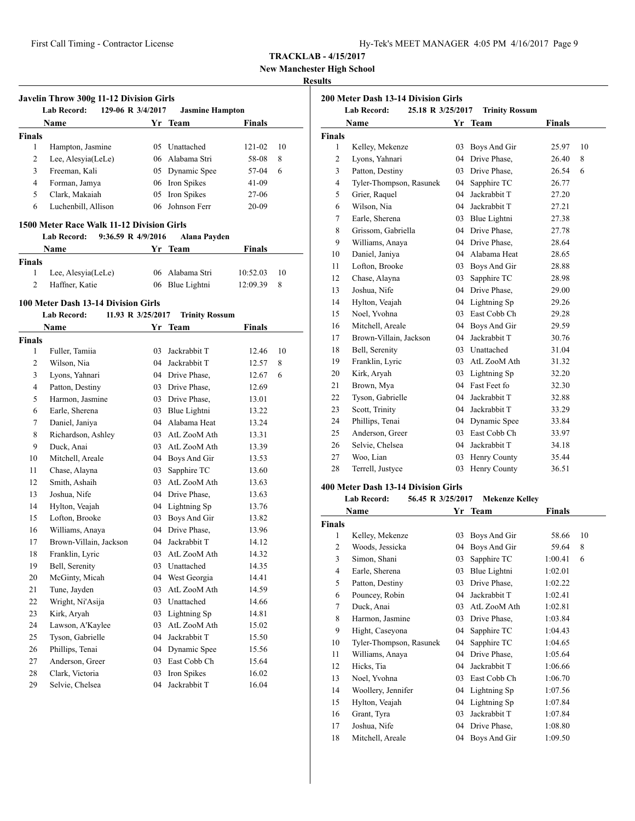**New Manchester High School**

# **Results**

|                | Javelin Throw 300g 11-12 Division Girls   |    |                        |               |    |
|----------------|-------------------------------------------|----|------------------------|---------------|----|
|                | <b>Lab Record:</b><br>129-06 R 3/4/2017   |    | <b>Jasmine Hampton</b> |               |    |
|                | Name                                      |    | Yr Team                | <b>Finals</b> |    |
| <b>Finals</b>  |                                           |    |                        |               |    |
| 1              | Hampton, Jasmine                          |    | 05 Unattached          | 121-02        | 10 |
| 2              | Lee, Alesyia(LeLe)                        |    | 06 Alabama Stri        | 58-08         | 8  |
| 3              | Freeman, Kali                             |    | 05 Dynamic Spee        | 57-04         | 6  |
| 4              | Forman, Jamya                             |    | 06 Iron Spikes         | 41-09         |    |
| 5              | Clark, Makaiah                            | 05 | Iron Spikes            | 27-06         |    |
| 6              | Luchenbill, Allison                       | 06 | Johnson Ferr           | 20-09         |    |
|                | 1500 Meter Race Walk 11-12 Division Girls |    |                        |               |    |
|                | <b>Lab Record:</b><br>9:36.59 R 4/9/2016  |    | <b>Alana Payden</b>    |               |    |
|                | Name                                      | Yr | <b>Team</b>            | <b>Finals</b> |    |
| <b>Finals</b>  |                                           |    |                        |               |    |
| 1              | Lee, Alesyia(LeLe)                        |    | 06 Alabama Stri        | 10:52.03      | 10 |
| $\overline{2}$ | Haffner, Katie                            |    | 06 Blue Lightni        | 12:09.39      | 8  |
|                | 100 Meter Dash 13-14 Division Girls       |    |                        |               |    |
|                | Lab Record:<br>11.93 R 3/25/2017          |    | <b>Trinity Rossum</b>  |               |    |
|                | Name                                      |    | Yr Team                | Finals        |    |
| <b>Finals</b>  |                                           |    |                        |               |    |
| 1              | Fuller, Tamiia                            | 03 | Jackrabbit T           | 12.46         | 10 |
| 2              | Wilson, Nia                               |    | 04 Jackrabbit T        | 12.57         | 8  |
| 3              | Lyons, Yahnari                            |    | 04 Drive Phase,        | 12.67         | 6  |
| $\overline{4}$ | Patton, Destiny                           |    | 03 Drive Phase,        | 12.69         |    |
| 5              | Harmon, Jasmine                           |    | 03 Drive Phase,        | 13.01         |    |
| 6              | Earle, Sherena                            |    | 03 Blue Lightni        | 13.22         |    |
| 7              | Daniel, Janiya                            |    | 04 Alabama Heat        | 13.24         |    |
| 8              | Richardson, Ashley                        |    | 03 AtL ZooM Ath        | 13.31         |    |
| 9              | Duck, Anai                                |    | 03 AtL ZooM Ath        | 13.39         |    |
| 10             | Mitchell, Areale                          |    | 04 Boys And Gir        | 13.53         |    |
| 11             | Chase, Alayna                             | 03 | Sapphire TC            | 13.60         |    |
| 12             | Smith, Ashaih                             |    | 03 AtL ZooM Ath        | 13.63         |    |
| 13             | Joshua, Nife                              |    | 04 Drive Phase,        | 13.63         |    |
| 14             | Hylton, Veajah                            |    | 04 Lightning Sp        | 13.76         |    |
| 15             | Lofton, Brooke                            |    | 03 Boys And Gir        | 13.82         |    |
| 16             | Williams, Anaya                           |    | 04 Drive Phase,        | 13.96         |    |
| 17             | Brown-Villain, Jackson                    |    | 04 Jackrabbit T        | 14.12         |    |
| 18             | Franklin, Lyric                           | 03 | AtL ZooM Ath           | 14.32         |    |
| 19             | Bell, Serenity                            |    | 03 Unattached          | 14.35         |    |
| 20             | McGinty, Micah                            | 04 | West Georgia           | 14.41         |    |
| 21             | Tune, Jayden                              | 03 | AtL ZooM Ath           | 14.59         |    |
| 22             | Wright, Ni'Asija                          | 03 | Unattached             | 14.66         |    |
| 23             | Kirk, Aryah                               | 03 | Lightning Sp           | 14.81         |    |
| 24             | Lawson, A'Kaylee                          | 03 | AtL ZooM Ath           | 15.02         |    |
|                | Tyson, Gabrielle                          | 04 | Jackrabbit T           | 15.50         |    |
| 25             |                                           |    |                        |               |    |
| 26             | Phillips, Tenai                           | 04 | Dynamic Spee           | 15.56         |    |
| 27             | Anderson, Greer                           | 03 | East Cobb Ch           | 15.64         |    |
| 28             | Clark, Victoria                           | 03 | Iron Spikes            | 16.02         |    |

| 200 Meter Dash 13-14 Division Girls<br>25.18 R 3/25/2017 |                            |    |                                  |               |    |  |  |
|----------------------------------------------------------|----------------------------|----|----------------------------------|---------------|----|--|--|
|                                                          | <b>Lab Record:</b><br>Name |    | <b>Trinity Rossum</b><br>Yr Team | <b>Finals</b> |    |  |  |
| <b>Finals</b>                                            |                            |    |                                  |               |    |  |  |
| 1                                                        | Kelley, Mekenze            | 03 | Boys And Gir                     | 25.97         | 10 |  |  |
| 2                                                        | Lyons, Yahnari             | 04 | Drive Phase,                     | 26.40         | 8  |  |  |
| 3                                                        | Patton, Destiny            |    | 03 Drive Phase.                  | 26.54         | 6  |  |  |
| $\overline{4}$                                           | Tyler-Thompson, Rasunek    |    | 04 Sapphire TC                   | 26.77         |    |  |  |
| 5                                                        | Grier, Raquel              |    | 04 Jackrabbit T                  | 27.20         |    |  |  |
| 6                                                        | Wilson, Nia                | 04 | Jackrabbit T                     | 27.21         |    |  |  |
| $\overline{7}$                                           | Earle, Sherena             |    | 03 Blue Lightni                  | 27.38         |    |  |  |
| 8                                                        | Grissom, Gabriella         |    | 04 Drive Phase,                  | 27.78         |    |  |  |
| 9                                                        | Williams, Anaya            |    | 04 Drive Phase,                  | 28.64         |    |  |  |
| 10                                                       | Daniel, Janiya             |    | 04 Alabama Heat                  | 28.65         |    |  |  |
| 11                                                       | Lofton, Brooke             |    | 03 Boys And Gir                  | 28.88         |    |  |  |
| 12                                                       | Chase, Alayna              | 03 | Sapphire TC                      | 28.98         |    |  |  |
| 13                                                       | Joshua, Nife               | 04 | Drive Phase,                     | 29.00         |    |  |  |
| 14                                                       | Hylton, Veajah             |    | 04 Lightning Sp                  | 29.26         |    |  |  |
| 15                                                       | Noel, Yvohna               |    | 03 East Cobb Ch                  | 29.28         |    |  |  |
| 16                                                       | Mitchell, Areale           | 04 | Boys And Gir                     | 29.59         |    |  |  |
| 17                                                       | Brown-Villain, Jackson     | 04 | Jackrabbit T                     | 30.76         |    |  |  |
| 18                                                       | Bell, Serenity             |    | 03 Unattached                    | 31.04         |    |  |  |
| 19                                                       | Franklin, Lyric            |    | 03 AtL ZooM Ath                  | 31.32         |    |  |  |
| 20                                                       | Kirk, Aryah                | 03 | Lightning Sp                     | 32.20         |    |  |  |
| 21                                                       | Brown, Mya                 |    | 04 Fast Feet fo                  | 32.30         |    |  |  |
| 22                                                       | Tyson, Gabrielle           |    | 04 Jackrabbit T                  | 32.88         |    |  |  |
| 23                                                       | Scott, Trinity             |    | 04 Jackrabbit T                  | 33.29         |    |  |  |
| 24                                                       | Phillips, Tenai            |    | 04 Dynamic Spee                  | 33.84         |    |  |  |
| 25                                                       | Anderson, Greer            |    | 03 East Cobb Ch                  | 33.97         |    |  |  |
| 26                                                       | Selvie, Chelsea            |    | 04 Jackrabbit T                  | 34.18         |    |  |  |
| 27                                                       | Woo, Lian                  | 03 | Henry County                     | 35.44         |    |  |  |
| 28                                                       | Terrell, Justyce           | 03 | Henry County                     | 36.51         |    |  |  |
|                                                          |                            |    |                                  |               |    |  |  |

# **400 Meter Dash 13-14 Division Girls**

#### **Lab Record: 56.45 R 3/25/2017 Mekenze Kelley**

|                | Name                    | Yr | <b>Team</b>  | <b>Finals</b> |    |
|----------------|-------------------------|----|--------------|---------------|----|
| Finals         |                         |    |              |               |    |
| 1              | Kelley, Mekenze         | 03 | Boys And Gir | 58.66         | 10 |
| $\overline{2}$ | Woods, Jessicka         | 04 | Boys And Gir | 59.64         | 8  |
| 3              | Simon, Shani            | 03 | Sapphire TC  | 1:00.41       | 6  |
| $\overline{4}$ | Earle, Sherena          | 03 | Blue Lightni | 1:02.01       |    |
| 5              | Patton, Destiny         | 03 | Drive Phase, | 1:02.22       |    |
| 6              | Pouncey, Robin          | 04 | Jackrabbit T | 1:02.41       |    |
| 7              | Duck, Anai              | 03 | AtL ZooM Ath | 1:02.81       |    |
| 8              | Harmon, Jasmine         | 03 | Drive Phase, | 1:03.84       |    |
| 9              | Hight, Caseyona         | 04 | Sapphire TC  | 1:04.43       |    |
| 10             | Tyler-Thompson, Rasunek | 04 | Sapphire TC  | 1:04.65       |    |
| 11             | Williams, Anaya         | 04 | Drive Phase, | 1:05.64       |    |
| 12             | Hicks, Tia              | 04 | Jackrabbit T | 1:06.66       |    |
| 13             | Noel, Yvohna            | 03 | East Cobb Ch | 1:06.70       |    |
| 14             | Woollery, Jennifer      | 04 | Lightning Sp | 1:07.56       |    |
| 15             | Hylton, Veajah          | 04 | Lightning Sp | 1:07.84       |    |
| 16             | Grant, Tyra             | 03 | Jackrabbit T | 1:07.84       |    |
| 17             | Joshua, Nife            | 04 | Drive Phase, | 1:08.80       |    |
| 18             | Mitchell, Areale        | 04 | Boys And Gir | 1:09.50       |    |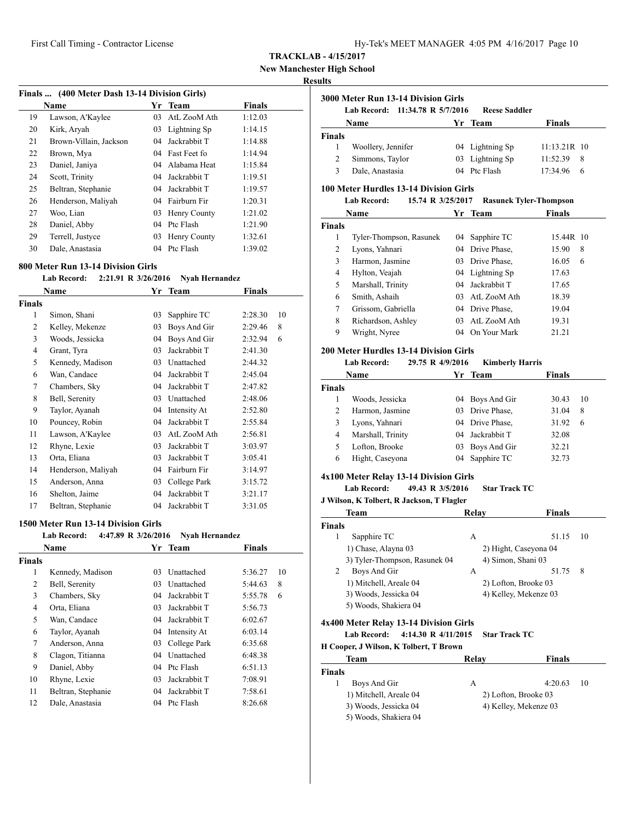**New Manchester High School**

#### **Results**

l,

| Finals  (400 Meter Dash 13-14 Division Girls) |                        |    |              |               |  |  |
|-----------------------------------------------|------------------------|----|--------------|---------------|--|--|
|                                               | Name                   | Yr | <b>Team</b>  | <b>Finals</b> |  |  |
| 19                                            | Lawson, A'Kaylee       | 03 | AtL ZooM Ath | 1:12.03       |  |  |
| 20                                            | Kirk, Aryah            | 03 | Lightning Sp | 1:14.15       |  |  |
| 21                                            | Brown-Villain, Jackson | 04 | Jackrabbit T | 1:14.88       |  |  |
| 22                                            | Brown, Mya             | 04 | Fast Feet fo | 1:14.94       |  |  |
| 23                                            | Daniel, Janiya         | 04 | Alabama Heat | 1:15.84       |  |  |
| 24                                            | Scott, Trinity         | 04 | Jackrabbit T | 1:19.51       |  |  |
| 25                                            | Beltran, Stephanie     | 04 | Jackrabbit T | 1:19.57       |  |  |
| 26                                            | Henderson, Maliyah     | 04 | Fairburn Fir | 1:20.31       |  |  |
| 27                                            | Woo, Lian              | 03 | Henry County | 1:21.02       |  |  |
| 28                                            | Daniel, Abby           | 04 | Ptc Flash    | 1:21.90       |  |  |
| 29                                            | Terrell, Justyce       | 03 | Henry County | 1:32.61       |  |  |
| 30                                            | Dale, Anastasia        | 04 | Ptc Flash    | 1:39.02       |  |  |

#### **800 Meter Run 13-14 Division Girls**

#### **Lab Record: 2:21.91 R 3/26/2016 Nyah Hernandez**

|                | Name               | Yr | Team         | Finals  |    |
|----------------|--------------------|----|--------------|---------|----|
| Finals         |                    |    |              |         |    |
| 1              | Simon, Shani       | 03 | Sapphire TC  | 2:28.30 | 10 |
| 2              | Kelley, Mekenze    | 03 | Boys And Gir | 2:29.46 | 8  |
| 3              | Woods, Jessicka    | 04 | Boys And Gir | 2:32.94 | 6  |
| $\overline{4}$ | Grant, Tyra        | 03 | Jackrabbit T | 2:41.30 |    |
| 5              | Kennedy, Madison   | 03 | Unattached   | 2:44.32 |    |
| 6              | Wan, Candace       | 04 | Jackrabbit T | 2:45.04 |    |
| 7              | Chambers, Sky      | 04 | Jackrabbit T | 2:47.82 |    |
| 8              | Bell, Serenity     | 03 | Unattached   | 2:48.06 |    |
| 9              | Taylor, Ayanah     | 04 | Intensity At | 2:52.80 |    |
| 10             | Pouncey, Robin     | 04 | Jackrabbit T | 2:55.84 |    |
| 11             | Lawson, A'Kaylee   | 03 | AtL ZooM Ath | 2:56.81 |    |
| 12             | Rhyne, Lexie       | 03 | Jackrabbit T | 3:03.97 |    |
| 13             | Orta, Eliana       | 03 | Jackrabbit T | 3:05.41 |    |
| 14             | Henderson, Maliyah | 04 | Fairburn Fir | 3:14.97 |    |
| 15             | Anderson, Anna     | 03 | College Park | 3:15.72 |    |
| 16             | Shelton, Jaime     | 04 | Jackrabbit T | 3:21.17 |    |
| 17             | Beltran, Stephanie | 04 | Jackrabbit T | 3:31.05 |    |

#### **1500 Meter Run 13-14 Division Girls**

|               | <b>Lab Record:</b> | 4:47.89 R 3/26/2016 | <b>Nyah Hernandez</b> |               |    |
|---------------|--------------------|---------------------|-----------------------|---------------|----|
|               | Name               |                     | Yr Team               | <b>Finals</b> |    |
| <b>Finals</b> |                    |                     |                       |               |    |
| 1             | Kennedy, Madison   | 03                  | Unattached            | 5:36.27       | 10 |
| 2             | Bell, Serenity     | 03                  | Unattached            | 5:44.63       | 8  |
| 3             | Chambers, Sky      | 04                  | Jackrabbit T          | 5:55.78       | 6  |
| 4             | Orta, Eliana       | 03                  | Jackrabbit T          | 5:56.73       |    |
| 5             | Wan, Candace       | 04                  | Jackrabbit T          | 6:02.67       |    |
| 6             | Taylor, Ayanah     |                     | 04 Intensity At       | 6:03.14       |    |
| 7             | Anderson, Anna     | 03                  | College Park          | 6:35.68       |    |
| 8             | Clagon, Titianna   | 04                  | Unattached            | 6:48.38       |    |
| 9             | Daniel, Abby       | 04                  | Ptc Flash             | 6:51.13       |    |
| 10            | Rhyne, Lexie       | 03                  | Jackrabbit T          | 7:08.91       |    |
| 11            | Beltran, Stephanie | 04                  | Jackrabbit T          | 7:58.61       |    |
| 12            | Dale, Anastasia    | 04                  | Ptc Flash             | 8:26.68       |    |

|             | 3000 Meter Run 13-14 Division Girls |                      |               |
|-------------|-------------------------------------|----------------------|---------------|
|             | Lab Record: 11:34.78 R 5/7/2016     | <b>Reese Saddler</b> |               |
| <b>Name</b> | Yr Team                             |                      | <b>Finals</b> |

|               | гуанис             | н неанн         | т птатэ        |  |
|---------------|--------------------|-----------------|----------------|--|
| <b>Finals</b> |                    |                 |                |  |
|               | Woollery, Jennifer | 04 Lightning Sp | $11:13.21R$ 10 |  |
| 2             | Simmons, Taylor    | 03 Lightning Sp | $11:52.39$ 8   |  |
| 3             | Dale, Anastasia    | 04 Ptc Flash    | $17:34.96$ 6   |  |

#### **100 Meter Hurdles 13-14 Division Girls**

| Lab Record: | 15.74 R 3/25/2017 |  | <b>Rasunek Tyler-Thompson</b> |
|-------------|-------------------|--|-------------------------------|
|             |                   |  |                               |

| Name                    | Yr | Team         | Finals                                                                               |
|-------------------------|----|--------------|--------------------------------------------------------------------------------------|
|                         |    |              |                                                                                      |
| Tyler-Thompson, Rasunek |    |              | 15.44R 10                                                                            |
| Lyons, Yahnari          |    |              | 15.90<br>8                                                                           |
| Harmon, Jasmine         | 03 | Drive Phase. | 16.05<br>6                                                                           |
| Hylton, Veajah          |    |              | 17.63                                                                                |
| Marshall, Trinity       | 04 |              | 17.65                                                                                |
| Smith, Ashaih           | 03 | AtL ZooM Ath | 18.39                                                                                |
| Grissom, Gabriella      | 04 |              | 19.04                                                                                |
| Richardson, Ashley      | 03 | AtL ZooM Ath | 19.31                                                                                |
| Wright, Nyree           | 04 | On Your Mark | 21.21                                                                                |
|                         |    |              | 04 Sapphire TC<br>04 Drive Phase,<br>04 Lightning Sp<br>Jackrabbit T<br>Drive Phase. |

## **200 Meter Hurdles 13-14 Division Girls**

# **Lab Record: 29.75 R 4/9/2016 Kimberly Harris**

| <b>Name</b>   |                   | Yr Team         | <b>Finals</b> |    |
|---------------|-------------------|-----------------|---------------|----|
| <b>Finals</b> |                   |                 |               |    |
|               | Woods, Jessicka   | 04 Boys And Gir | 30.43         | 10 |
| 2             | Harmon, Jasmine   | 03 Drive Phase, | 31.04         | 8  |
|               | Lyons, Yahnari    | 04 Drive Phase, | 31.92         | 6  |
| 4             | Marshall, Trinity | 04 Jackrabbit T | 32.08         |    |
|               | Lofton, Brooke    | 03 Boys And Gir | 32.21         |    |
| 6             | Hight, Caseyona   | 04 Sapphire TC  | 32.73         |    |

#### **4x100 Meter Relay 13-14 Division Girls**

#### **Lab Record: 49.43 R 3/5/2016 Star Track TC**

#### **J Wilson, K Tolbert, R Jackson, T Flagler**

|        | Team                          | Relav | <b>Finals</b>         |    |
|--------|-------------------------------|-------|-----------------------|----|
| Finals |                               |       |                       |    |
|        | Sapphire TC                   | А     | 51.15                 | 10 |
|        | 1) Chase, Alayna 03           |       | 2) Hight, Caseyona 04 |    |
|        | 3) Tyler-Thompson, Rasunek 04 |       | 4) Simon, Shani 03    |    |
|        | Boys And Gir                  | А     | 51.75                 | 8  |
|        | 1) Mitchell, Areale 04        |       | 2) Lofton, Brooke 03  |    |
|        | 3) Woods, Jessicka 04         |       | 4) Kelley, Mekenze 03 |    |
|        | 5) Woods, Shakiera 04         |       |                       |    |

#### **4x400 Meter Relay 13-14 Division Girls**

# **Lab Record: 4:14.30 R 4/11/2015 Star Track TC**

| Team                   | Relay | <b>Finals</b>         |
|------------------------|-------|-----------------------|
| <b>Finals</b>          |       |                       |
| Boys And Gir           | А     | 4:20.63<br>-10        |
| 1) Mitchell, Areale 04 |       | 2) Lofton, Brooke 03  |
| 3) Woods, Jessicka 04  |       | 4) Kelley, Mekenze 03 |
| 5) Woods, Shakiera 04  |       |                       |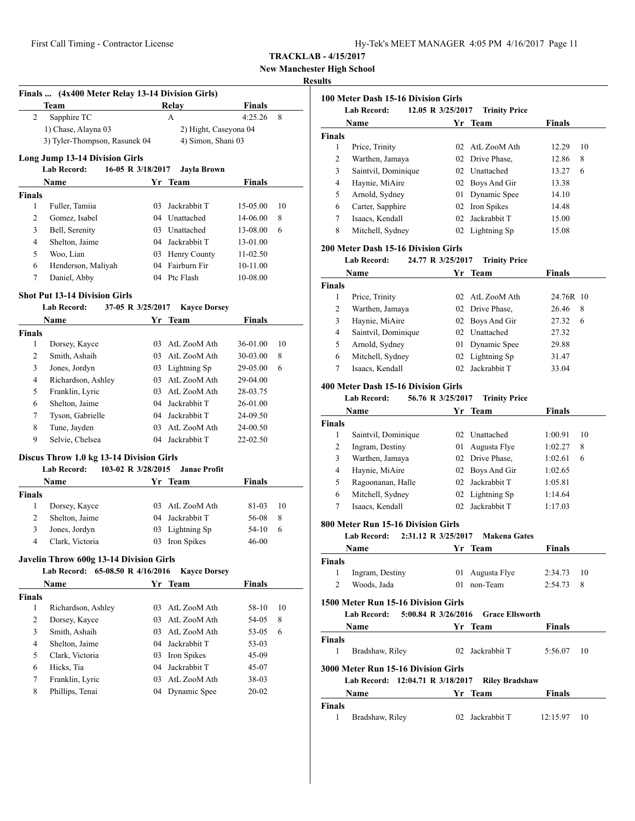**High School** 

#### **Results**

|                               | Finals  (4x400 Meter Relay 13-14 Division Girls)<br>Team                             |    | Relay                              | <b>Finals</b>        |    |
|-------------------------------|--------------------------------------------------------------------------------------|----|------------------------------------|----------------------|----|
| 2                             | Sapphire TC                                                                          |    | A                                  | 4:25.26              | 8  |
|                               | 1) Chase, Alayna 03                                                                  |    | 2) Hight, Caseyona 04              |                      |    |
|                               | 3) Tyler-Thompson, Rasunek 04                                                        |    | 4) Simon, Shani 03                 |                      |    |
|                               |                                                                                      |    |                                    |                      |    |
|                               | <b>Long Jump 13-14 Division Girls</b><br><b>Lab Record:</b>                          |    |                                    |                      |    |
|                               | 16-05 R 3/18/2017                                                                    |    | <b>Jayla Brown</b>                 |                      |    |
|                               | Name                                                                                 |    | Yr Team                            | Finals               |    |
| Finals<br>1                   |                                                                                      |    |                                    |                      | 10 |
| 2                             | Fuller, Tamiia                                                                       |    | 03 Jackrabbit T<br>04 Unattached   | 15-05.00<br>14-06.00 | 8  |
| 3                             | Gomez, Isabel                                                                        |    |                                    |                      |    |
| $\overline{4}$                | Bell, Serenity<br>Shelton, Jaime                                                     |    | 03 Unattached                      | 13-08.00             | 6  |
| 5                             |                                                                                      |    | 04 Jackrabbit T                    | 13-01.00             |    |
|                               | Woo, Lian                                                                            |    | 03 Henry County<br>04 Fairburn Fir | 11-02.50             |    |
| 6<br>7                        | Henderson, Maliyah                                                                   |    |                                    | 10-11.00             |    |
|                               | Daniel, Abby                                                                         |    | 04 Ptc Flash                       | 10-08.00             |    |
|                               | Shot Put 13-14 Division Girls                                                        |    |                                    |                      |    |
|                               | <b>Lab Record:</b>                                                                   |    | 37-05 R 3/25/2017 Kayce Dorsey     |                      |    |
|                               | Name                                                                                 |    | Yr Team                            | <b>Finals</b>        |    |
| Finals                        |                                                                                      |    |                                    |                      |    |
| 1                             | Dorsey, Kayce                                                                        |    | 03 AtL ZooM Ath                    | 36-01.00             | 10 |
| 2                             | Smith, Ashaih                                                                        |    | 03 AtL ZooM Ath                    | 30-03.00             | 8  |
| 3                             | Jones, Jordyn                                                                        |    | 03 Lightning Sp                    | 29-05.00             | 6  |
| $\overline{4}$                | Richardson, Ashley                                                                   |    | 03 AtL ZooM Ath                    | 29-04.00             |    |
| 5                             | Franklin, Lyric                                                                      |    | 03 AtL ZooM Ath                    | 28-03.75             |    |
| 6                             | Shelton, Jaime                                                                       |    | 04 Jackrabbit T                    | 26-01.00             |    |
| 7                             | Tyson, Gabrielle                                                                     |    | 04 Jackrabbit T                    | 24-09.50             |    |
| 8                             | Tune, Jayden                                                                         |    | 03 AtL ZooM Ath                    | 24-00.50             |    |
| 9                             | Selvie, Chelsea                                                                      |    | 04 Jackrabbit T                    | 22-02.50             |    |
|                               |                                                                                      |    |                                    |                      |    |
|                               | Discus Throw 1.0 kg 13-14 Division Girls<br><b>Lab Record:</b><br>103-02 R 3/28/2015 |    | <b>Janae Profit</b>                |                      |    |
|                               |                                                                                      |    |                                    |                      |    |
|                               | Name                                                                                 |    | Yr Team                            | Finals               |    |
| Finals                        |                                                                                      |    |                                    |                      |    |
| 1                             | Dorsey, Kayce                                                                        |    | 03 AtL ZooM Ath                    | 81-03                | 10 |
| 2                             | Shelton, Jaime                                                                       |    | 04 Jackrabbit T                    | 56-08                | 8  |
| $\overline{3}$<br>4           | Jones, Jordyn                                                                        |    | 03 Lightning Sp                    | $54-10$              | 6  |
|                               | Clark, Victoria                                                                      |    | 03 Iron Spikes                     | $46 - 00$            |    |
|                               | <b>Javelin Throw 600g 13-14 Division Girls</b>                                       |    |                                    |                      |    |
|                               | Lab Record: 65-08.50 R 4/16/2016                                                     |    | <b>Kayce Dorsey</b>                |                      |    |
|                               | Name                                                                                 |    | Yr Team                            | <b>Finals</b>        |    |
| Finals                        |                                                                                      |    |                                    |                      |    |
|                               | Richardson, Ashley                                                                   | 03 | AtL ZooM Ath                       | 58-10                | 10 |
|                               | Dorsey, Kayce                                                                        | 03 | AtL ZooM Ath                       | 54-05                | 8  |
|                               | Smith, Ashaih                                                                        | 03 | AtL ZooM Ath                       | 53-05                | 6  |
|                               |                                                                                      | 04 | Jackrabbit T                       | 53-03                |    |
| 1<br>2<br>3<br>$\overline{4}$ | Shelton, Jaime                                                                       |    |                                    | 45-09                |    |
| 5                             | Clark, Victoria                                                                      | 03 | Iron Spikes                        |                      |    |
| 6                             | Hicks, Tia                                                                           | 04 | Jackrabbit T                       | 45-07                |    |
| 7                             | Franklin, Lyric                                                                      |    | 03 AtL ZooM Ath                    | 38-03                |    |

|               | 100 Meter Dash 15-16 Division Girls        |                         |                        |                |    |
|---------------|--------------------------------------------|-------------------------|------------------------|----------------|----|
|               | Lab Record:                                | 12.05 R 3/25/2017       | <b>Trinity Price</b>   |                |    |
|               | Name                                       |                         | Yr Team                | <b>Finals</b>  |    |
| <b>Finals</b> |                                            |                         |                        |                |    |
| 1             | Price, Trinity                             |                         | 02 AtL ZooM Ath        | 12.29<br>12.86 | 10 |
| 2             | Warthen, Jamaya                            |                         | 02 Drive Phase,        |                | 8  |
| 3             | Saintvil, Dominique                        |                         | 02 Unattached          | 13.27          | 6  |
| 4             | Haynie, MiAire                             |                         | 02 Boys And Gir        | 13.38          |    |
| 5             | Arnold, Sydney                             |                         | 01 Dynamic Spee        | 14.10          |    |
| 6             | Carter, Sapphire                           |                         | 02 Iron Spikes         | 14.48          |    |
| 7             | Isaacs, Kendall                            |                         | 02 Jackrabbit T        | 15.00          |    |
| 8             | Mitchell, Sydney                           |                         | 02 Lightning Sp        | 15.08          |    |
|               | <b>200 Meter Dash 15-16 Division Girls</b> |                         |                        |                |    |
|               | <b>Lab Record:</b><br>Name                 | 24.77 R 3/25/2017<br>Yr | <b>Trinity Price</b>   | <b>Finals</b>  |    |
|               |                                            |                         | Team                   |                |    |
| <b>Finals</b> |                                            |                         | 02 AtL ZooM Ath        |                |    |
| 1             | Price, Trinity                             |                         |                        | 24.76R 10      |    |
| 2             | Warthen, Jamaya                            |                         | 02 Drive Phase,        | 26.46          | 8  |
| 3             | Haynie, MiAire                             |                         | 02 Boys And Gir        | 27.32          | 6  |
| 4             | Saintvil, Dominique                        |                         | 02 Unattached          | 27.32          |    |
| 5             | Arnold, Sydney                             |                         | 01 Dynamic Spee        | 29.88          |    |
| 6             | Mitchell, Sydney                           |                         | 02 Lightning Sp        | 31.47          |    |
| 7             | Isaacs, Kendall                            | 02                      | Jackrabbit T           | 33.04          |    |
|               | 400 Meter Dash 15-16 Division Girls        |                         |                        |                |    |
|               | <b>Lab Record:</b>                         | 56.76 R 3/25/2017       | <b>Trinity Price</b>   |                |    |
|               | Name                                       | Yr                      | Team                   | Finals         |    |
| <b>Finals</b> |                                            |                         |                        |                |    |
| 1             | Saintvil, Dominique                        |                         | 02 Unattached          | 1:00.91        | 10 |
| 2             | Ingram, Destiny                            |                         | 01 Augusta Flye        | 1:02.27        | 8  |
| 3             | Warthen, Jamaya                            |                         | 02 Drive Phase,        | 1:02.61        | 6  |
| 4             | Haynie, MiAire                             |                         | 02 Boys And Gir        | 1:02.65        |    |
| 5             | Ragoonanan, Halle                          |                         | 02 Jackrabbit T        | 1:05.81        |    |
| 6             | Mitchell, Sydney                           |                         | 02 Lightning Sp        | 1:14.64        |    |
| 7             | Isaacs, Kendall                            | 02                      | Jackrabbit T           | 1:17.03        |    |
|               | 800 Meter Run 15-16 Division Girls         |                         |                        |                |    |
|               | Lab Record:<br>2:31.12 R 3/25/2017         |                         | <b>Makena Gates</b>    |                |    |
|               | Name                                       | Υr                      | Team                   | Finals         |    |
| Finals        |                                            |                         |                        |                |    |
| 1             | Ingram, Destiny                            |                         | 01 Augusta Flye        | 2:34.73        | 10 |
| 2             | Woods, Jada                                |                         | 01 non-Team            | 2:54.73        | 8  |
|               | 1500 Meter Run 15-16 Division Girls        |                         |                        |                |    |
|               | Lab Record: 5:00.84 R 3/26/2016            |                         | <b>Grace Ellsworth</b> |                |    |
|               | Name                                       |                         | Yr Team                | <b>Finals</b>  |    |
| <b>Finals</b> |                                            |                         |                        |                |    |
| 1             | Bradshaw, Riley                            |                         | 02 Jackrabbit T        | 5:56.07        | 10 |
|               | 3000 Meter Run 15-16 Division Girls        |                         |                        |                |    |
|               | Lab Record: 12:04.71 R 3/18/2017           |                         | <b>Riley Bradshaw</b>  |                |    |
|               | Name                                       |                         | Yr Team                | Finals         |    |
| Finals        |                                            |                         |                        |                |    |
| 1             | Bradshaw, Riley                            |                         | 02 Jackrabbit T        | 12:15.97       | 10 |
|               |                                            |                         |                        |                |    |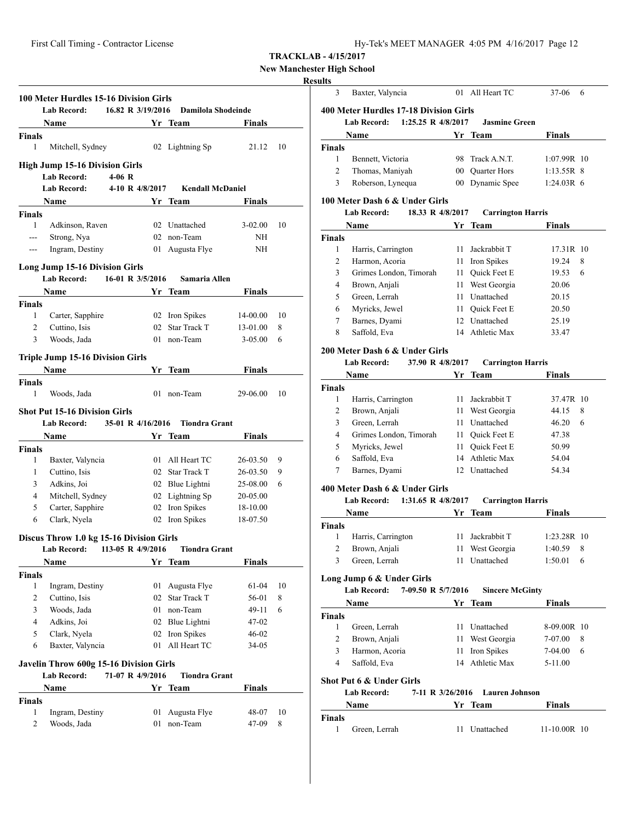# **New Manchester High School**

# **Results**

|                                                                                                                                                                                                                                                                                                                                                                                                                                                                            | 100 Meter Hurdles 15-16 Division Girls<br><b>Lab Record:</b> | 16.82 R 3/19/2016 |    | Damilola Shodeinde      |               |    |
|----------------------------------------------------------------------------------------------------------------------------------------------------------------------------------------------------------------------------------------------------------------------------------------------------------------------------------------------------------------------------------------------------------------------------------------------------------------------------|--------------------------------------------------------------|-------------------|----|-------------------------|---------------|----|
|                                                                                                                                                                                                                                                                                                                                                                                                                                                                            | Name                                                         |                   |    | Yr Team                 | Finals        |    |
| <b>Finals</b>                                                                                                                                                                                                                                                                                                                                                                                                                                                              |                                                              |                   |    |                         |               |    |
| 1                                                                                                                                                                                                                                                                                                                                                                                                                                                                          | Mitchell, Sydney                                             |                   |    | 02 Lightning Sp         | 21.12         | 10 |
|                                                                                                                                                                                                                                                                                                                                                                                                                                                                            | <b>High Jump 15-16 Division Girls</b><br><b>Lab Record:</b>  | $4-06$ R          |    |                         |               |    |
|                                                                                                                                                                                                                                                                                                                                                                                                                                                                            |                                                              |                   |    |                         |               |    |
|                                                                                                                                                                                                                                                                                                                                                                                                                                                                            | <b>Lab Record:</b>                                           | 4-10 R 4/8/2017   |    | <b>Kendall McDaniel</b> |               |    |
|                                                                                                                                                                                                                                                                                                                                                                                                                                                                            | Name                                                         |                   |    | Yr Team                 | Finals        |    |
| <b>Finals</b>                                                                                                                                                                                                                                                                                                                                                                                                                                                              |                                                              |                   |    |                         |               |    |
| $\mathbf{1}$                                                                                                                                                                                                                                                                                                                                                                                                                                                               | Adkinson, Raven                                              |                   |    | 02 Unattached           | $3-02.00$     | 10 |
| ---                                                                                                                                                                                                                                                                                                                                                                                                                                                                        | Strong, Nya                                                  |                   |    | 02 non-Team             | NH            |    |
| $\frac{1}{2} \left( \frac{1}{2} \right) \left( \frac{1}{2} \right) \left( \frac{1}{2} \right) \left( \frac{1}{2} \right) \left( \frac{1}{2} \right) \left( \frac{1}{2} \right) \left( \frac{1}{2} \right) \left( \frac{1}{2} \right) \left( \frac{1}{2} \right) \left( \frac{1}{2} \right) \left( \frac{1}{2} \right) \left( \frac{1}{2} \right) \left( \frac{1}{2} \right) \left( \frac{1}{2} \right) \left( \frac{1}{2} \right) \left( \frac{1}{2} \right) \left( \frac$ | Ingram, Destiny                                              |                   |    | 01 Augusta Flye         | NH            |    |
|                                                                                                                                                                                                                                                                                                                                                                                                                                                                            | <b>Long Jump 15-16 Division Girls</b>                        |                   |    |                         |               |    |
|                                                                                                                                                                                                                                                                                                                                                                                                                                                                            | <b>Lab Record:</b>                                           | 16-01 R 3/5/2016  |    | Samaria Allen           |               |    |
|                                                                                                                                                                                                                                                                                                                                                                                                                                                                            | Name                                                         |                   |    | Yr Team                 | Finals        |    |
| Finals                                                                                                                                                                                                                                                                                                                                                                                                                                                                     |                                                              |                   |    |                         |               |    |
| 1                                                                                                                                                                                                                                                                                                                                                                                                                                                                          | Carter, Sapphire                                             |                   |    | 02 Iron Spikes          | 14-00.00      | 10 |
| 2                                                                                                                                                                                                                                                                                                                                                                                                                                                                          | Cuttino, Isis                                                |                   | 02 | Star Track T            | 13-01.00      | 8  |
| 3                                                                                                                                                                                                                                                                                                                                                                                                                                                                          | Woods, Jada                                                  |                   |    | 01 non-Team             | $3 - 05.00$   | 6  |
|                                                                                                                                                                                                                                                                                                                                                                                                                                                                            |                                                              |                   |    |                         |               |    |
|                                                                                                                                                                                                                                                                                                                                                                                                                                                                            | <b>Triple Jump 15-16 Division Girls</b>                      |                   |    |                         |               |    |
|                                                                                                                                                                                                                                                                                                                                                                                                                                                                            | Name                                                         |                   |    | Yr Team                 | <b>Finals</b> |    |
| <b>Finals</b>                                                                                                                                                                                                                                                                                                                                                                                                                                                              |                                                              |                   |    |                         |               |    |
| 1                                                                                                                                                                                                                                                                                                                                                                                                                                                                          | Woods, Jada                                                  |                   |    | 01 non-Team             | 29-06.00      | 10 |
|                                                                                                                                                                                                                                                                                                                                                                                                                                                                            | <b>Shot Put 15-16 Division Girls</b>                         |                   |    |                         |               |    |
|                                                                                                                                                                                                                                                                                                                                                                                                                                                                            | Lab Record: 35-01 R 4/16/2016                                |                   |    | <b>Tiondra Grant</b>    |               |    |
|                                                                                                                                                                                                                                                                                                                                                                                                                                                                            | Name                                                         |                   |    | Yr Team                 | <b>Finals</b> |    |
| <b>Finals</b>                                                                                                                                                                                                                                                                                                                                                                                                                                                              |                                                              |                   |    |                         |               |    |
| 1                                                                                                                                                                                                                                                                                                                                                                                                                                                                          |                                                              |                   |    | 01 All Heart TC         | 26-03.50      | 9  |
|                                                                                                                                                                                                                                                                                                                                                                                                                                                                            | Baxter, Valyncia<br>Cuttino, Isis                            |                   |    | 02 Star Track T         |               |    |
| 1                                                                                                                                                                                                                                                                                                                                                                                                                                                                          |                                                              |                   |    |                         | 26-03.50      | 9  |
| 3                                                                                                                                                                                                                                                                                                                                                                                                                                                                          | Adkins, Joi                                                  |                   |    | 02 Blue Lightni         | 25-08.00      | 6  |
| 4                                                                                                                                                                                                                                                                                                                                                                                                                                                                          | Mitchell, Sydney                                             |                   |    | 02 Lightning Sp         | 20-05.00      |    |
| 5                                                                                                                                                                                                                                                                                                                                                                                                                                                                          | Carter, Sapphire                                             |                   |    | 02 Iron Spikes          | 18-10.00      |    |
| 6                                                                                                                                                                                                                                                                                                                                                                                                                                                                          | Clark, Nyela                                                 |                   |    | 02 Iron Spikes          | 18-07.50      |    |
|                                                                                                                                                                                                                                                                                                                                                                                                                                                                            | Discus Throw 1.0 kg 15-16 Division Girls                     |                   |    |                         |               |    |
|                                                                                                                                                                                                                                                                                                                                                                                                                                                                            | Lab Record:                                                  | 113-05 R 4/9/2016 |    | <b>Tiondra Grant</b>    |               |    |
|                                                                                                                                                                                                                                                                                                                                                                                                                                                                            | Name                                                         |                   |    | Yr Team                 | <b>Finals</b> |    |
| <b>Finals</b>                                                                                                                                                                                                                                                                                                                                                                                                                                                              |                                                              |                   |    |                         |               |    |
| 1                                                                                                                                                                                                                                                                                                                                                                                                                                                                          | Ingram, Destiny                                              |                   | 01 | Augusta Flye            | 61-04         | 10 |
| 2                                                                                                                                                                                                                                                                                                                                                                                                                                                                          | Cuttino, Isis                                                |                   | 02 | <b>Star Track T</b>     | 56-01         | 8  |
| 3                                                                                                                                                                                                                                                                                                                                                                                                                                                                          | Woods, Jada                                                  |                   |    | 01 non-Team             | 49-11         | 6  |
| $\overline{4}$                                                                                                                                                                                                                                                                                                                                                                                                                                                             | Adkins, Joi                                                  |                   |    | 02 Blue Lightni         | 47-02         |    |
| 5                                                                                                                                                                                                                                                                                                                                                                                                                                                                          | Clark, Nyela                                                 |                   | 02 | Iron Spikes             | 46-02         |    |
| 6                                                                                                                                                                                                                                                                                                                                                                                                                                                                          | Baxter, Valyncia                                             |                   | 01 | All Heart TC            | 34-05         |    |
|                                                                                                                                                                                                                                                                                                                                                                                                                                                                            | Javelin Throw 600g 15-16 Division Girls                      |                   |    |                         |               |    |
|                                                                                                                                                                                                                                                                                                                                                                                                                                                                            | <b>Lab Record:</b>                                           | 71-07 R 4/9/2016  |    | <b>Tiondra Grant</b>    |               |    |
|                                                                                                                                                                                                                                                                                                                                                                                                                                                                            |                                                              |                   |    |                         |               |    |
|                                                                                                                                                                                                                                                                                                                                                                                                                                                                            | Name                                                         |                   |    | Yr Team                 | <b>Finals</b> |    |
| <b>Finals</b>                                                                                                                                                                                                                                                                                                                                                                                                                                                              |                                                              |                   |    |                         |               |    |
| 1                                                                                                                                                                                                                                                                                                                                                                                                                                                                          | Ingram, Destiny                                              |                   | 01 | Augusta Flye            | 48-07         | 10 |
| 2                                                                                                                                                                                                                                                                                                                                                                                                                                                                          | Woods, Jada                                                  |                   | 01 | non-Team                | 47-09         | 8  |
|                                                                                                                                                                                                                                                                                                                                                                                                                                                                            |                                                              |                   |    |                         |               |    |

| 3             | Baxter, Valyncia                           | 01  | All Heart TC             | 37-06         | 6 |
|---------------|--------------------------------------------|-----|--------------------------|---------------|---|
|               | 400 Meter Hurdles 17-18 Division Girls     |     |                          |               |   |
|               | 1:25.25 R $4/8/2017$<br><b>Lab Record:</b> |     | <b>Jasmine Green</b>     |               |   |
|               | Name                                       |     | Yr Team                  | <b>Finals</b> |   |
| <b>Finals</b> |                                            |     |                          |               |   |
| 1             | Bennett, Victoria                          | 98. | Track A.N.T.             | $1:07.99R$ 10 |   |
| 2             | Thomas, Maniyah                            |     | 00 Ouarter Hors          | $1:13.55R$ 8  |   |
| 3             | Roberson, Lynequa                          | 00  | Dynamic Spee             | $1:24.03R$ 6  |   |
|               | 100 Meter Dash 6 & Under Girls             |     |                          |               |   |
|               | 18.33 R 4/8/2017<br><b>Lab Record:</b>     |     | <b>Carrington Harris</b> |               |   |
|               | Name                                       | Yr. | Team                     | <b>Finals</b> |   |
| <b>Finals</b> |                                            |     |                          |               |   |
| 1             | Harris, Carrington                         | 11  | Jackrabbit T             | 17.31R 10     |   |
| 2             | Harmon, Acoria                             | 11  | Iron Spikes              | 19.24         | 8 |
| $\mathbf{r}$  | Crimos London Timorah                      |     | 11 Ouisk East $E$        | 10.52         | K |

|   | Grimes London, Timorah | 11 Ouick Feet E | $19.53\quad 6$ |  |
|---|------------------------|-----------------|----------------|--|
| 4 | Brown, Anjali          | 11 West Georgia | 20.06          |  |
|   | Green, Lerrah          | 11 Unattached   | 20.15          |  |
| 6 | Myricks, Jewel         | 11 Ouick Feet E | 20.50          |  |
|   | Barnes, Dyami          | 12 Unattached   | 25.19          |  |
| 8 | Saffold, Eva           | 14 Athletic Max | 33.47          |  |

## **200 Meter Dash 6 & Under Girls**

#### **Lab Record: 37.90 R 4/8/2017 Carrington Harris**

|               | Name                   |    | Yr Team             | <b>Finals</b> |   |
|---------------|------------------------|----|---------------------|---------------|---|
| <b>Finals</b> |                        |    |                     |               |   |
|               | Harris, Carrington     |    | Jackrabbit T        | 37.47R 10     |   |
| 2             | Brown, Anjali          | 11 | West Georgia        | 44.15         | 8 |
| 3             | Green, Lerrah          |    | Unattached          | 46.20         | 6 |
| 4             | Grimes London, Timorah | 11 | <b>Ouick Feet E</b> | 47.38         |   |
| 5             | Myricks, Jewel         | 11 | <b>Ouick Feet E</b> | 50.99         |   |
| 6             | Saffold, Eva           | 14 | Athletic Max        | 54.04         |   |
|               | Barnes, Dyami          |    | Unattached          | 54.34         |   |
|               |                        |    |                     |               |   |

## **400 Meter Dash 6 & Under Girls**

#### **Lab Record: 1:31.65 R 4/8/2017 Carrington Harris**

|        | <b>Name</b>        |    | Yr Team         | <b>Finals</b> |    |
|--------|--------------------|----|-----------------|---------------|----|
| Finals |                    |    |                 |               |    |
|        | Harris, Carrington |    | 11 Jackrabbit T | $1:23.28R$ 10 |    |
| 2      | Brown, Anjali      |    | 11 West Georgia | 1:40.59       | -8 |
| 3      | Green, Lerrah      | 11 | Unattached      | 1:50.01       | 6  |
|        |                    |    |                 |               |    |

# **Long Jump 6 & Under Girls**

#### **Lab Record: 7-09.50 R 5/7/2016 Sincere McGinty**

|               | Name           | Yr Team         | <b>Finals</b> |   |
|---------------|----------------|-----------------|---------------|---|
| <b>Finals</b> |                |                 |               |   |
|               | Green, Lerrah  | 11 Unattached   | 8-09.00R 10   |   |
|               | Brown, Anjali  | 11 West Georgia | 7-07.00       | 8 |
| 3             | Harmon, Acoria | 11 Iron Spikes  | 7-04.00       | 6 |
| 4             | Saffold, Eva   | 14 Athletic Max | 5-11.00       |   |

#### **Shot Put 6 & Under Girls**

#### **Lab Record: 7-11 R 3/26/2016 Lauren Johnson**

| Name          | Yr Team    | <b>Finals</b>  |
|---------------|------------|----------------|
| Finals        |            |                |
| Green. Lerrah | Unattached | $11-10.00R$ 10 |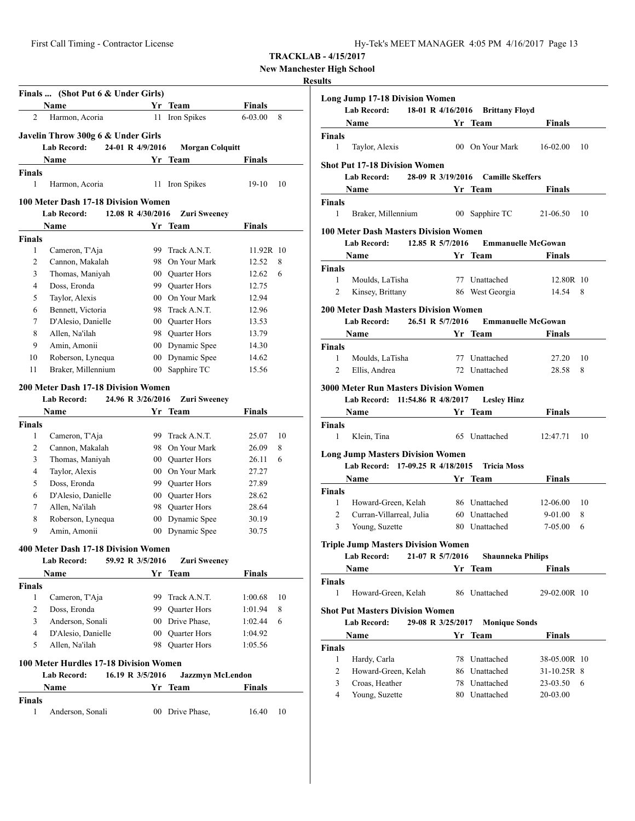First Call Timing - Contractor License Hy-Tek's MEET MANAGER 4:05 PM 4/16/2017 Page 13

**TRACKLAB - 4/15/2017**

**New Manchester High School**

## **Results**

|                | Finals  (Shot Put 6 & Under Girls)<br>Name               | Yr                | Team                               | <b>Finals</b>      |        |
|----------------|----------------------------------------------------------|-------------------|------------------------------------|--------------------|--------|
| 2              | Harmon, Acoria                                           | 11                | Iron Spikes                        | 6-03.00            | 8      |
|                |                                                          |                   |                                    |                    |        |
|                | Javelin Throw 300g 6 & Under Girls<br><b>Lab Record:</b> | 24-01 R 4/9/2016  | <b>Morgan Colquitt</b>             |                    |        |
|                | Name                                                     | Yr                | Team                               | <b>Finals</b>      |        |
| <b>Finals</b>  |                                                          |                   |                                    |                    |        |
| 1              | Harmon, Acoria                                           |                   | 11 Iron Spikes                     | 19-10              | 10     |
|                |                                                          |                   |                                    |                    |        |
|                | 100 Meter Dash 17-18 Division Women                      |                   |                                    |                    |        |
|                | <b>Lab Record:</b>                                       | 12.08 R 4/30/2016 | <b>Zuri Sweeney</b>                |                    |        |
|                | Name                                                     |                   | Yr Team                            | Finals             |        |
| <b>Finals</b>  |                                                          |                   |                                    |                    |        |
| 1<br>2         | Cameron, T'Aja                                           |                   | 99 Track A.N.T.<br>98 On Your Mark | 11.92R 10<br>12.52 | 8      |
| 3              | Cannon, Makalah<br>Thomas, Maniyah                       |                   | 00 Quarter Hors                    | 12.62              | 6      |
| 4              | Doss, Eronda                                             |                   | 99 Quarter Hors                    | 12.75              |        |
| 5              | Taylor, Alexis                                           |                   | 00 On Your Mark                    | 12.94              |        |
| 6              | Bennett, Victoria                                        |                   | 98 Track A.N.T.                    | 12.96              |        |
| 7              | D'Alesio, Danielle                                       |                   | 00 Quarter Hors                    | 13.53              |        |
| 8              | Allen, Na'ilah                                           |                   | 98 Quarter Hors                    | 13.79              |        |
| 9              | Amin, Amonii                                             |                   | 00 Dynamic Spee                    | 14.30              |        |
| 10             | Roberson, Lynequa                                        |                   | 00 Dynamic Spee                    | 14.62              |        |
| 11             | Braker, Millennium                                       | $00\,$            | Sapphire TC                        | 15.56              |        |
|                |                                                          |                   |                                    |                    |        |
|                | <b>200 Meter Dash 17-18 Division Women</b>               |                   |                                    |                    |        |
|                | <b>Lab Record:</b>                                       | 24.96 R 3/26/2016 | <b>Zuri Sweeney</b>                |                    |        |
|                | Name                                                     |                   | Yr Team                            | <b>Finals</b>      |        |
| <b>Finals</b>  |                                                          |                   |                                    |                    |        |
| 1              | Cameron, T'Aja                                           |                   | 99 Track A.N.T.<br>98 On Your Mark | 25.07              | 10     |
| 2<br>3         | Cannon, Makalah<br>Thomas, Maniyah                       |                   | 00 Quarter Hors                    | 26.09<br>26.11     | 8<br>6 |
| 4              | Taylor, Alexis                                           |                   | 00 On Your Mark                    | 27.27              |        |
| 5              | Doss, Eronda                                             |                   | 99 Quarter Hors                    | 27.89              |        |
| 6              | D'Alesio, Danielle                                       |                   | 00 Quarter Hors                    | 28.62              |        |
| 7              | Allen, Na'ilah                                           |                   | 98 Quarter Hors                    | 28.64              |        |
| 8              | Roberson, Lynequa                                        | 00 <sup>1</sup>   | Dynamic Spee                       | 30.19              |        |
| 9              | Amin, Amonii                                             |                   | 00 Dynamic Spee                    | 30.75              |        |
|                |                                                          |                   |                                    |                    |        |
|                | 400 Meter Dash 17-18 Division Women                      |                   |                                    |                    |        |
|                | Lab Record:                                              | 59.92 R 3/5/2016  | <b>Zuri Sweeney</b>                |                    |        |
|                | Name                                                     |                   | Yr Team                            | Finals             |        |
| <b>Finals</b>  |                                                          |                   |                                    |                    |        |
| 1              | Cameron, T'Aja                                           |                   | 99 Track A.N.T.                    | 1:00.68            | 10     |
| $\overline{c}$ | Doss, Eronda                                             |                   | 99 Quarter Hors                    | 1:01.94            | 8      |
| 3              | Anderson, Sonali                                         |                   | 00 Drive Phase,                    | 1:02.44            | 6      |
| 4              | D'Alesio, Danielle                                       |                   | 00 Quarter Hors                    | 1:04.92            |        |
| 5              | Allen, Na'ilah                                           |                   | 98 Quarter Hors                    | 1:05.56            |        |
|                | 100 Meter Hurdles 17-18 Division Women                   |                   |                                    |                    |        |
|                | Lab Record:                                              | 16.19 R 3/5/2016  | <b>Jazzmyn McLendon</b>            |                    |        |
|                | Name                                                     | Yr                | Team                               | Finals             |        |
| <b>Finals</b>  |                                                          |                   |                                    |                    |        |
| 1              | Anderson, Sonali                                         |                   | 00 Drive Phase,                    | 16.40              | 10     |
|                |                                                          |                   |                                    |                    |        |

|               | <b>Long Jump 17-18 Division Women</b>                                                                                                                                                                                                |                   |                           |               |    |
|---------------|--------------------------------------------------------------------------------------------------------------------------------------------------------------------------------------------------------------------------------------|-------------------|---------------------------|---------------|----|
|               | Lab Record: 18-01 R 4/16/2016 Brittany Floyd                                                                                                                                                                                         |                   |                           |               |    |
|               | Name<br><u><b>Same School Section Property Property</b></u>                                                                                                                                                                          |                   |                           | Finals        |    |
| Finals        |                                                                                                                                                                                                                                      |                   |                           |               |    |
| 1             | Taylor, Alexis                                                                                                                                                                                                                       |                   | 00 On Your Mark 16-02.00  |               | 10 |
|               | <b>Shot Put 17-18 Division Women</b>                                                                                                                                                                                                 |                   |                           |               |    |
|               | Lab Record: 28-09 R 3/19/2016 Camille Skeffers                                                                                                                                                                                       |                   |                           |               |    |
|               | Name Yr Team                                                                                                                                                                                                                         |                   |                           | Finals        |    |
| <b>Finals</b> |                                                                                                                                                                                                                                      |                   |                           |               |    |
| $\mathbf{1}$  | Braker, Millennium 00 Sapphire TC                                                                                                                                                                                                    |                   |                           | 21-06.50      | 10 |
|               | <b>100 Meter Dash Masters Division Women</b>                                                                                                                                                                                         |                   |                           |               |    |
|               | 12.85 R 5/7/2016<br>Lab Record:                                                                                                                                                                                                      |                   | <b>Emmanuelle McGowan</b> |               |    |
|               | <b>Same Service Service Service Service Service Service Service Service Service Service Service Service Service Service Service Service Service Service Service Service Service Service Service Service Service Service Service </b> |                   |                           | Finals        |    |
| <b>Finals</b> |                                                                                                                                                                                                                                      |                   |                           |               |    |
| $1 \quad$     | Moulds, LaTisha                                                                                                                                                                                                                      |                   | 77 Unattached             | 12.80R 10     |    |
| 2             | Kinsey, Brittany                                                                                                                                                                                                                     |                   | 86 West Georgia           | 14.54         | 8  |
|               | <b>200 Meter Dash Masters Division Women</b>                                                                                                                                                                                         |                   |                           |               |    |
|               | Lab Record: 26.51 R 5/7/2016                                                                                                                                                                                                         |                   | <b>Emmanuelle McGowan</b> |               |    |
|               | Name<br><b>Example 18 Service Street Service Service Street Service Street Service Street Service Street Street Service</b>                                                                                                          |                   |                           | <b>Finals</b> |    |
| Finals        |                                                                                                                                                                                                                                      |                   |                           |               |    |
| 1             | Moulds, LaTisha                                                                                                                                                                                                                      |                   | 77 Unattached             | 27.20         | 10 |
| 2             | Ellis, Andrea                                                                                                                                                                                                                        |                   | 72 Unattached             | 28.58         | 8  |
|               | <b>3000 Meter Run Masters Division Women</b>                                                                                                                                                                                         |                   |                           |               |    |
|               | Lab Record: 11:54.86 R 4/8/2017 Lesley Hinz                                                                                                                                                                                          |                   |                           |               |    |
|               | Name Yr Team                                                                                                                                                                                                                         |                   |                           | Finals        |    |
| <b>Finals</b> |                                                                                                                                                                                                                                      |                   |                           |               |    |
| $1 \quad$     | Klein, Tina                                                                                                                                                                                                                          |                   | 65 Unattached 12:47.71    |               | 10 |
|               | <b>Long Jump Masters Division Women</b>                                                                                                                                                                                              |                   |                           |               |    |
|               | Lab Record: 17-09.25 R 4/18/2015 Tricia Moss                                                                                                                                                                                         |                   |                           |               |    |
|               | Name Yr Team                                                                                                                                                                                                                         |                   |                           | <b>Finals</b> |    |
| <b>Finals</b> |                                                                                                                                                                                                                                      |                   |                           |               |    |
| 1             | Howard-Green, Kelah                                                                                                                                                                                                                  |                   | 86 Unattached             | 12-06.00      | 10 |
| 2             | Curran-Villarreal, Julia 60 Unattached                                                                                                                                                                                               |                   |                           | 9-01.00       | 8  |
| 3             | Young, Suzette                                                                                                                                                                                                                       |                   | 80 Unattached             | 7-05.00       | 6  |
|               | <b>Triple Jump Masters Division Women</b>                                                                                                                                                                                            |                   |                           |               |    |
|               | Lab Record: 21-07 R 5/7/2016 Shaunneka Philips                                                                                                                                                                                       |                   |                           |               |    |
|               | Name                                                                                                                                                                                                                                 |                   | Yr Team                   | Finals        |    |
| <b>Finals</b> |                                                                                                                                                                                                                                      |                   |                           |               |    |
| 1             | Howard-Green, Kelah                                                                                                                                                                                                                  |                   | 86 Unattached             | 29-02.00R 10  |    |
|               |                                                                                                                                                                                                                                      |                   |                           |               |    |
|               | <b>Shot Put Masters Division Women</b><br>Lab Record:                                                                                                                                                                                | 29-08 R 3/25/2017 | <b>Monique Sonds</b>      |               |    |
|               |                                                                                                                                                                                                                                      |                   |                           | <b>Finals</b> |    |
| <b>Finals</b> | Name                                                                                                                                                                                                                                 |                   | Yr Team                   |               |    |
| 1             | Hardy, Carla                                                                                                                                                                                                                         |                   | 78 Unattached             | 38-05.00R 10  |    |
| 2             | Howard-Green, Kelah                                                                                                                                                                                                                  |                   | 86 Unattached             | 31-10.25R 8   |    |
| 3             | Croas, Heather                                                                                                                                                                                                                       |                   | 78 Unattached             | 23-03.50      | 6  |
| 4             | Young, Suzette                                                                                                                                                                                                                       |                   | 80 Unattached             | 20-03.00      |    |
|               |                                                                                                                                                                                                                                      |                   |                           |               |    |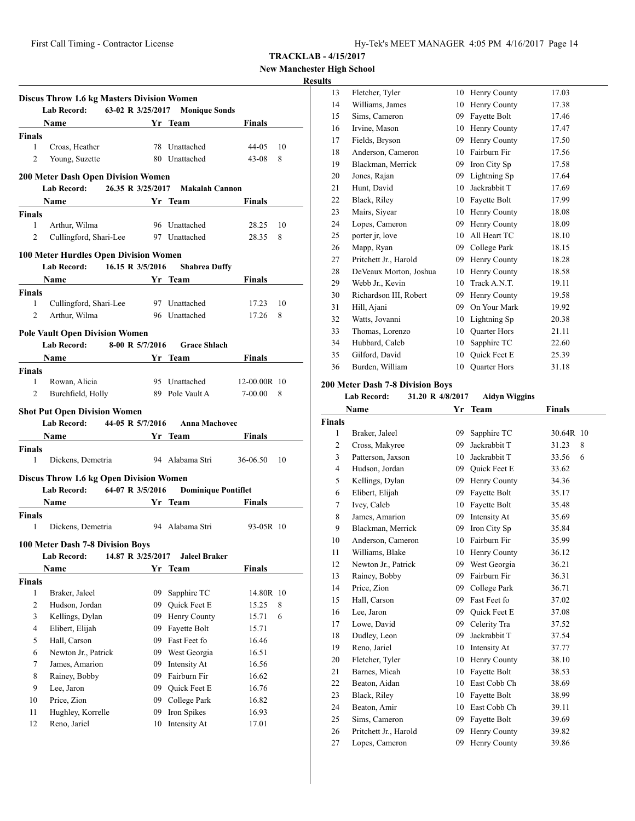**New Manchester High School**

## **Results**

|                                                             | Lab Record: 63-02 R 3/25/2017 Monique Sonds           | <b>Discus Throw 1.6 kg Masters Division Women</b> |                             |                |         |
|-------------------------------------------------------------|-------------------------------------------------------|---------------------------------------------------|-----------------------------|----------------|---------|
|                                                             | <b>Name</b>                                           |                                                   | Yr Team                     | <b>Finals</b>  |         |
| <b>Finals</b>                                               |                                                       |                                                   |                             |                |         |
| $\mathbf{1}$                                                | Croas, Heather                                        |                                                   | 78 Unattached               | 44-05          | 10      |
| 2                                                           | Young, Suzette                                        |                                                   | 80 Unattached               | 43-08          | 8       |
|                                                             | <b>200 Meter Dash Open Division Women</b>             |                                                   |                             |                |         |
|                                                             | Lab Record: 26.35 R 3/25/2017                         |                                                   | Makalah Cannon              |                |         |
|                                                             | <b>Name</b>                                           | <b>Samuel Strategy Tream</b>                      |                             | Finals         |         |
| <b>Finals</b>                                               |                                                       |                                                   |                             |                |         |
| 1                                                           | Arthur, Wilma                                         |                                                   | 96 Unattached               | 28.25          | 10      |
| 2                                                           | Cullingford, Shari-Lee 97 Unattached                  |                                                   |                             | 28.35          | 8       |
|                                                             |                                                       |                                                   |                             |                |         |
|                                                             | 100 Meter Hurdles Open Division Women                 |                                                   |                             |                |         |
|                                                             | Lab Record:                                           | 16.15 R 3/5/2016                                  | <b>Shabrea Duffy</b>        |                |         |
|                                                             | Name Yr Team                                          |                                                   |                             | Finals         |         |
| <b>Finals</b>                                               |                                                       |                                                   |                             |                |         |
| $\mathbf{1}$<br>$\overline{2}$                              | Cullingford, Shari-Lee 97 Unattached<br>Arthur, Wilma |                                                   | 96 Unattached               | 17.23<br>17.26 | 10<br>8 |
|                                                             |                                                       |                                                   |                             |                |         |
|                                                             | <b>Pole Vault Open Division Women</b>                 |                                                   |                             |                |         |
|                                                             | <b>Lab Record:</b>                                    | 8-00 R 5/7/2016                                   | <b>Grace Shlach</b>         |                |         |
|                                                             | Name Yr Team                                          |                                                   |                             | Finals         |         |
| <b>Finals</b>                                               |                                                       |                                                   |                             |                |         |
| 1                                                           | Rowan, Alicia                                         |                                                   | 95 Unattached               | 12-00.00R 10   |         |
| 2                                                           | Burchfield, Holly                                     |                                                   | 89 Pole Vault A             | 7-00.00        | 8       |
|                                                             | <b>Shot Put Open Division Women</b>                   |                                                   |                             |                |         |
|                                                             | Lab Record: 44-05 R 5/7/2016                          |                                                   | Anna Machovec               |                |         |
|                                                             |                                                       |                                                   |                             |                |         |
|                                                             | Name                                                  |                                                   |                             |                |         |
|                                                             |                                                       | Yr Team                                           |                             | Finals         |         |
| 1                                                           | Dickens, Demetria                                     |                                                   | 94 Alabama Stri             | 36-06.50       | 10      |
|                                                             |                                                       |                                                   |                             |                |         |
|                                                             | <b>Discus Throw 1.6 kg Open Division Women</b>        |                                                   |                             |                |         |
|                                                             | Lab Record: 64-07 R 3/5/2016                          |                                                   | <b>Dominique Pontiflet</b>  |                |         |
|                                                             | Name                                                  |                                                   | <b>Example 18 Yr Team</b>   | Finals         |         |
|                                                             |                                                       |                                                   |                             |                |         |
| $\mathbf{1}$                                                | Dickens, Demetria 94 Alabama Stri                     |                                                   |                             | 93-05R 10      |         |
|                                                             | 100 Meter Dash 7-8 Division Boys                      |                                                   |                             |                |         |
|                                                             | Lab Record:                                           | 14.87 R 3/25/2017                                 | <b>Jaleel Braker</b>        |                |         |
|                                                             | Name                                                  |                                                   | Yr Team                     | Finals         |         |
|                                                             |                                                       |                                                   |                             |                |         |
| 1                                                           | Braker, Jaleel                                        | 09                                                | Sapphire TC                 | 14.80R 10      |         |
| 2                                                           | Hudson, Jordan                                        | 09                                                | Quick Feet E                | 15.25          | 8       |
| 3                                                           | Kellings, Dylan                                       | 09                                                | Henry County                | 15.71          | 6       |
| 4                                                           | Elibert, Elijah                                       | 09                                                | Fayette Bolt                | 15.71          |         |
| 5                                                           | Hall, Carson                                          | 09                                                | Fast Feet fo                | 16.46          |         |
| 6                                                           | Newton Jr., Patrick                                   | 09                                                | West Georgia                | 16.51          |         |
| 7                                                           | James, Amarion                                        | 09                                                | Intensity At                | 16.56          |         |
| 8                                                           | Rainey, Bobby                                         | 09                                                | Fairburn Fir                | 16.62          |         |
| 9                                                           | Lee, Jaron                                            | 09                                                | Quick Feet E                | 16.76          |         |
| 10                                                          | Price, Zion                                           | 09                                                | College Park                | 16.82          |         |
| <b>Finals</b><br><b>Finals</b><br><b>Finals</b><br>11<br>12 | Hughley, Korrelle<br>Reno, Jariel                     | 09<br>10                                          | Iron Spikes<br>Intensity At | 16.93<br>17.01 |         |

| 5  |                        |    |                     |       |
|----|------------------------|----|---------------------|-------|
| 13 | Fletcher, Tyler        | 10 | Henry County        | 17.03 |
| 14 | Williams, James        | 10 | Henry County        | 17.38 |
| 15 | Sims, Cameron          | 09 | Fayette Bolt        | 17.46 |
| 16 | Irvine, Mason          | 10 | Henry County        | 17.47 |
| 17 | Fields, Bryson         | 09 | Henry County        | 17.50 |
| 18 | Anderson, Cameron      | 10 | Fairburn Fir        | 17.56 |
| 19 | Blackman, Merrick      | 09 | Iron City Sp        | 17.58 |
| 20 | Jones, Rajan           | 09 | Lightning Sp        | 17.64 |
| 21 | Hunt, David            | 10 | Jackrabbit T        | 17.69 |
| 22 | Black, Riley           | 10 | Fayette Bolt        | 17.99 |
| 23 | Mairs, Siyear          | 10 | Henry County        | 18.08 |
| 24 | Lopes, Cameron         | 09 | Henry County        | 18.09 |
| 25 | porter jr, love        | 10 | All Heart TC        | 18.10 |
| 26 | Mapp, Ryan             | 09 | College Park        | 18.15 |
| 27 | Pritchett Jr., Harold  | 09 | Henry County        | 18.28 |
| 28 | DeVeaux Morton, Joshua | 10 | Henry County        | 18.58 |
| 29 | Webb Jr., Kevin        | 10 | Track A.N.T.        | 19.11 |
| 30 | Richardson III, Robert | 09 | Henry County        | 19.58 |
| 31 | Hill, Ajani            | 09 | On Your Mark        | 19.92 |
| 32 | Watts, Jovanni         | 10 | Lightning Sp        | 20.38 |
| 33 | Thomas, Lorenzo        | 10 | <b>Quarter Hors</b> | 21.11 |
| 34 | Hubbard, Caleb         | 10 | Sapphire TC         | 22.60 |
| 35 | Gilford, David         | 10 | <b>Ouick Feet E</b> | 25.39 |
| 36 | Burden, William        | 10 | <b>Quarter Hors</b> | 31.18 |
|    |                        |    |                     |       |

# **200 Meter Dash 7-8 Division Boys**

# **Lab Record: 31.20 R 4/8/2017 Aidyn Wiggins**

| <b>Name</b>    |                       | Yr | <b>Team</b>         | Finals    |   |
|----------------|-----------------------|----|---------------------|-----------|---|
| <b>Finals</b>  |                       |    |                     |           |   |
| 1              | Braker, Jaleel        | 09 | Sapphire TC         | 30.64R 10 |   |
| 2              | Cross, Makyree        | 09 | Jackrabbit T        | 31.23     | 8 |
| 3              | Patterson, Jaxson     | 10 | Jackrabbit T        | 33.56     | 6 |
| $\overline{4}$ | Hudson, Jordan        | 09 | <b>Ouick Feet E</b> | 33.62     |   |
| 5              | Kellings, Dylan       | 09 | Henry County        | 34.36     |   |
| 6              | Elibert, Elijah       | 09 | Fayette Bolt        | 35.17     |   |
| 7              | Ivey, Caleb           | 10 | Fayette Bolt        | 35.48     |   |
| 8              | James, Amarion        | 09 | Intensity At        | 35.69     |   |
| 9              | Blackman, Merrick     | 09 | Iron City Sp        | 35.84     |   |
| 10             | Anderson, Cameron     | 10 | Fairburn Fir        | 35.99     |   |
| 11             | Williams, Blake       | 10 | Henry County        | 36.12     |   |
| 12             | Newton Jr., Patrick   | 09 | West Georgia        | 36.21     |   |
| 13             | Rainey, Bobby         | 09 | Fairburn Fir        | 36.31     |   |
| 14             | Price, Zion           | 09 | College Park        | 36.71     |   |
| 15             | Hall, Carson          | 09 | Fast Feet fo        | 37.02     |   |
| 16             | Lee, Jaron            | 09 | <b>Ouick Feet E</b> | 37.08     |   |
| 17             | Lowe, David           | 09 | Celerity Tra        | 37.52     |   |
| 18             | Dudley, Leon          | 09 | Jackrabbit T        | 37.54     |   |
| 19             | Reno, Jariel          | 10 | Intensity At        | 37.77     |   |
| 20             | Fletcher, Tyler       | 10 | Henry County        | 38.10     |   |
| 21             | Barnes, Micah         | 10 | Fayette Bolt        | 38.53     |   |
| 22             | Beaton, Aidan         | 10 | East Cobb Ch        | 38.69     |   |
| 23             | Black, Riley          | 10 | Fayette Bolt        | 38.99     |   |
| 24             | Beaton, Amir          | 10 | East Cobb Ch        | 39.11     |   |
| 25             | Sims, Cameron         | 09 | Fayette Bolt        | 39.69     |   |
| 26             | Pritchett Jr., Harold | 09 | Henry County        | 39.82     |   |
| 27             | Lopes, Cameron        | 09 | Henry County        | 39.86     |   |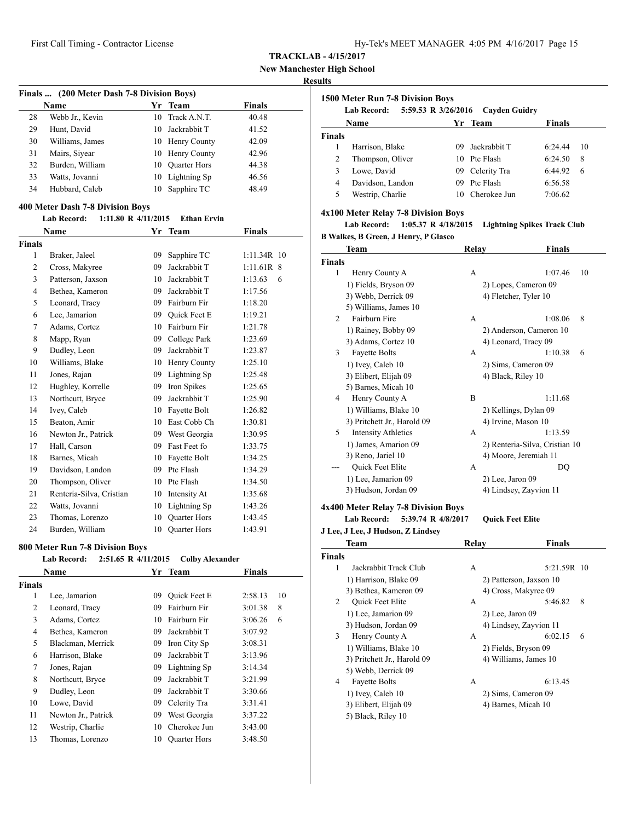**New Manchester High School**

#### **Results**

| Finals  (200 Meter Dash 7-8 Division Boys) |                 |    |                     |               |  |  |
|--------------------------------------------|-----------------|----|---------------------|---------------|--|--|
|                                            | Name            |    | Yr Team             | <b>Finals</b> |  |  |
| 28                                         | Webb Jr., Kevin | 10 | Track A.N.T.        | 40.48         |  |  |
| 29                                         | Hunt, David     | 10 | Jackrabbit T        | 41.52         |  |  |
| 30                                         | Williams, James |    | 10 Henry County     | 42.09         |  |  |
| 31                                         | Mairs, Siyear   |    | 10 Henry County     | 42.96         |  |  |
| 32                                         | Burden, William | 10 | <b>Quarter Hors</b> | 44.38         |  |  |
| 33                                         | Watts, Jovanni  | 10 | Lightning Sp        | 46.56         |  |  |
| 34                                         | Hubbard, Caleb  | 10 | Sapphire TC         | 48.49         |  |  |

#### **400 Meter Dash 7-8 Division Boys**

# **Lab Record: 1:11.80 R 4/11/2015 Ethan Ervin**

| Name           |                          | Yr | <b>Team</b>         | Finals        |
|----------------|--------------------------|----|---------------------|---------------|
| <b>Finals</b>  |                          |    |                     |               |
| 1              | Braker, Jaleel           | 09 | Sapphire TC         | $1:11.34R$ 10 |
| $\overline{2}$ | Cross, Makyree           | 09 | Jackrabbit T        | $1:11.61R$ 8  |
| 3              | Patterson, Jaxson        | 10 | Jackrabbit T        | 1:13.63<br>6  |
| $\overline{4}$ | Bethea, Kameron          | 09 | Jackrabbit T        | 1:17.56       |
| 5              | Leonard, Tracy           | 09 | Fairburn Fir        | 1:18.20       |
| 6              | Lee, Jamarion            | 09 | Quick Feet E        | 1:19.21       |
| 7              | Adams, Cortez            | 10 | Fairburn Fir        | 1:21.78       |
| 8              | Mapp, Ryan               | 09 | College Park        | 1:23.69       |
| 9              | Dudley, Leon             | 09 | Jackrabbit T        | 1:23.87       |
| 10             | Williams, Blake          | 10 | Henry County        | 1:25.10       |
| 11             | Jones, Rajan             | 09 | Lightning Sp        | 1:25.48       |
| 12             | Hughley, Korrelle        | 09 | Iron Spikes         | 1:25.65       |
| 13             | Northcutt, Bryce         | 09 | Jackrabbit T        | 1:25.90       |
| 14             | Ivey, Caleb              | 10 | Fayette Bolt        | 1:26.82       |
| 15             | Beaton, Amir             | 10 | East Cobb Ch        | 1:30.81       |
| 16             | Newton Jr., Patrick      | 09 | West Georgia        | 1:30.95       |
| 17             | Hall, Carson             | 09 | Fast Feet fo        | 1:33.75       |
| 18             | Barnes, Micah            | 10 | Fayette Bolt        | 1:34.25       |
| 19             | Davidson, Landon         | 09 | Ptc Flash           | 1:34.29       |
| 20             | Thompson, Oliver         | 10 | Ptc Flash           | 1:34.50       |
| 21             | Renteria-Silva, Cristian | 10 | Intensity At        | 1:35.68       |
| 22             | Watts, Jovanni           | 10 | Lightning Sp        | 1:43.26       |
| 23             | Thomas, Lorenzo          | 10 | <b>Ouarter Hors</b> | 1:43.45       |
| 24             | Burden, William          | 10 | <b>Quarter Hors</b> | 1:43.91       |

#### **800 Meter Run 7-8 Division Boys**

| Name |                                                                                                                                                                                                                                              |                     |               |    |
|------|----------------------------------------------------------------------------------------------------------------------------------------------------------------------------------------------------------------------------------------------|---------------------|---------------|----|
|      |                                                                                                                                                                                                                                              | Yr Team             | <b>Finals</b> |    |
|      |                                                                                                                                                                                                                                              |                     |               |    |
|      | 09                                                                                                                                                                                                                                           | Quick Feet E        | 2:58.13       | 10 |
|      | 09                                                                                                                                                                                                                                           | Fairburn Fir        | 3:01.38       | 8  |
|      | 10                                                                                                                                                                                                                                           | Fairburn Fir        | 3:06.26       | 6  |
|      | 09                                                                                                                                                                                                                                           | Jackrabbit T        | 3:07.92       |    |
|      | 09                                                                                                                                                                                                                                           | Iron City Sp        | 3:08.31       |    |
|      | 09                                                                                                                                                                                                                                           | Jackrabbit T        | 3:13.96       |    |
|      | 09                                                                                                                                                                                                                                           | Lightning Sp        | 3:14.34       |    |
|      | 09                                                                                                                                                                                                                                           | Jackrabbit T        | 3:21.99       |    |
|      | 09                                                                                                                                                                                                                                           | Jackrabbit T        | 3:30.66       |    |
|      | 09                                                                                                                                                                                                                                           | Celerity Tra        | 3:31.41       |    |
|      | 09                                                                                                                                                                                                                                           | West Georgia        | 3:37.22       |    |
|      | 10                                                                                                                                                                                                                                           | Cherokee Jun        | 3:43.00       |    |
|      | 10                                                                                                                                                                                                                                           | <b>Quarter Hors</b> | 3:48.50       |    |
|      | Lee, Jamarion<br>Leonard, Tracy<br>Adams, Cortez<br>Bethea, Kameron<br>Blackman, Merrick<br>Harrison, Blake<br>Jones, Rajan<br>Northcutt, Bryce<br>Dudley, Leon<br>Lowe, David<br>Newton Jr., Patrick<br>Westrip, Charlie<br>Thomas, Lorenzo |                     |               |    |

| 1500 Meter Run 7-8 Division Boys |                                           |     |                      |               |    |  |  |
|----------------------------------|-------------------------------------------|-----|----------------------|---------------|----|--|--|
|                                  | 5:59.53 R 3/26/2016<br><b>Lab Record:</b> |     | <b>Cayden Guidry</b> |               |    |  |  |
|                                  | Name                                      |     | Yr Team              | <b>Finals</b> |    |  |  |
| <b>Finals</b>                    |                                           |     |                      |               |    |  |  |
|                                  | Harrison, Blake                           | 09. | Jackrabbit T         | 6:24.44       | 10 |  |  |
| 2                                | Thompson, Oliver                          |     | 10 Ptc Flash         | 6:24.50       | 8  |  |  |
| 3                                | Lowe, David                               |     | 09 Celerity Tra      | 6:44.92       | 6  |  |  |
| 4                                | Davidson, Landon                          | 09. | Ptc Flash            | 6:56.58       |    |  |  |
| 5                                | Westrip, Charlie                          | 10  | Cherokee Jun         | 7:06.62       |    |  |  |

## **4x100 Meter Relay 7-8 Division Boys**

# **Lab Record: 1:05.37 R 4/18/2015 Lightning Spikes Track Club**

**B Walkes, B Green, J Henry, P Glasco**

| Team                            | Relay              | Finals                         |
|---------------------------------|--------------------|--------------------------------|
| <b>Finals</b>                   |                    |                                |
| 1<br>Henry County A             | А                  | 1:07.46<br>10                  |
| 1) Fields, Bryson 09            |                    | 2) Lopes, Cameron 09           |
| 3) Webb, Derrick 09             |                    | 4) Fletcher, Tyler 10          |
| 5) Williams, James 10           |                    |                                |
| Fairburn Fire<br>2              | A                  | 8<br>1:08.06                   |
| 1) Rainey, Bobby 09             |                    | 2) Anderson, Cameron 10        |
| 3) Adams, Cortez 10             |                    | 4) Leonard, Tracy 09           |
| <b>Fayette Bolts</b><br>3       | A                  | 1:10.38<br>6                   |
| 1) Ivey, Caleb 10               |                    | 2) Sims, Cameron 09            |
| 3) Elibert, Elijah 09           | 4) Black, Riley 10 |                                |
| 5) Barnes, Micah 10             |                    |                                |
| Henry County A<br>4             | B                  | 1:11.68                        |
| 1) Williams, Blake 10           |                    | 2) Kellings, Dylan 09          |
| 3) Pritchett Jr., Harold 09     |                    | 4) Irvine, Mason 10            |
| 5<br><b>Intensity Athletics</b> | A                  | 1:13.59                        |
| 1) James, Amarion 09            |                    | 2) Renteria-Silva, Cristian 10 |
| 3) Reno, Jariel 10              |                    | 4) Moore, Jeremiah 11          |
| Quick Feet Elite                | A                  | DO                             |
| 1) Lee, Jamarion 09             | $2)$ Lee, Jaron 09 |                                |
| 3) Hudson, Jordan 09            |                    | 4) Lindsey, Zayvion 11         |

## **4x400 Meter Relay 7-8 Division Boys**

**Lab Record: 5:39.74 R 4/8/2017 Quick Feet Elite**

|               | J Lee, J Lee, J Hudson, Z Lindsey |                    |                         |
|---------------|-----------------------------------|--------------------|-------------------------|
|               | Team                              | Relay              | <b>Finals</b>           |
| <b>Finals</b> |                                   |                    |                         |
| 1             | Jackrabbit Track Club             | A                  | 5:21.59R 10             |
|               | 1) Harrison, Blake 09             |                    | 2) Patterson, Jaxson 10 |
|               | 3) Bethea, Kameron 09             |                    | 4) Cross, Makyree 09    |
| 2             | <b>Quick Feet Elite</b>           | A                  | 5:46.82<br>8            |
|               | 1) Lee, Jamarion 09               | $2)$ Lee, Jaron 09 |                         |
|               | 3) Hudson, Jordan 09              |                    | 4) Lindsey, Zayvion 11  |
| 3             | Henry County A                    | А                  | 6:02.15<br>6            |
|               | 1) Williams, Blake 10             |                    | 2) Fields, Bryson 09    |
|               | 3) Pritchett Jr., Harold 09       |                    | 4) Williams, James 10   |
|               | 5) Webb, Derrick 09               |                    |                         |
| 4             | <b>Fayette Bolts</b>              | А                  | 6:13.45                 |
|               | 1) Ivey, Caleb 10                 |                    | 2) Sims, Cameron 09     |
|               | 3) Elibert, Elijah 09             |                    | 4) Barnes, Micah 10     |
|               | 5) Black, Riley 10                |                    |                         |
|               |                                   |                    |                         |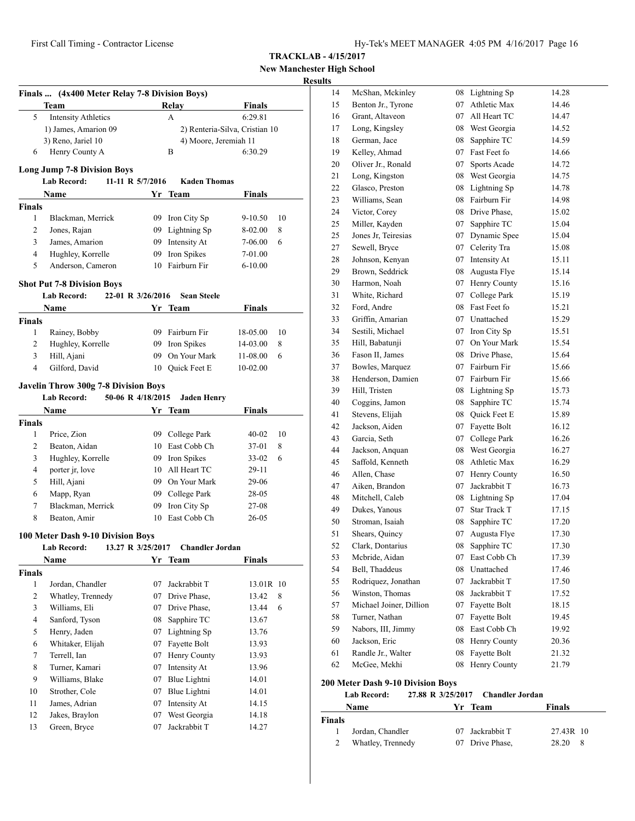# **New Manchester High School**

# **Results**

|                | Finals  (4x400 Meter Relay 7-8 Division Boys) |                   |                                   |                                |    |
|----------------|-----------------------------------------------|-------------------|-----------------------------------|--------------------------------|----|
|                | Team                                          |                   | Relay                             | <b>Finals</b>                  |    |
| 5              | <b>Intensity Athletics</b>                    |                   | A                                 | 6:29.81                        |    |
|                | 1) James, Amarion 09                          |                   |                                   | 2) Renteria-Silva, Cristian 10 |    |
|                | 3) Reno, Jariel 10                            |                   | 4) Moore, Jeremiah 11             |                                |    |
| 6              | Henry County A                                |                   | B                                 | 6:30.29                        |    |
|                | <b>Long Jump 7-8 Division Boys</b>            |                   |                                   |                                |    |
|                | <b>Lab Record:</b>                            | 11-11 R 5/7/2016  | <b>Kaden Thomas</b>               |                                |    |
|                | <b>Name</b>                                   | Yr                | Team                              | <b>Finals</b>                  |    |
| <b>Finals</b>  |                                               |                   |                                   |                                |    |
| 1              | Blackman, Merrick                             |                   | 09 Iron City Sp                   | 9-10.50                        | 10 |
| 2              | Jones, Rajan                                  |                   | 09 Lightning Sp                   | 8-02.00                        | 8  |
| 3              | James, Amarion                                |                   | 09 Intensity At                   | 7-06.00                        | 6  |
| 4              | Hughley, Korrelle                             | 09                | Iron Spikes                       | 7-01.00                        |    |
| 5              | Anderson, Cameron                             |                   | 10 Fairburn Fir                   | $6 - 10.00$                    |    |
|                | <b>Shot Put 7-8 Division Boys</b>             |                   |                                   |                                |    |
|                | <b>Lab Record:</b>                            | 22-01 R 3/26/2016 | <b>Sean Steele</b>                |                                |    |
|                | Name                                          |                   | Yr Team                           | Finals                         |    |
| Finals         |                                               |                   |                                   |                                |    |
| 1              | Rainey, Bobby                                 |                   | 09 Fairburn Fir                   | 18-05.00                       | 10 |
| 2              | Hughley, Korrelle                             |                   | 09 Iron Spikes                    | 14-03.00                       | 8  |
| 3              | Hill, Ajani                                   | 09                | On Your Mark                      | 11-08.00                       | 6  |
| 4              | Gilford, David                                |                   | 10 Quick Feet E                   | 10-02.00                       |    |
|                |                                               |                   |                                   |                                |    |
|                | <b>Javelin Throw 300g 7-8 Division Boys</b>   |                   |                                   |                                |    |
|                | <b>Lab Record:</b>                            | 50-06 R 4/18/2015 | <b>Jaden Henry</b>                |                                |    |
|                | Name                                          |                   | Yr Team                           | <b>Finals</b>                  |    |
| Finals         |                                               |                   |                                   |                                |    |
| 1              | Price, Zion                                   |                   | 09 College Park                   | 40-02                          | 10 |
| 2              | Beaton, Aidan                                 |                   | 10 East Cobb Ch                   | 37-01                          | 8  |
| 3              | Hughley, Korrelle                             |                   | 09 Iron Spikes<br>10 All Heart TC | $33 - 02$                      | 6  |
| 4              | porter jr, love                               |                   | 09 On Your Mark                   | 29-11                          |    |
| 5              | Hill, Ajani                                   |                   |                                   | 29-06                          |    |
| 6<br>7         | Mapp, Ryan<br>Blackman, Merrick               |                   | 09 College Park<br>Iron City Sp   | 28-05                          |    |
| 8              | Beaton, Amir                                  | 09                | 10 East Cobb Ch                   | 27-08<br>$26 - 05$             |    |
|                |                                               |                   |                                   |                                |    |
|                | 100 Meter Dash 9-10 Division Boys             |                   |                                   |                                |    |
|                | <b>Lab Record:</b>                            | 13.27 R 3/25/2017 | <b>Chandler Jordan</b>            |                                |    |
|                | <b>Name</b>                                   | Yr                | <b>Team</b>                       | <b>Finals</b>                  |    |
| <b>Finals</b>  |                                               |                   |                                   |                                |    |
| 1              | Jordan, Chandler                              | 07                | Jackrabbit T                      | 13.01R 10                      |    |
| $\overline{c}$ | Whatley, Trennedy                             | 07                | Drive Phase,                      | 13.42                          | 8  |
| 3              | Williams, Eli                                 | 07                | Drive Phase,                      | 13.44                          | 6  |
| 4              | Sanford, Tyson                                | 08                | Sapphire TC                       | 13.67                          |    |
| 5              | Henry, Jaden                                  | 07                | Lightning Sp                      | 13.76                          |    |
| 6              | Whitaker, Elijah                              | 07                | Fayette Bolt                      | 13.93                          |    |
| 7              | Terrell, Ian                                  | 07                | Henry County                      | 13.93                          |    |
| 8              | Turner, Kamari                                | 07                | Intensity At                      | 13.96                          |    |
| 9              | Williams, Blake                               | 07                | Blue Lightni                      | 14.01                          |    |
| 10             | Strother, Cole                                | 07                | Blue Lightni                      | 14.01                          |    |
| 11             | James, Adrian                                 | 07                | Intensity At                      | 14.15                          |    |
| 12             | Jakes, Braylon                                | 07                | West Georgia                      | 14.18                          |    |
| 13             | Green, Bryce                                  | 07                | Jackrabbit T                      | 14.27                          |    |

| . L.J |                                  |    |                     |       |
|-------|----------------------------------|----|---------------------|-------|
| 14    | McShan, Mckinley                 | 08 | Lightning Sp        | 14.28 |
| 15    | Benton Jr., Tyrone               | 07 | Athletic Max        | 14.46 |
| 16    | Grant, Altaveon                  | 07 | All Heart TC        | 14.47 |
| 17    | Long, Kingsley                   | 08 | West Georgia        | 14.52 |
| 18    | German, Jace                     | 08 | Sapphire TC         | 14.59 |
| 19    | Kelley, Ahmad                    | 07 | Fast Feet fo        | 14.66 |
| 20    | Oliver Jr., Ronald               | 07 | Sports Acade        | 14.72 |
| 21    | Long, Kingston                   | 08 | West Georgia        | 14.75 |
| 22    | Glasco, Preston                  | 08 | Lightning Sp        | 14.78 |
| 23    | Williams, Sean                   | 08 | Fairburn Fir        | 14.98 |
| 24    | Victor, Corey                    | 08 | Drive Phase,        | 15.02 |
| 25    | Miller, Kayden                   | 07 | Sapphire TC         | 15.04 |
| 25    | Jones Jr, Teiresias              | 07 | Dynamic Spee        | 15.04 |
| 27    | Sewell, Bryce                    | 07 | Celerity Tra        | 15.08 |
| 28    | Johnson, Kenyan                  | 07 | Intensity At        | 15.11 |
| 29    | Brown, Seddrick                  | 08 | Augusta Flye        | 15.14 |
| 30    | Harmon, Noah                     | 07 | Henry County        | 15.16 |
| 31    | White, Richard                   | 07 | College Park        | 15.19 |
| 32    | Ford, Andre                      | 08 | Fast Feet fo        | 15.21 |
| 33    | Griffin, Amarian                 |    | 07 Unattached       | 15.29 |
| 34    | Sestili, Michael                 | 07 | Iron City Sp        | 15.51 |
| 35    | Hill, Babatunji                  | 07 | On Your Mark        | 15.54 |
| 36    | Fason II, James                  | 08 | Drive Phase,        | 15.64 |
| 37    | Bowles, Marquez                  | 07 | Fairburn Fir        | 15.66 |
| 38    | Henderson, Damien                | 07 | Fairburn Fir        | 15.66 |
| 39    | Hill, Tristen                    | 08 | Lightning Sp        | 15.73 |
| 40    | Coggins, Jamon                   | 08 | Sapphire TC         | 15.74 |
| 41    | Stevens, Elijah                  | 08 | Quick Feet E        | 15.89 |
| 42    | Jackson, Aiden                   | 07 | Fayette Bolt        | 16.12 |
| 43    | Garcia, Seth                     | 07 | College Park        | 16.26 |
| 44    | Jackson, Anquan                  | 08 | West Georgia        | 16.27 |
| 45    | Saffold, Kenneth                 | 08 | Athletic Max        | 16.29 |
| 46    | Allen, Chase                     | 07 | Henry County        | 16.50 |
| 47    | Aiken, Brandon                   | 07 | Jackrabbit T        | 16.73 |
| 48    | Mitchell, Caleb                  | 08 | Lightning Sp        | 17.04 |
| 49    | Dukes, Yanous                    | 07 | <b>Star Track T</b> | 17.15 |
| 50    | Stroman, Isaiah                  | 08 | Sapphire TC         | 17.20 |
| 51    | Shears, Quincy                   | 07 | Augusta Flye        | 17.30 |
| 52    | Clark, Dontarius                 |    | 08 Sapphire TC      | 17.30 |
| 53    | Mcbride, Aidan                   | 07 | East Cobb Ch        | 17.39 |
| 54    | Bell, Thaddeus                   | 08 | Unattached          | 17.46 |
| 55    | Rodriquez, Jonathan              | 07 | Jackrabbit T        | 17.50 |
| 56    | Winston, Thomas                  | 08 | Jackrabbit T        | 17.52 |
| 57    | Michael Joiner, Dillion          | 07 | Fayette Bolt        | 18.15 |
| 58    | Turner, Nathan                   | 07 | Fayette Bolt        | 19.45 |
| 59    | Nabors, III, Jimmy               | 08 | East Cobb Ch        | 19.92 |
| 60    | Jackson, Eric                    | 08 | Henry County        | 20.36 |
| 61    | Randle Jr., Walter               | 08 | Fayette Bolt        | 21.32 |
| 62    | McGee, Mekhi                     | 08 | Henry County        | 21.79 |
|       | 00 Motor Dack 0.10 Division Dove |    |                     |       |

#### **200 Meter Dash 9-10 Division Boys**

|               | Lab Record:       | 27.88 R 3/25/2017 Chandler Jordan |               |  |
|---------------|-------------------|-----------------------------------|---------------|--|
|               | <b>Name</b>       | Yr Team                           | <b>Finals</b> |  |
| <b>Finals</b> |                   |                                   |               |  |
|               | Jordan, Chandler  | 07 Jackrabbit T                   | 27.43R 10     |  |
|               | Whatley, Trennedy | 07 Drive Phase,                   | 28.20<br>- 8  |  |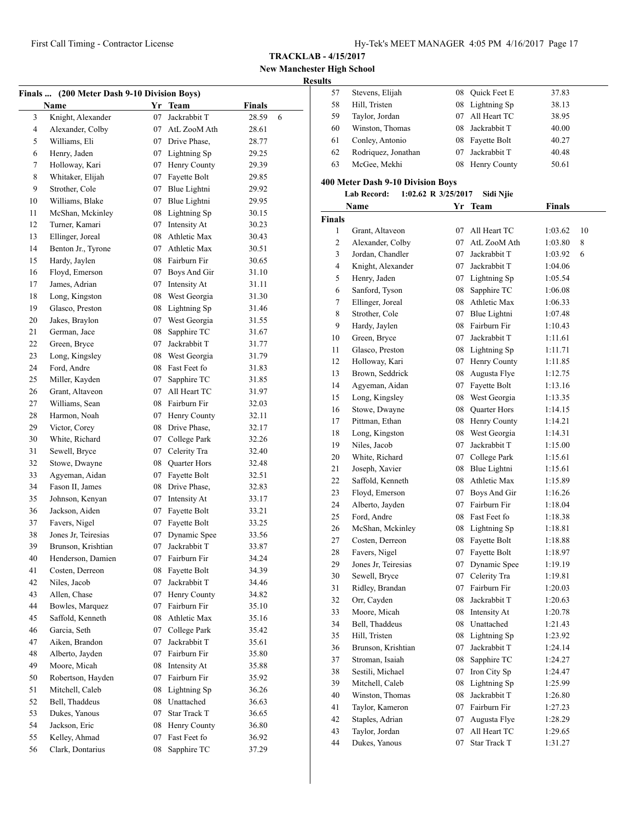**New Manchester High School Results**

| (200 Meter Dash 9-10 Division Boys)<br>Finals |                     |    |                 |        |   |  |
|-----------------------------------------------|---------------------|----|-----------------|--------|---|--|
|                                               | Name                |    | Yr Team         | Finals |   |  |
| 3                                             | Knight, Alexander   | 07 | Jackrabbit T    | 28.59  | 6 |  |
| 4                                             | Alexander, Colby    | 07 | AtL ZooM Ath    | 28.61  |   |  |
| 5                                             | Williams, Eli       |    | 07 Drive Phase, | 28.77  |   |  |
| 6                                             | Henry, Jaden        |    | 07 Lightning Sp | 29.25  |   |  |
| 7                                             | Holloway, Kari      | 07 | Henry County    | 29.39  |   |  |
| 8                                             | Whitaker, Elijah    | 07 | Fayette Bolt    | 29.85  |   |  |
| 9                                             | Strother, Cole      | 07 | Blue Lightni    | 29.92  |   |  |
| 10                                            | Williams, Blake     | 07 | Blue Lightni    | 29.95  |   |  |
| 11                                            | McShan, Mckinley    | 08 | Lightning Sp    | 30.15  |   |  |
| 12                                            | Turner, Kamari      | 07 | Intensity At    | 30.23  |   |  |
| 13                                            | Ellinger, Joreal    | 08 | Athletic Max    | 30.43  |   |  |
| 14                                            | Benton Jr., Tyrone  | 07 | Athletic Max    | 30.51  |   |  |
| 15                                            | Hardy, Jaylen       |    | 08 Fairburn Fir | 30.65  |   |  |
| 16                                            | Floyd, Emerson      | 07 | Boys And Gir    | 31.10  |   |  |
| 17                                            | James, Adrian       | 07 | Intensity At    | 31.11  |   |  |
| 18                                            | Long, Kingston      | 08 | West Georgia    | 31.30  |   |  |
| 19                                            | Glasco, Preston     | 08 | Lightning Sp    | 31.46  |   |  |
| 20                                            | Jakes, Braylon      |    | 07 West Georgia | 31.55  |   |  |
| 21                                            | German, Jace        | 08 | Sapphire TC     | 31.67  |   |  |
| 22                                            | Green, Bryce        | 07 | Jackrabbit T    | 31.77  |   |  |
| 23                                            | Long, Kingsley      |    | 08 West Georgia | 31.79  |   |  |
| 24                                            | Ford, Andre         |    | 08 Fast Feet fo | 31.83  |   |  |
| 25                                            | Miller, Kayden      | 07 | Sapphire TC     | 31.85  |   |  |
| 26                                            | Grant, Altaveon     | 07 | All Heart TC    | 31.97  |   |  |
| 27                                            | Williams, Sean      |    | 08 Fairburn Fir | 32.03  |   |  |
| 28                                            | Harmon, Noah        | 07 | Henry County    | 32.11  |   |  |
| 29                                            | Victor, Corey       | 08 | Drive Phase,    | 32.17  |   |  |
| 30                                            | White, Richard      | 07 | College Park    | 32.26  |   |  |
| 31                                            | Sewell, Bryce       |    | 07 Celerity Tra | 32.40  |   |  |
| 32                                            | Stowe, Dwayne       | 08 | Quarter Hors    | 32.48  |   |  |
| 33                                            | Agyeman, Aidan      | 07 | Fayette Bolt    | 32.51  |   |  |
| 34                                            | Fason II, James     | 08 | Drive Phase,    | 32.83  |   |  |
| 35                                            | Johnson, Kenyan     | 07 | Intensity At    | 33.17  |   |  |
| 36                                            | Jackson, Aiden      | 07 | Fayette Bolt    | 33.21  |   |  |
| 37                                            | Favers, Nigel       | 07 | Fayette Bolt    | 33.25  |   |  |
| 38                                            | Jones Jr, Teiresias | 07 | Dynamic Spee    | 33.56  |   |  |
| 39                                            | Brunson, Krishtian  |    | 07 Jackrabbit T | 33.87  |   |  |
| 40                                            | Henderson, Damien   | 07 | Fairburn Fir    | 34.24  |   |  |
| 41                                            | Costen, Derreon     | 08 | Fayette Bolt    | 34.39  |   |  |
| 42                                            | Niles, Jacob        | 07 | Jackrabbit T    | 34.46  |   |  |
| 43                                            | Allen, Chase        | 07 | Henry County    | 34.82  |   |  |
| 44                                            | Bowles, Marquez     | 07 | Fairburn Fir    | 35.10  |   |  |
| 45                                            | Saffold, Kenneth    | 08 | Athletic Max    | 35.16  |   |  |
| 46                                            | Garcia, Seth        | 07 | College Park    | 35.42  |   |  |
| 47                                            | Aiken, Brandon      | 07 | Jackrabbit T    | 35.61  |   |  |
| 48                                            | Alberto, Jayden     | 07 | Fairburn Fir    | 35.80  |   |  |
| 49                                            | Moore, Micah        | 08 | Intensity At    | 35.88  |   |  |
| 50                                            | Robertson, Hayden   | 07 | Fairburn Fir    | 35.92  |   |  |
| 51                                            | Mitchell, Caleb     | 08 | Lightning Sp    | 36.26  |   |  |
| 52                                            | Bell, Thaddeus      | 08 | Unattached      | 36.63  |   |  |
| 53                                            | Dukes, Yanous       | 07 | Star Track T    | 36.65  |   |  |
| 54                                            | Jackson, Eric       | 08 | Henry County    | 36.80  |   |  |
| 55                                            | Kelley, Ahmad       | 07 | Fast Feet fo    | 36.92  |   |  |
| 56                                            | Clark, Dontarius    | 08 | Sapphire TC     | 37.29  |   |  |
|                                               |                     |    |                 |        |   |  |

| LJ. |                     |    |                 |       |  |
|-----|---------------------|----|-----------------|-------|--|
| 57  | Stevens, Elijah     | 08 | Quick Feet E    | 37.83 |  |
| 58  | Hill, Tristen       |    | 08 Lightning Sp | 38.13 |  |
| 59  | Taylor, Jordan      |    | All Heart TC    | 38.95 |  |
| 60  | Winston, Thomas     | 08 | Jackrabbit T    | 40.00 |  |
| 61  | Conley, Antonio     |    | 08 Fayette Bolt | 40.27 |  |
| 62  | Rodriquez, Jonathan |    | Jackrabbit T    | 40.48 |  |
| 63  | McGee, Mekhi        |    | 08 Henry County | 50.61 |  |
|     |                     |    |                 |       |  |

## **400 Meter Dash 9-10 Division Boys**

# **Lab Record: 1:02.62 R 3/25/2017 Sidi Njie**

|                | Name                | Yr | <b>Team</b>     | <b>Finals</b> |    |
|----------------|---------------------|----|-----------------|---------------|----|
| Finals         |                     |    |                 |               |    |
| 1              | Grant, Altaveon     | 07 | All Heart TC    | 1:03.62       | 10 |
| $\overline{c}$ | Alexander, Colby    | 07 | AtL ZooM Ath    | 1:03.80       | 8  |
| 3              | Jordan, Chandler    | 07 | Jackrabbit T    | 1:03.92       | 6  |
| 4              | Knight, Alexander   | 07 | Jackrabbit T    | 1:04.06       |    |
| 5              | Henry, Jaden        | 07 | Lightning Sp    | 1:05.54       |    |
| 6              | Sanford, Tyson      | 08 | Sapphire TC     | 1:06.08       |    |
| 7              | Ellinger, Joreal    | 08 | Athletic Max    | 1:06.33       |    |
| 8              | Strother, Cole      | 07 | Blue Lightni    | 1:07.48       |    |
| 9              | Hardy, Jaylen       |    | 08 Fairburn Fir | 1:10.43       |    |
| 10             | Green, Bryce        | 07 | Jackrabbit T    | 1:11.61       |    |
| 11             | Glasco, Preston     |    | 08 Lightning Sp | 1:11.71       |    |
| 12             | Holloway, Kari      | 07 | Henry County    | 1:11.85       |    |
| 13             | Brown, Seddrick     | 08 | Augusta Flye    | 1:12.75       |    |
| 14             | Agyeman, Aidan      | 07 | Fayette Bolt    | 1:13.16       |    |
| 15             | Long, Kingsley      | 08 | West Georgia    | 1:13.35       |    |
| 16             | Stowe, Dwayne       | 08 | Quarter Hors    | 1:14.15       |    |
| 17             | Pittman, Ethan      | 08 | Henry County    | 1:14.21       |    |
| 18             | Long, Kingston      | 08 | West Georgia    | 1:14.31       |    |
| 19             | Niles, Jacob        | 07 | Jackrabbit T    | 1:15.00       |    |
| 20             | White, Richard      | 07 | College Park    | 1:15.61       |    |
| 21             | Joseph, Xavier      |    | 08 Blue Lightni | 1:15.61       |    |
| 22             | Saffold, Kenneth    |    | 08 Athletic Max | 1:15.89       |    |
| 23             | Floyd, Emerson      |    | 07 Boys And Gir | 1:16.26       |    |
| 24             | Alberto, Jayden     |    | 07 Fairburn Fir | 1:18.04       |    |
| 25             | Ford, Andre         | 08 | Fast Feet fo    | 1:18.38       |    |
| 26             | McShan, Mckinley    |    | 08 Lightning Sp | 1:18.81       |    |
| 27             | Costen, Derreon     | 08 | Fayette Bolt    | 1:18.88       |    |
| 28             | Favers, Nigel       | 07 | Fayette Bolt    | 1:18.97       |    |
| 29             | Jones Jr, Teiresias | 07 | Dynamic Spee    | 1:19.19       |    |
| 30             | Sewell, Bryce       | 07 | Celerity Tra    | 1:19.81       |    |
| 31             | Ridley, Brandan     | 07 | Fairburn Fir    | 1:20.03       |    |
| 32             | Orr, Cayden         | 08 | Jackrabbit T    | 1:20.63       |    |
| 33             | Moore, Micah        | 08 | Intensity At    | 1:20.78       |    |
| 34             | Bell, Thaddeus      |    | 08 Unattached   | 1:21.43       |    |
| 35             | Hill, Tristen       | 08 | Lightning Sp    | 1:23.92       |    |
| 36             | Brunson, Krishtian  | 07 | Jackrabbit T    | 1:24.14       |    |
| 37             | Stroman, Isaiah     | 08 | Sapphire TC     | 1:24.27       |    |
| 38             | Sestili, Michael    | 07 | Iron City Sp    | 1:24.47       |    |
| 39             | Mitchell, Caleb     | 08 | Lightning Sp    | 1:25.99       |    |
| 40             | Winston, Thomas     | 08 | Jackrabbit T    | 1:26.80       |    |
| 41             | Taylor, Kameron     | 07 | Fairburn Fir    | 1:27.23       |    |
| 42             | Staples, Adrian     | 07 | Augusta Flye    | 1:28.29       |    |
| 43             | Taylor, Jordan      | 07 | All Heart TC    | 1:29.65       |    |
| 44             | Dukes, Yanous       | 07 | Star Track T    | 1:31.27       |    |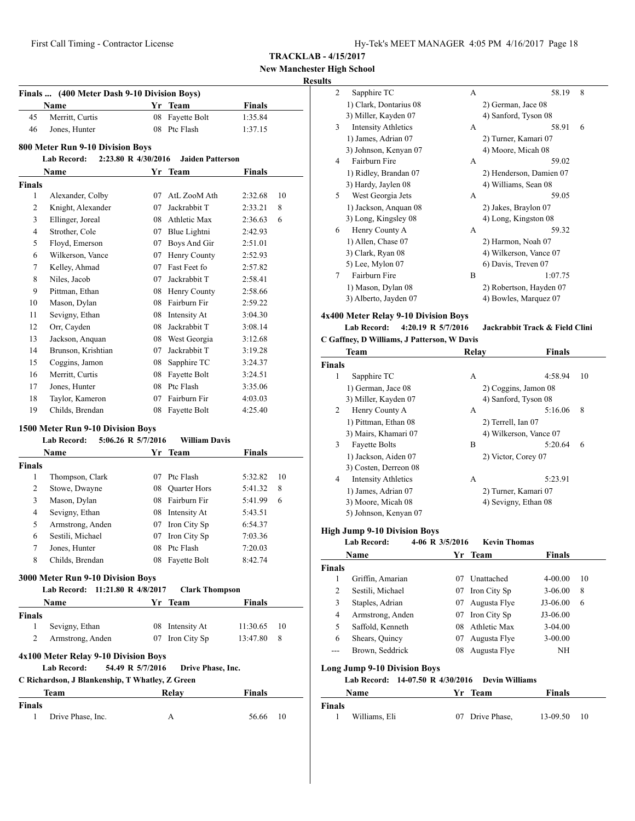**New Manchester High School**

# **Results**

|                                                                                                                                                                                                                                                                                                                                                                                                                                                                                                                                                                                                                                                                                                                                                                                                                                                                                                                                                                                                                                                                                                                                                                                                                                                                                                                                                                                                                                                                                                                                                                                                                                                                                                                                                                                                                                                                                                                                                                                                                                                                                                                                                                                                                                                                                                                                                                                                                                                                                                                          |                 |    | <b>Team</b>  | Finals  |  |
|--------------------------------------------------------------------------------------------------------------------------------------------------------------------------------------------------------------------------------------------------------------------------------------------------------------------------------------------------------------------------------------------------------------------------------------------------------------------------------------------------------------------------------------------------------------------------------------------------------------------------------------------------------------------------------------------------------------------------------------------------------------------------------------------------------------------------------------------------------------------------------------------------------------------------------------------------------------------------------------------------------------------------------------------------------------------------------------------------------------------------------------------------------------------------------------------------------------------------------------------------------------------------------------------------------------------------------------------------------------------------------------------------------------------------------------------------------------------------------------------------------------------------------------------------------------------------------------------------------------------------------------------------------------------------------------------------------------------------------------------------------------------------------------------------------------------------------------------------------------------------------------------------------------------------------------------------------------------------------------------------------------------------------------------------------------------------------------------------------------------------------------------------------------------------------------------------------------------------------------------------------------------------------------------------------------------------------------------------------------------------------------------------------------------------------------------------------------------------------------------------------------------------|-----------------|----|--------------|---------|--|
| 45                                                                                                                                                                                                                                                                                                                                                                                                                                                                                                                                                                                                                                                                                                                                                                                                                                                                                                                                                                                                                                                                                                                                                                                                                                                                                                                                                                                                                                                                                                                                                                                                                                                                                                                                                                                                                                                                                                                                                                                                                                                                                                                                                                                                                                                                                                                                                                                                                                                                                                                       | Merritt, Curtis | 08 | Fayette Bolt | 1:35.84 |  |
| 46                                                                                                                                                                                                                                                                                                                                                                                                                                                                                                                                                                                                                                                                                                                                                                                                                                                                                                                                                                                                                                                                                                                                                                                                                                                                                                                                                                                                                                                                                                                                                                                                                                                                                                                                                                                                                                                                                                                                                                                                                                                                                                                                                                                                                                                                                                                                                                                                                                                                                                                       | Jones, Hunter   | 08 | Ptc Flash    | 1:37.15 |  |
|                                                                                                                                                                                                                                                                                                                                                                                                                                                                                                                                                                                                                                                                                                                                                                                                                                                                                                                                                                                                                                                                                                                                                                                                                                                                                                                                                                                                                                                                                                                                                                                                                                                                                                                                                                                                                                                                                                                                                                                                                                                                                                                                                                                                                                                                                                                                                                                                                                                                                                                          |                 |    |              |         |  |
| Finals  (400 Meter Dash 9-10 Division Boys)<br>Name<br>Yr<br>800 Meter Run 9-10 Division Boys<br><b>Lab Record:</b><br>2:23.80 R 4/30/2016<br><b>Jaiden Patterson</b><br>Name<br><b>Finals</b><br>Yr<br>Team<br><b>Finals</b><br>1<br>Alexander, Colby<br>AtL ZooM Ath<br>10<br>07<br>2:32.68<br>2<br>Knight, Alexander<br>07<br>Jackrabbit T<br>8<br>2:33.21<br>3<br>Ellinger, Joreal<br>08<br>Athletic Max<br>6<br>2:36.63<br>Strother, Cole<br>07 Blue Lightni<br>4<br>2:42.93<br>Boys And Gir<br>5<br>Floyd, Emerson<br>07<br>2:51.01<br>Henry County<br>6<br>Wilkerson, Vance<br>07<br>2:52.93<br>Fast Feet fo<br>7<br>Kelley, Ahmad<br>07<br>2:57.82<br>8<br>Niles, Jacob<br>07<br>Jackrabbit T<br>2:58.41<br>9<br>Pittman, Ethan<br>08 Henry County<br>2:58.66<br>08 Fairburn Fir<br>Mason, Dylan<br>10<br>2:59.22<br>Sevigny, Ethan<br>11<br>08 Intensity At<br>3:04.30<br>Orr, Cayden<br>Jackrabbit T<br>12<br>08<br>3:08.14<br>Jackson, Anquan<br>08 West Georgia<br>13<br>3:12.68<br>Brunson, Krishtian<br>Jackrabbit T<br>14<br>07<br>3:19.28<br>Coggins, Jamon<br>15<br>08<br>Sapphire TC<br>3:24.37<br>Merritt, Curtis<br>Fayette Bolt<br>16<br>08<br>3:24.51<br>Jones, Hunter<br>08 Ptc Flash<br>17<br>3:35.06<br>Taylor, Kameron<br>Fairburn Fir<br>18<br>07<br>4:03.03<br>Childs, Brendan<br>Fayette Bolt<br>19<br>08<br>4:25.40<br>1500 Meter Run 9-10 Division Boys<br><b>Lab Record:</b><br>5:06.26 R 5/7/2016<br><b>William Davis</b><br>Finals<br>Name<br>Yr<br>Team<br><b>Finals</b><br>1<br>Thompson, Clark<br>07 Ptc Flash<br>5:32.82<br>10<br>2<br>Stowe, Dwayne<br>08 Ouarter Hors<br>5:41.32<br>8<br>08 Fairburn Fir<br>3<br>Mason, Dylan<br>5:41.99<br>6<br>$\overline{4}$<br>Sevigny, Ethan<br>08 Intensity At<br>5:43.51<br>Armstrong, Anden<br>Iron City Sp<br>5<br>07<br>6:54.37<br>Sestili, Michael<br>07<br>Iron City Sp<br>6<br>7:03.36<br>7<br>08<br>Ptc Flash<br>Jones, Hunter<br>7:20.03<br>8<br>Childs, Brendan<br>08 Fayette Bolt<br>8:42.74<br>3000 Meter Run 9-10 Division Boys<br>11:21.80 R 4/8/2017<br>Lab Record:<br><b>Clark Thompson</b><br>Finals<br>Name<br>Yr.<br>Team<br><b>Finals</b><br>1<br>Sevigny, Ethan<br>08 Intensity At<br>11:30.65<br>10<br>2<br>07 Iron City Sp<br>8<br>Armstrong, Anden<br>13:47.80<br>4x100 Meter Relay 9-10 Division Boys<br>Lab Record:<br>54.49 R 5/7/2016<br>Drive Phase, Inc.<br>C Richardson, J Blankenship, T Whatley, Z Green<br><b>Finals</b><br>Team<br>Relay<br><b>Finals</b><br>1<br>10<br>Drive Phase, Inc.<br>А<br>56.66 |                 |    |              |         |  |
|                                                                                                                                                                                                                                                                                                                                                                                                                                                                                                                                                                                                                                                                                                                                                                                                                                                                                                                                                                                                                                                                                                                                                                                                                                                                                                                                                                                                                                                                                                                                                                                                                                                                                                                                                                                                                                                                                                                                                                                                                                                                                                                                                                                                                                                                                                                                                                                                                                                                                                                          |                 |    |              |         |  |
|                                                                                                                                                                                                                                                                                                                                                                                                                                                                                                                                                                                                                                                                                                                                                                                                                                                                                                                                                                                                                                                                                                                                                                                                                                                                                                                                                                                                                                                                                                                                                                                                                                                                                                                                                                                                                                                                                                                                                                                                                                                                                                                                                                                                                                                                                                                                                                                                                                                                                                                          |                 |    |              |         |  |
|                                                                                                                                                                                                                                                                                                                                                                                                                                                                                                                                                                                                                                                                                                                                                                                                                                                                                                                                                                                                                                                                                                                                                                                                                                                                                                                                                                                                                                                                                                                                                                                                                                                                                                                                                                                                                                                                                                                                                                                                                                                                                                                                                                                                                                                                                                                                                                                                                                                                                                                          |                 |    |              |         |  |
|                                                                                                                                                                                                                                                                                                                                                                                                                                                                                                                                                                                                                                                                                                                                                                                                                                                                                                                                                                                                                                                                                                                                                                                                                                                                                                                                                                                                                                                                                                                                                                                                                                                                                                                                                                                                                                                                                                                                                                                                                                                                                                                                                                                                                                                                                                                                                                                                                                                                                                                          |                 |    |              |         |  |
|                                                                                                                                                                                                                                                                                                                                                                                                                                                                                                                                                                                                                                                                                                                                                                                                                                                                                                                                                                                                                                                                                                                                                                                                                                                                                                                                                                                                                                                                                                                                                                                                                                                                                                                                                                                                                                                                                                                                                                                                                                                                                                                                                                                                                                                                                                                                                                                                                                                                                                                          |                 |    |              |         |  |
|                                                                                                                                                                                                                                                                                                                                                                                                                                                                                                                                                                                                                                                                                                                                                                                                                                                                                                                                                                                                                                                                                                                                                                                                                                                                                                                                                                                                                                                                                                                                                                                                                                                                                                                                                                                                                                                                                                                                                                                                                                                                                                                                                                                                                                                                                                                                                                                                                                                                                                                          |                 |    |              |         |  |
|                                                                                                                                                                                                                                                                                                                                                                                                                                                                                                                                                                                                                                                                                                                                                                                                                                                                                                                                                                                                                                                                                                                                                                                                                                                                                                                                                                                                                                                                                                                                                                                                                                                                                                                                                                                                                                                                                                                                                                                                                                                                                                                                                                                                                                                                                                                                                                                                                                                                                                                          |                 |    |              |         |  |
|                                                                                                                                                                                                                                                                                                                                                                                                                                                                                                                                                                                                                                                                                                                                                                                                                                                                                                                                                                                                                                                                                                                                                                                                                                                                                                                                                                                                                                                                                                                                                                                                                                                                                                                                                                                                                                                                                                                                                                                                                                                                                                                                                                                                                                                                                                                                                                                                                                                                                                                          |                 |    |              |         |  |
|                                                                                                                                                                                                                                                                                                                                                                                                                                                                                                                                                                                                                                                                                                                                                                                                                                                                                                                                                                                                                                                                                                                                                                                                                                                                                                                                                                                                                                                                                                                                                                                                                                                                                                                                                                                                                                                                                                                                                                                                                                                                                                                                                                                                                                                                                                                                                                                                                                                                                                                          |                 |    |              |         |  |
|                                                                                                                                                                                                                                                                                                                                                                                                                                                                                                                                                                                                                                                                                                                                                                                                                                                                                                                                                                                                                                                                                                                                                                                                                                                                                                                                                                                                                                                                                                                                                                                                                                                                                                                                                                                                                                                                                                                                                                                                                                                                                                                                                                                                                                                                                                                                                                                                                                                                                                                          |                 |    |              |         |  |
|                                                                                                                                                                                                                                                                                                                                                                                                                                                                                                                                                                                                                                                                                                                                                                                                                                                                                                                                                                                                                                                                                                                                                                                                                                                                                                                                                                                                                                                                                                                                                                                                                                                                                                                                                                                                                                                                                                                                                                                                                                                                                                                                                                                                                                                                                                                                                                                                                                                                                                                          |                 |    |              |         |  |
|                                                                                                                                                                                                                                                                                                                                                                                                                                                                                                                                                                                                                                                                                                                                                                                                                                                                                                                                                                                                                                                                                                                                                                                                                                                                                                                                                                                                                                                                                                                                                                                                                                                                                                                                                                                                                                                                                                                                                                                                                                                                                                                                                                                                                                                                                                                                                                                                                                                                                                                          |                 |    |              |         |  |
|                                                                                                                                                                                                                                                                                                                                                                                                                                                                                                                                                                                                                                                                                                                                                                                                                                                                                                                                                                                                                                                                                                                                                                                                                                                                                                                                                                                                                                                                                                                                                                                                                                                                                                                                                                                                                                                                                                                                                                                                                                                                                                                                                                                                                                                                                                                                                                                                                                                                                                                          |                 |    |              |         |  |
|                                                                                                                                                                                                                                                                                                                                                                                                                                                                                                                                                                                                                                                                                                                                                                                                                                                                                                                                                                                                                                                                                                                                                                                                                                                                                                                                                                                                                                                                                                                                                                                                                                                                                                                                                                                                                                                                                                                                                                                                                                                                                                                                                                                                                                                                                                                                                                                                                                                                                                                          |                 |    |              |         |  |
|                                                                                                                                                                                                                                                                                                                                                                                                                                                                                                                                                                                                                                                                                                                                                                                                                                                                                                                                                                                                                                                                                                                                                                                                                                                                                                                                                                                                                                                                                                                                                                                                                                                                                                                                                                                                                                                                                                                                                                                                                                                                                                                                                                                                                                                                                                                                                                                                                                                                                                                          |                 |    |              |         |  |
|                                                                                                                                                                                                                                                                                                                                                                                                                                                                                                                                                                                                                                                                                                                                                                                                                                                                                                                                                                                                                                                                                                                                                                                                                                                                                                                                                                                                                                                                                                                                                                                                                                                                                                                                                                                                                                                                                                                                                                                                                                                                                                                                                                                                                                                                                                                                                                                                                                                                                                                          |                 |    |              |         |  |
|                                                                                                                                                                                                                                                                                                                                                                                                                                                                                                                                                                                                                                                                                                                                                                                                                                                                                                                                                                                                                                                                                                                                                                                                                                                                                                                                                                                                                                                                                                                                                                                                                                                                                                                                                                                                                                                                                                                                                                                                                                                                                                                                                                                                                                                                                                                                                                                                                                                                                                                          |                 |    |              |         |  |
|                                                                                                                                                                                                                                                                                                                                                                                                                                                                                                                                                                                                                                                                                                                                                                                                                                                                                                                                                                                                                                                                                                                                                                                                                                                                                                                                                                                                                                                                                                                                                                                                                                                                                                                                                                                                                                                                                                                                                                                                                                                                                                                                                                                                                                                                                                                                                                                                                                                                                                                          |                 |    |              |         |  |
|                                                                                                                                                                                                                                                                                                                                                                                                                                                                                                                                                                                                                                                                                                                                                                                                                                                                                                                                                                                                                                                                                                                                                                                                                                                                                                                                                                                                                                                                                                                                                                                                                                                                                                                                                                                                                                                                                                                                                                                                                                                                                                                                                                                                                                                                                                                                                                                                                                                                                                                          |                 |    |              |         |  |
|                                                                                                                                                                                                                                                                                                                                                                                                                                                                                                                                                                                                                                                                                                                                                                                                                                                                                                                                                                                                                                                                                                                                                                                                                                                                                                                                                                                                                                                                                                                                                                                                                                                                                                                                                                                                                                                                                                                                                                                                                                                                                                                                                                                                                                                                                                                                                                                                                                                                                                                          |                 |    |              |         |  |
|                                                                                                                                                                                                                                                                                                                                                                                                                                                                                                                                                                                                                                                                                                                                                                                                                                                                                                                                                                                                                                                                                                                                                                                                                                                                                                                                                                                                                                                                                                                                                                                                                                                                                                                                                                                                                                                                                                                                                                                                                                                                                                                                                                                                                                                                                                                                                                                                                                                                                                                          |                 |    |              |         |  |
|                                                                                                                                                                                                                                                                                                                                                                                                                                                                                                                                                                                                                                                                                                                                                                                                                                                                                                                                                                                                                                                                                                                                                                                                                                                                                                                                                                                                                                                                                                                                                                                                                                                                                                                                                                                                                                                                                                                                                                                                                                                                                                                                                                                                                                                                                                                                                                                                                                                                                                                          |                 |    |              |         |  |
|                                                                                                                                                                                                                                                                                                                                                                                                                                                                                                                                                                                                                                                                                                                                                                                                                                                                                                                                                                                                                                                                                                                                                                                                                                                                                                                                                                                                                                                                                                                                                                                                                                                                                                                                                                                                                                                                                                                                                                                                                                                                                                                                                                                                                                                                                                                                                                                                                                                                                                                          |                 |    |              |         |  |
|                                                                                                                                                                                                                                                                                                                                                                                                                                                                                                                                                                                                                                                                                                                                                                                                                                                                                                                                                                                                                                                                                                                                                                                                                                                                                                                                                                                                                                                                                                                                                                                                                                                                                                                                                                                                                                                                                                                                                                                                                                                                                                                                                                                                                                                                                                                                                                                                                                                                                                                          |                 |    |              |         |  |
|                                                                                                                                                                                                                                                                                                                                                                                                                                                                                                                                                                                                                                                                                                                                                                                                                                                                                                                                                                                                                                                                                                                                                                                                                                                                                                                                                                                                                                                                                                                                                                                                                                                                                                                                                                                                                                                                                                                                                                                                                                                                                                                                                                                                                                                                                                                                                                                                                                                                                                                          |                 |    |              |         |  |
|                                                                                                                                                                                                                                                                                                                                                                                                                                                                                                                                                                                                                                                                                                                                                                                                                                                                                                                                                                                                                                                                                                                                                                                                                                                                                                                                                                                                                                                                                                                                                                                                                                                                                                                                                                                                                                                                                                                                                                                                                                                                                                                                                                                                                                                                                                                                                                                                                                                                                                                          |                 |    |              |         |  |
|                                                                                                                                                                                                                                                                                                                                                                                                                                                                                                                                                                                                                                                                                                                                                                                                                                                                                                                                                                                                                                                                                                                                                                                                                                                                                                                                                                                                                                                                                                                                                                                                                                                                                                                                                                                                                                                                                                                                                                                                                                                                                                                                                                                                                                                                                                                                                                                                                                                                                                                          |                 |    |              |         |  |
|                                                                                                                                                                                                                                                                                                                                                                                                                                                                                                                                                                                                                                                                                                                                                                                                                                                                                                                                                                                                                                                                                                                                                                                                                                                                                                                                                                                                                                                                                                                                                                                                                                                                                                                                                                                                                                                                                                                                                                                                                                                                                                                                                                                                                                                                                                                                                                                                                                                                                                                          |                 |    |              |         |  |
|                                                                                                                                                                                                                                                                                                                                                                                                                                                                                                                                                                                                                                                                                                                                                                                                                                                                                                                                                                                                                                                                                                                                                                                                                                                                                                                                                                                                                                                                                                                                                                                                                                                                                                                                                                                                                                                                                                                                                                                                                                                                                                                                                                                                                                                                                                                                                                                                                                                                                                                          |                 |    |              |         |  |
|                                                                                                                                                                                                                                                                                                                                                                                                                                                                                                                                                                                                                                                                                                                                                                                                                                                                                                                                                                                                                                                                                                                                                                                                                                                                                                                                                                                                                                                                                                                                                                                                                                                                                                                                                                                                                                                                                                                                                                                                                                                                                                                                                                                                                                                                                                                                                                                                                                                                                                                          |                 |    |              |         |  |
|                                                                                                                                                                                                                                                                                                                                                                                                                                                                                                                                                                                                                                                                                                                                                                                                                                                                                                                                                                                                                                                                                                                                                                                                                                                                                                                                                                                                                                                                                                                                                                                                                                                                                                                                                                                                                                                                                                                                                                                                                                                                                                                                                                                                                                                                                                                                                                                                                                                                                                                          |                 |    |              |         |  |
|                                                                                                                                                                                                                                                                                                                                                                                                                                                                                                                                                                                                                                                                                                                                                                                                                                                                                                                                                                                                                                                                                                                                                                                                                                                                                                                                                                                                                                                                                                                                                                                                                                                                                                                                                                                                                                                                                                                                                                                                                                                                                                                                                                                                                                                                                                                                                                                                                                                                                                                          |                 |    |              |         |  |
|                                                                                                                                                                                                                                                                                                                                                                                                                                                                                                                                                                                                                                                                                                                                                                                                                                                                                                                                                                                                                                                                                                                                                                                                                                                                                                                                                                                                                                                                                                                                                                                                                                                                                                                                                                                                                                                                                                                                                                                                                                                                                                                                                                                                                                                                                                                                                                                                                                                                                                                          |                 |    |              |         |  |
|                                                                                                                                                                                                                                                                                                                                                                                                                                                                                                                                                                                                                                                                                                                                                                                                                                                                                                                                                                                                                                                                                                                                                                                                                                                                                                                                                                                                                                                                                                                                                                                                                                                                                                                                                                                                                                                                                                                                                                                                                                                                                                                                                                                                                                                                                                                                                                                                                                                                                                                          |                 |    |              |         |  |
|                                                                                                                                                                                                                                                                                                                                                                                                                                                                                                                                                                                                                                                                                                                                                                                                                                                                                                                                                                                                                                                                                                                                                                                                                                                                                                                                                                                                                                                                                                                                                                                                                                                                                                                                                                                                                                                                                                                                                                                                                                                                                                                                                                                                                                                                                                                                                                                                                                                                                                                          |                 |    |              |         |  |
|                                                                                                                                                                                                                                                                                                                                                                                                                                                                                                                                                                                                                                                                                                                                                                                                                                                                                                                                                                                                                                                                                                                                                                                                                                                                                                                                                                                                                                                                                                                                                                                                                                                                                                                                                                                                                                                                                                                                                                                                                                                                                                                                                                                                                                                                                                                                                                                                                                                                                                                          |                 |    |              |         |  |
|                                                                                                                                                                                                                                                                                                                                                                                                                                                                                                                                                                                                                                                                                                                                                                                                                                                                                                                                                                                                                                                                                                                                                                                                                                                                                                                                                                                                                                                                                                                                                                                                                                                                                                                                                                                                                                                                                                                                                                                                                                                                                                                                                                                                                                                                                                                                                                                                                                                                                                                          |                 |    |              |         |  |
|                                                                                                                                                                                                                                                                                                                                                                                                                                                                                                                                                                                                                                                                                                                                                                                                                                                                                                                                                                                                                                                                                                                                                                                                                                                                                                                                                                                                                                                                                                                                                                                                                                                                                                                                                                                                                                                                                                                                                                                                                                                                                                                                                                                                                                                                                                                                                                                                                                                                                                                          |                 |    |              |         |  |
|                                                                                                                                                                                                                                                                                                                                                                                                                                                                                                                                                                                                                                                                                                                                                                                                                                                                                                                                                                                                                                                                                                                                                                                                                                                                                                                                                                                                                                                                                                                                                                                                                                                                                                                                                                                                                                                                                                                                                                                                                                                                                                                                                                                                                                                                                                                                                                                                                                                                                                                          |                 |    |              |         |  |
|                                                                                                                                                                                                                                                                                                                                                                                                                                                                                                                                                                                                                                                                                                                                                                                                                                                                                                                                                                                                                                                                                                                                                                                                                                                                                                                                                                                                                                                                                                                                                                                                                                                                                                                                                                                                                                                                                                                                                                                                                                                                                                                                                                                                                                                                                                                                                                                                                                                                                                                          |                 |    |              |         |  |
|                                                                                                                                                                                                                                                                                                                                                                                                                                                                                                                                                                                                                                                                                                                                                                                                                                                                                                                                                                                                                                                                                                                                                                                                                                                                                                                                                                                                                                                                                                                                                                                                                                                                                                                                                                                                                                                                                                                                                                                                                                                                                                                                                                                                                                                                                                                                                                                                                                                                                                                          |                 |    |              |         |  |
|                                                                                                                                                                                                                                                                                                                                                                                                                                                                                                                                                                                                                                                                                                                                                                                                                                                                                                                                                                                                                                                                                                                                                                                                                                                                                                                                                                                                                                                                                                                                                                                                                                                                                                                                                                                                                                                                                                                                                                                                                                                                                                                                                                                                                                                                                                                                                                                                                                                                                                                          |                 |    |              |         |  |
|                                                                                                                                                                                                                                                                                                                                                                                                                                                                                                                                                                                                                                                                                                                                                                                                                                                                                                                                                                                                                                                                                                                                                                                                                                                                                                                                                                                                                                                                                                                                                                                                                                                                                                                                                                                                                                                                                                                                                                                                                                                                                                                                                                                                                                                                                                                                                                                                                                                                                                                          |                 |    |              |         |  |
|                                                                                                                                                                                                                                                                                                                                                                                                                                                                                                                                                                                                                                                                                                                                                                                                                                                                                                                                                                                                                                                                                                                                                                                                                                                                                                                                                                                                                                                                                                                                                                                                                                                                                                                                                                                                                                                                                                                                                                                                                                                                                                                                                                                                                                                                                                                                                                                                                                                                                                                          |                 |    |              |         |  |
|                                                                                                                                                                                                                                                                                                                                                                                                                                                                                                                                                                                                                                                                                                                                                                                                                                                                                                                                                                                                                                                                                                                                                                                                                                                                                                                                                                                                                                                                                                                                                                                                                                                                                                                                                                                                                                                                                                                                                                                                                                                                                                                                                                                                                                                                                                                                                                                                                                                                                                                          |                 |    |              |         |  |
|                                                                                                                                                                                                                                                                                                                                                                                                                                                                                                                                                                                                                                                                                                                                                                                                                                                                                                                                                                                                                                                                                                                                                                                                                                                                                                                                                                                                                                                                                                                                                                                                                                                                                                                                                                                                                                                                                                                                                                                                                                                                                                                                                                                                                                                                                                                                                                                                                                                                                                                          |                 |    |              |         |  |
|                                                                                                                                                                                                                                                                                                                                                                                                                                                                                                                                                                                                                                                                                                                                                                                                                                                                                                                                                                                                                                                                                                                                                                                                                                                                                                                                                                                                                                                                                                                                                                                                                                                                                                                                                                                                                                                                                                                                                                                                                                                                                                                                                                                                                                                                                                                                                                                                                                                                                                                          |                 |    |              |         |  |

| 2 | Sapphire TC                | A | 58.19                   | 8 |
|---|----------------------------|---|-------------------------|---|
|   | 1) Clark, Dontarius 08     |   | 2) German, Jace 08      |   |
|   | 3) Miller, Kayden 07       |   | 4) Sanford, Tyson 08    |   |
| 3 | <b>Intensity Athletics</b> | A | 58.91                   | 6 |
|   | 1) James, Adrian 07        |   | 2) Turner, Kamari 07    |   |
|   | 3) Johnson, Kenyan 07      |   | 4) Moore, Micah 08      |   |
| 4 | Fairburn Fire              | A | 59.02                   |   |
|   | 1) Ridley, Brandan 07      |   | 2) Henderson, Damien 07 |   |
|   | 3) Hardy, Jaylen 08        |   | 4) Williams, Sean 08    |   |
| 5 | West Georgia Jets          | A | 59.05                   |   |
|   | 1) Jackson, Anguan 08      |   | 2) Jakes, Braylon 07    |   |
|   | 3) Long, Kingsley 08       |   | 4) Long, Kingston 08    |   |
| 6 | Henry County A             | A | 59.32                   |   |
|   | 1) Allen, Chase 07         |   | 2) Harmon, Noah 07      |   |
|   | 3) Clark, Ryan 08          |   | 4) Wilkerson, Vance 07  |   |
|   | 5) Lee, Mylon 07           |   | 6) Davis, Treven 07     |   |
| 7 | Fairburn Fire              | B | 1:07.75                 |   |
|   | 1) Mason, Dylan 08         |   | 2) Robertson, Hayden 07 |   |
|   | 3) Alberto, Jayden 07      |   | 4) Bowles, Marquez 07   |   |
|   |                            |   |                         |   |

**4x400 Meter Relay 9-10 Division Boys**

**Lab Record: 4:20.19 R 5/7/2016 Jackrabbit Track & Field Clini**

|  |  |  | C Gaffney, D Williams, J Patterson, W Davis |  |  |  |
|--|--|--|---------------------------------------------|--|--|--|
|--|--|--|---------------------------------------------|--|--|--|

| Team          |                            | Relay |                        | <b>Finals</b> |    |
|---------------|----------------------------|-------|------------------------|---------------|----|
| <b>Finals</b> |                            |       |                        |               |    |
| 1             | Sapphire TC                | А     |                        | 4:58.94       | 10 |
|               | 1) German, Jace 08         |       | 2) Coggins, Jamon 08   |               |    |
|               | 3) Miller, Kayden 07       |       | 4) Sanford, Tyson 08   |               |    |
| 2             | Henry County A             | А     |                        | 5:16.06       | 8  |
|               | 1) Pittman, Ethan 08       |       | 2) Terrell, Ian 07     |               |    |
|               | 3) Mairs, Khamari 07       |       | 4) Wilkerson, Vance 07 |               |    |
| 3             | <b>Fayette Bolts</b>       | B     |                        | 5:20.64       | 6  |
|               | 1) Jackson, Aiden 07       |       | 2) Victor, Corey 07    |               |    |
|               | 3) Costen, Derreon 08      |       |                        |               |    |
| 4             | <b>Intensity Athletics</b> | А     |                        | 5:23.91       |    |
|               | 1) James, Adrian 07        |       | 2) Turner, Kamari 07   |               |    |
|               | 3) Moore, Micah 08         |       | 4) Sevigny, Ethan 08   |               |    |
|               | 5) Johnson, Kenyan 07      |       |                        |               |    |

# **High Jump 9-10 Division Boys**

|               | <b>Lab Record:</b>                                 | 4-06 R $3/5/2016$    | <b>Kevin Thomas</b>   |               |    |
|---------------|----------------------------------------------------|----------------------|-----------------------|---------------|----|
|               | Name                                               |                      | Yr Team               | <b>Finals</b> |    |
| <b>Finals</b> |                                                    |                      |                       |               |    |
| 1             | Griffin, Amarian                                   | 07                   | Unattached            | $4 - 00.00$   | 10 |
| 2             | Sestili, Michael                                   | 07                   | Iron City Sp          | $3-06.00$     | 8  |
| 3             | Staples, Adrian                                    | 07                   | Augusta Flye          | $J3-06.00$    | 6  |
| 4             | Armstrong, Anden                                   | 07                   | Iron City Sp          | $J3-06.00$    |    |
| 5             | Saffold, Kenneth                                   | 08                   | Athletic Max          | $3-04.00$     |    |
| 6             | Shears, Quincy                                     | 07                   | Augusta Flye          | $3 - 00.00$   |    |
| ---           | Brown, Seddrick                                    | 08                   | Augusta Flye          | NH            |    |
|               | <b>Long Jump 9-10 Division Boys</b><br>Lab Record: | 14-07.50 R 4/30/2016 | <b>Devin Williams</b> |               |    |

|        | Name          | Yr Team         | <b>Finals</b> |    |  |
|--------|---------------|-----------------|---------------|----|--|
| Finals |               |                 |               |    |  |
|        | Williams, Eli | 07 Drive Phase, | 13-09.50      | 10 |  |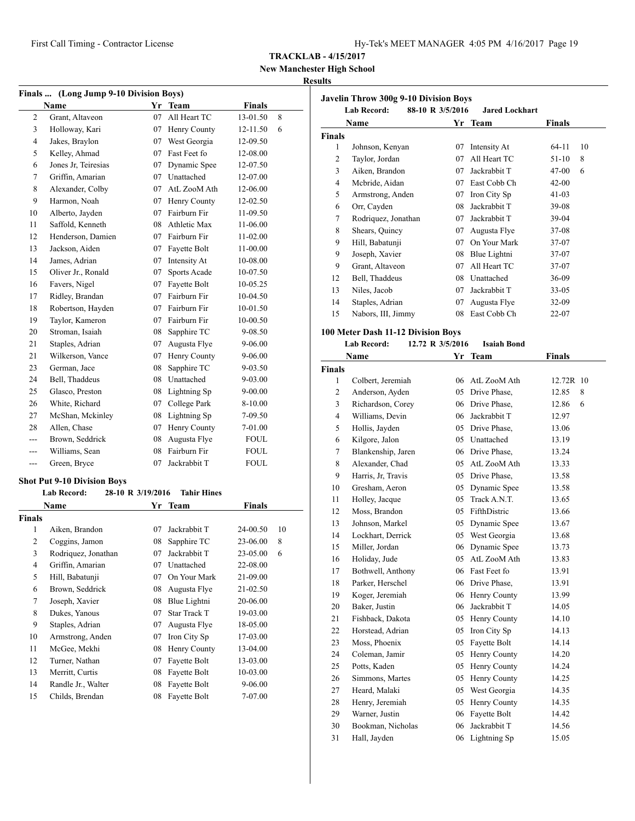| Hy-Tek's MEET MANAGER 4:05 PM 4/16/2017 Page 19 |  |  |  |  |
|-------------------------------------------------|--|--|--|--|
|-------------------------------------------------|--|--|--|--|

**New Manchester High School Results**

## **Finals ... (Long Jump 9-10 Division Boys) Name Yr** Team **Finals**  Grant, Altaveon 07 All Heart TC 13-01.50 8 Holloway, Kari 07 Henry County 12-11.50 6 Jakes, Braylon 07 West Georgia 12-09.50 Kelley, Ahmad 07 Fast Feet fo 12-08.00 Jones Jr, Teiresias 07 Dynamic Spee 12-07.50 Griffin, Amarian 07 Unattached 12-07.00 Alexander, Colby 07 AtL ZooM Ath 12-06.00 Harmon, Noah 07 Henry County 12-02.50 Alberto, Jayden 07 Fairburn Fir 11-09.50 Saffold, Kenneth 08 Athletic Max 11-06.00 Henderson, Damien 07 Fairburn Fir 11-02.00 Jackson, Aiden 07 Fayette Bolt 11-00.00 James, Adrian 07 Intensity At 10-08.00 Oliver Jr., Ronald 07 Sports Acade 10-07.50 16 Favers, Nigel 07 Fayette Bolt 10-05.25 Ridley, Brandan 07 Fairburn Fir 10-04.50 Robertson, Hayden 07 Fairburn Fir 10-01.50 Taylor, Kameron 07 Fairburn Fir 10-00.50 Stroman, Isaiah 08 Sapphire TC 9-08.50 21 Staples, Adrian 07 Augusta Flye 9-06.00 21 Wilkerson, Vance 07 Henry County 9-06.00 German, Jace 08 Sapphire TC 9-03.50 Bell, Thaddeus 08 Unattached 9-03.00 25 Glasco, Preston 08 Lightning Sp 9-00.00 26 White, Richard 07 College Park 8-10.00 27 McShan, Mckinley 08 Lightning Sp 7-09.50 28 Allen, Chase 07 Henry County 7-01.00 --- Brown, Seddrick 08 Augusta Flye FOUL --- Williams, Sean 08 Fairburn Fir FOUL --- Green, Bryce 07 Jackrabbit T FOUL

#### **Shot Put 9-10 Division Boys**

|               | <b>Lab Record:</b>  | 28-10 R 3/19/2016 | <b>Tahir Hines</b> |          |    |
|---------------|---------------------|-------------------|--------------------|----------|----|
|               | Name                | Yr                | Team               | Finals   |    |
| <b>Finals</b> |                     |                   |                    |          |    |
| 1             | Aiken, Brandon      | 07                | Jackrabbit T       | 24-00.50 | 10 |
| 2             | Coggins, Jamon      | 08                | Sapphire TC        | 23-06.00 | 8  |
| 3             | Rodriquez, Jonathan | 07                | Jackrabbit T       | 23-05.00 | 6  |
| 4             | Griffin, Amarian    | 07                | Unattached         | 22-08.00 |    |
| 5             | Hill, Babatunji     | 07                | On Your Mark       | 21-09.00 |    |
| 6             | Brown, Seddrick     | 08                | Augusta Flye       | 21-02.50 |    |
| 7             | Joseph, Xavier      | 08                | Blue Lightni       | 20-06.00 |    |
| 8             | Dukes, Yanous       | 07                | Star Track T       | 19-03.00 |    |
| 9             | Staples, Adrian     | 07                | Augusta Flye       | 18-05.00 |    |
| 10            | Armstrong, Anden    | 07                | Iron City Sp       | 17-03.00 |    |
| 11            | McGee, Mekhi        | 08                | Henry County       | 13-04.00 |    |
| 12            | Turner, Nathan      | 07                | Fayette Bolt       | 13-03.00 |    |
| 13            | Merritt, Curtis     | 08                | Fayette Bolt       | 10-03.00 |    |
| 14            | Randle Jr., Walter  | 08                | Fayette Bolt       | 9-06.00  |    |
| 15            | Childs, Brendan     | 08                | Fayette Bolt       | 7-07.00  |    |

|        | Javelin Throw 300g 9-10 Division Boys<br><b>Lab Record:</b> | 88-10 R 3/5/2016 | <b>Jared Lockhart</b> |           |    |
|--------|-------------------------------------------------------------|------------------|-----------------------|-----------|----|
|        | Name                                                        |                  | Yr Team               | Finals    |    |
| Finals |                                                             |                  |                       |           |    |
| 1      | Johnson, Kenyan                                             | 07               | Intensity At          | 64-11     | 10 |
| 2      | Taylor, Jordan                                              | 07               | All Heart TC          | 51-10     | 8  |
| 3      | Aiken, Brandon                                              | 07               | Jackrabbit T          | $47 - 00$ | 6  |
| 4      | Mcbride, Aidan                                              | 07               | East Cobb Ch          | $42 - 00$ |    |
| 5      | Armstrong, Anden                                            | 07               | Iron City Sp          | $41-03$   |    |
| 6      | Orr, Cayden                                                 | 08               | Jackrabbit T          | 39-08     |    |
| 7      | Rodriquez, Jonathan                                         | 07               | Jackrabbit T          | 39-04     |    |
| 8      | Shears, Quincy                                              | 07               | Augusta Flye          | $37-08$   |    |
| 9      | Hill, Babatunji                                             | 07               | On Your Mark          | 37-07     |    |
| 9      | Joseph, Xavier                                              | 08               | Blue Lightni          | 37-07     |    |
| 9      | Grant, Altaveon                                             | 07               | All Heart TC          | 37-07     |    |
| 12     | Bell, Thaddeus                                              | 08               | Unattached            | 36-09     |    |
| 13     | Niles, Jacob                                                | 07               | Jackrabbit T          | $33 - 05$ |    |
| 14     | Staples, Adrian                                             | 07               | Augusta Flye          | 32-09     |    |
| 15     | Nabors, III, Jimmy                                          | 08               | East Cobb Ch          | $22 - 07$ |    |

#### **100 Meter Dash 11-12 Division Boys**

#### **Lab Record: 12.72 R 3/5/2016 Isaiah Bond**

|                | Name               | Yr  | <b>Team</b>     | <b>Finals</b> |
|----------------|--------------------|-----|-----------------|---------------|
| Finals         |                    |     |                 |               |
| 1              | Colbert, Jeremiah  | 06. | AtL ZooM Ath    | 12.72R 10     |
| $\overline{2}$ | Anderson, Ayden    | 05  | Drive Phase,    | 8<br>12.85    |
| 3              | Richardson, Corey  |     | 06 Drive Phase, | 6<br>12.86    |
| $\overline{4}$ | Williams, Devin    | 06. | Jackrabbit T    | 12.97         |
| 5              | Hollis, Jayden     | 05  | Drive Phase,    | 13.06         |
| 6              | Kilgore, Jalon     |     | 05 Unattached   | 13.19         |
| 7              | Blankenship, Jaren |     | 06 Drive Phase. | 13.24         |
| 8              | Alexander, Chad    | 05  | AtL ZooM Ath    | 13.33         |
| 9              | Harris, Jr, Travis |     | 05 Drive Phase, | 13.58         |
| 10             | Gresham, Aeron     | 05  | Dynamic Spee    | 13.58         |
| 11             | Holley, Jacque     | 05  | Track A.N.T.    | 13.65         |
| 12             | Moss, Brandon      | 05  | FifthDistric    | 13.66         |
| 13             | Johnson, Markel    | 05  | Dynamic Spee    | 13.67         |
| 14             | Lockhart, Derrick  | 05  | West Georgia    | 13.68         |
| 15             | Miller, Jordan     | 06  | Dynamic Spee    | 13.73         |
| 16             | Holiday, Jude      | 05  | AtL ZooM Ath    | 13.83         |
| 17             | Bothwell, Anthony  |     | 06 Fast Feet fo | 13.91         |
| 18             | Parker, Herschel   |     | 06 Drive Phase, | 13.91         |
| 19             | Koger, Jeremiah    | 06  | Henry County    | 13.99         |
| 20             | Baker, Justin      | 06  | Jackrabbit T    | 14.05         |
| 21             | Fishback, Dakota   | 05  | Henry County    | 14.10         |
| 22             | Horstead, Adrian   | 05  | Iron City Sp    | 14.13         |
| 23             | Moss, Phoenix      | 05  | Fayette Bolt    | 14.14         |
| 24             | Coleman, Jamir     | 05  | Henry County    | 14.20         |
| 25             | Potts, Kaden       | 05  | Henry County    | 14.24         |
| 26             | Simmons, Martes    | 05  | Henry County    | 14.25         |
| 27             | Heard, Malaki      | 05  | West Georgia    | 14.35         |
| 28             | Henry, Jeremiah    | 05  | Henry County    | 14.35         |
| 29             | Warner, Justin     | 06  | Fayette Bolt    | 14.42         |
| 30             | Bookman, Nicholas  | 06  | Jackrabbit T    | 14.56         |
| 31             | Hall, Jayden       | 06  | Lightning Sp    | 15.05         |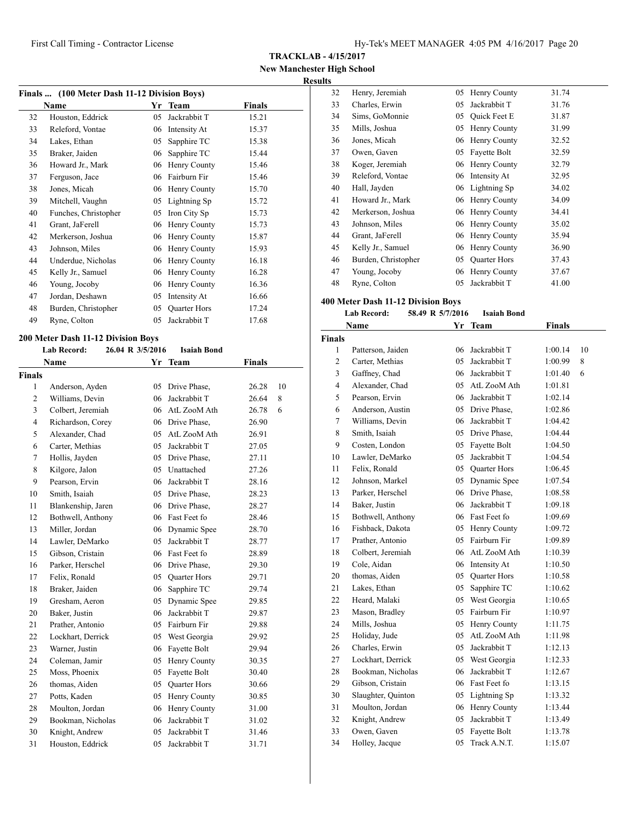**TRACKLAB - 4/15/2017**

**New Manchester High School Results**

| Finals  (100 Meter Dash 11-12 Division Boys) |                      |    |                     |        |  |
|----------------------------------------------|----------------------|----|---------------------|--------|--|
|                                              | Name                 | Yr | <b>Team</b>         | Finals |  |
| 32                                           | Houston, Eddrick     | 05 | Jackrabbit T        | 15.21  |  |
| 33                                           | Releford, Vontae     | 06 | Intensity At        | 15.37  |  |
| 34                                           | Lakes, Ethan         | 05 | Sapphire TC         | 15.38  |  |
| 35                                           | Braker, Jaiden       | 06 | Sapphire TC         | 15.44  |  |
| 36                                           | Howard Jr., Mark     | 06 | Henry County        | 15.46  |  |
| 37                                           | Ferguson, Jace       | 06 | Fairburn Fir        | 15.46  |  |
| 38                                           | Jones, Micah         | 06 | Henry County        | 15.70  |  |
| 39                                           | Mitchell, Vaughn     | 05 | Lightning Sp        | 15.72  |  |
| 40                                           | Funches, Christopher | 05 | Iron City Sp        | 15.73  |  |
| 41                                           | Grant, JaFerell      | 06 | Henry County        | 15.73  |  |
| 42                                           | Merkerson, Joshua    | 06 | Henry County        | 15.87  |  |
| 43                                           | Johnson, Miles       | 06 | Henry County        | 15.93  |  |
| 44                                           | Underdue, Nicholas   | 06 | Henry County        | 16.18  |  |
| 45                                           | Kelly Jr., Samuel    | 06 | Henry County        | 16.28  |  |
| 46                                           | Young, Jocoby        | 06 | Henry County        | 16.36  |  |
| 47                                           | Jordan, Deshawn      | 05 | Intensity At        | 16.66  |  |
| 48                                           | Burden, Christopher  | 05 | <b>Quarter Hors</b> | 17.24  |  |
| 49                                           | Ryne, Colton         | 05 | Jackrabbit T        | 17.68  |  |

#### **200 Meter Dash 11-12 Division Boys**

|                | <b>Lab Record:</b> | 26.04 R 3/5/2016 | <b>Isaiah Bond</b>  |               |    |
|----------------|--------------------|------------------|---------------------|---------------|----|
|                | <b>Name</b>        | Yr               | <b>Team</b>         | <b>Finals</b> |    |
| <b>Finals</b>  |                    |                  |                     |               |    |
| 1              | Anderson, Ayden    |                  | 05 Drive Phase,     | 26.28         | 10 |
| $\overline{2}$ | Williams, Devin    | 06.              | Jackrabbit T        | 26.64         | 8  |
| 3              | Colbert, Jeremiah  | 06               | AtL ZooM Ath        | 26.78         | 6  |
| $\overline{4}$ | Richardson, Corey  |                  | 06 Drive Phase,     | 26.90         |    |
| 5              | Alexander, Chad    |                  | 05 AtL ZooM Ath     | 26.91         |    |
| 6              | Carter, Methias    |                  | 05 Jackrabbit T     | 27.05         |    |
| 7              | Hollis, Jayden     |                  | 05 Drive Phase,     | 27.11         |    |
| 8              | Kilgore, Jalon     |                  | 05 Unattached       | 27.26         |    |
| 9              | Pearson, Ervin     | 06               | Jackrabbit T        | 28.16         |    |
| 10             | Smith, Isaiah      |                  | 05 Drive Phase,     | 28.23         |    |
| 11             | Blankenship, Jaren |                  | 06 Drive Phase,     | 28.27         |    |
| 12             | Bothwell, Anthony  |                  | 06 Fast Feet fo     | 28.46         |    |
| 13             | Miller, Jordan     |                  | 06 Dynamic Spee     | 28.70         |    |
| 14             | Lawler, DeMarko    | 05               | Jackrabbit T        | 28.77         |    |
| 15             | Gibson, Cristain   |                  | 06 Fast Feet fo     | 28.89         |    |
| 16             | Parker, Herschel   |                  | 06 Drive Phase,     | 29.30         |    |
| 17             | Felix, Ronald      |                  | 05 Quarter Hors     | 29.71         |    |
| 18             | Braker, Jaiden     | 06               | Sapphire TC         | 29.74         |    |
| 19             | Gresham, Aeron     | 05               | Dynamic Spee        | 29.85         |    |
| 20             | Baker, Justin      | 06               | Jackrabbit T        | 29.87         |    |
| 21             | Prather, Antonio   |                  | 05 Fairburn Fir     | 29.88         |    |
| 22             | Lockhart, Derrick  |                  | 05 West Georgia     | 29.92         |    |
| 23             | Warner, Justin     | 06               | Fayette Bolt        | 29.94         |    |
| 24             | Coleman, Jamir     | 05               | Henry County        | 30.35         |    |
| 25             | Moss, Phoenix      | 05               | Fayette Bolt        | 30.40         |    |
| 26             | thomas, Aiden      | 05               | <b>Quarter Hors</b> | 30.66         |    |
| 27             | Potts, Kaden       |                  | 05 Henry County     | 30.85         |    |
| 28             | Moulton, Jordan    | 06               | Henry County        | 31.00         |    |
| 29             | Bookman, Nicholas  | 06               | Jackrabbit T        | 31.02         |    |
| 30             | Knight, Andrew     | 05               | Jackrabbit T        | 31.46         |    |
| 31             | Houston, Eddrick   | 05               | Jackrabbit T        | 31.71         |    |

| TS. |                     |    |                     |       |
|-----|---------------------|----|---------------------|-------|
| 32  | Henry, Jeremiah     | 05 | Henry County        | 31.74 |
| 33  | Charles, Erwin      | 05 | Jackrabbit T        | 31.76 |
| 34  | Sims, GoMonnie      | 05 | Quick Feet E        | 31.87 |
| 35  | Mills, Joshua       | 05 | Henry County        | 31.99 |
| 36  | Jones, Micah        | 06 | Henry County        | 32.52 |
| 37  | Owen, Gaven         | 05 | Fayette Bolt        | 32.59 |
| 38  | Koger, Jeremiah     | 06 | Henry County        | 32.79 |
| 39  | Releford, Vontae    | 06 | Intensity At        | 32.95 |
| 40  | Hall, Jayden        |    | 06 Lightning Sp     | 34.02 |
| 41  | Howard Jr., Mark    | 06 | Henry County        | 34.09 |
| 42  | Merkerson, Joshua   | 06 | Henry County        | 34.41 |
| 43  | Johnson, Miles      | 06 | Henry County        | 35.02 |
| 44  | Grant, JaFerell     | 06 | Henry County        | 35.94 |
| 45  | Kelly Jr., Samuel   | 06 | Henry County        | 36.90 |
| 46  | Burden, Christopher | 05 | <b>Quarter Hors</b> | 37.43 |
| 47  | Young, Jocoby       | 06 | Henry County        | 37.67 |
| 48  | Ryne, Colton        | 05 | Jackrabbit T        | 41.00 |

# **400 Meter Dash 11-12 Division Boys**

| <b>Lab Record:</b> | 58.49 R 5/7/2016 | <b>Isaiah Bond</b> |
|--------------------|------------------|--------------------|
|                    |                  |                    |

|                | Name               | Yr | <b>Team</b>         | Finals  |    |
|----------------|--------------------|----|---------------------|---------|----|
| <b>Finals</b>  |                    |    |                     |         |    |
| 1              | Patterson, Jaiden  | 06 | Jackrabbit T        | 1:00.14 | 10 |
| $\overline{2}$ | Carter, Methias    | 05 | Jackrabbit T        | 1:00.99 | 8  |
| 3              | Gaffney, Chad      | 06 | Jackrabbit T        | 1:01.40 | 6  |
| 4              | Alexander, Chad    | 05 | AtL ZooM Ath        | 1:01.81 |    |
| 5              | Pearson, Ervin     | 06 | Jackrabbit T        | 1:02.14 |    |
| 6              | Anderson, Austin   | 05 | Drive Phase,        | 1:02.86 |    |
| 7              | Williams, Devin    | 06 | Jackrabbit T        | 1:04.42 |    |
| 8              | Smith, Isaiah      | 05 | Drive Phase,        | 1:04.44 |    |
| 9              | Costen, London     | 05 | Fayette Bolt        | 1:04.50 |    |
| 10             | Lawler, DeMarko    | 05 | Jackrabbit T        | 1:04.54 |    |
| 11             | Felix, Ronald      | 05 | <b>Ouarter Hors</b> | 1:06.45 |    |
| 12             | Johnson, Markel    | 05 | Dynamic Spee        | 1:07.54 |    |
| 13             | Parker, Herschel   | 06 | Drive Phase,        | 1:08.58 |    |
| 14             | Baker, Justin      | 06 | Jackrabbit T        | 1:09.18 |    |
| 15             | Bothwell, Anthony  |    | 06 Fast Feet fo     | 1:09.69 |    |
| 16             | Fishback, Dakota   | 05 | Henry County        | 1:09.72 |    |
| 17             | Prather, Antonio   | 05 | Fairburn Fir        | 1:09.89 |    |
| 18             | Colbert, Jeremiah  | 06 | AtL ZooM Ath        | 1:10.39 |    |
| 19             | Cole, Aidan        | 06 | Intensity At        | 1:10.50 |    |
| 20             | thomas. Aiden      | 05 | <b>Ouarter Hors</b> | 1:10.58 |    |
| 21             | Lakes, Ethan       | 05 | Sapphire TC         | 1:10.62 |    |
| 22             | Heard, Malaki      | 05 | West Georgia        | 1:10.65 |    |
| 23             | Mason, Bradley     | 05 | Fairburn Fir        | 1:10.97 |    |
| 24             | Mills, Joshua      | 05 | Henry County        | 1:11.75 |    |
| 25             | Holiday, Jude      | 05 | AtL ZooM Ath        | 1:11.98 |    |
| 26             | Charles, Erwin     | 05 | Jackrabbit T        | 1:12.13 |    |
| 27             | Lockhart, Derrick  | 05 | West Georgia        | 1:12.33 |    |
| 28             | Bookman, Nicholas  | 06 | Jackrabbit T        | 1:12.67 |    |
| 29             | Gibson, Cristain   | 06 | Fast Feet fo        | 1:13.15 |    |
| 30             | Slaughter, Quinton | 05 | Lightning Sp        | 1:13.32 |    |
| 31             | Moulton, Jordan    | 06 | Henry County        | 1:13.44 |    |
| 32             | Knight, Andrew     | 05 | Jackrabbit T        | 1:13.49 |    |
| 33             | Owen, Gaven        | 05 | Fayette Bolt        | 1:13.78 |    |
| 34             | Holley, Jacque     | 05 | Track A.N.T.        | 1:15.07 |    |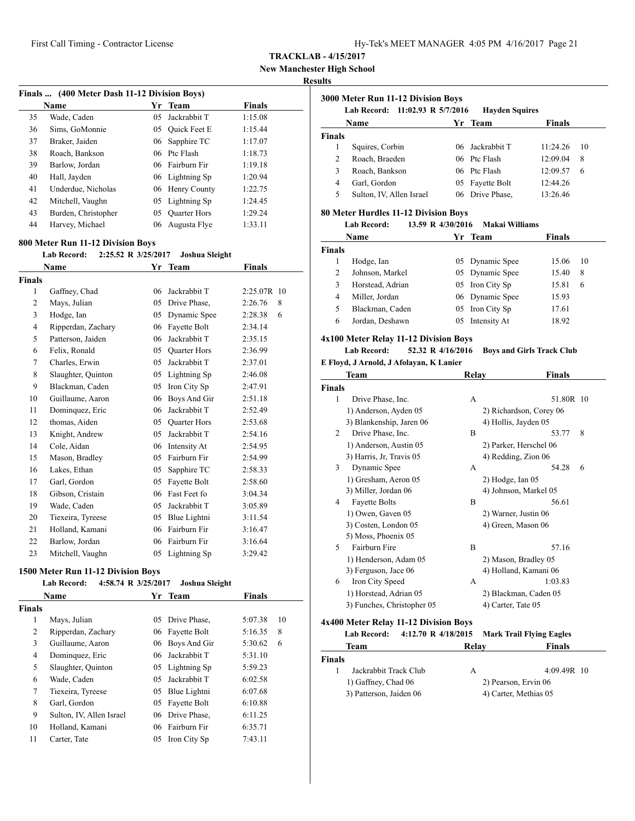**New Manchester High School**

# **Results**

|    | Finals  (400 Meter Dash 11-12 Division Boys) |    |                     |               |  |
|----|----------------------------------------------|----|---------------------|---------------|--|
|    | Name                                         |    | Yr Team             | <b>Finals</b> |  |
| 35 | Wade, Caden                                  | 05 | Jackrabbit T        | 1:15.08       |  |
| 36 | Sims, GoMonnie                               | 05 | <b>Ouick Feet E</b> | 1:15.44       |  |
| 37 | Braker, Jaiden                               |    | 06 Sapphire TC      | 1:17.07       |  |
| 38 | Roach, Bankson                               |    | 06 Ptc Flash        | 1:18.73       |  |
| 39 | Barlow, Jordan                               |    | 06 Fairburn Fir     | 1:19.18       |  |
| 40 | Hall, Jayden                                 |    | 06 Lightning Sp     | 1:20.94       |  |
| 41 | Underdue, Nicholas                           |    | 06 Henry County     | 1:22.75       |  |
| 42 | Mitchell, Vaughn                             |    | 05 Lightning Sp     | 1:24.45       |  |
| 43 | Burden, Christopher                          | 05 | <b>Ouarter Hors</b> | 1:29.24       |  |
| 44 | Harvey, Michael                              | 06 | Augusta Flye        | 1:33.11       |  |

#### **800 Meter Run 11-12 Division Boys**

#### **Lab Record: 2:25.52 R 3/25/2017 Joshua Sleight**

|                | <b>Name</b>        | Yr | <b>Team</b>         | <b>Finals</b>   |
|----------------|--------------------|----|---------------------|-----------------|
| Finals         |                    |    |                     |                 |
| 1              | Gaffney, Chad      | 06 | Jackrabbit T        | 2:25.07R<br>-10 |
| $\overline{2}$ | Mays, Julian       | 05 | Drive Phase,        | 2:26.76<br>8    |
| 3              | Hodge, Ian         | 05 | Dynamic Spee        | 2:28.38<br>6    |
| 4              | Ripperdan, Zachary | 06 | Fayette Bolt        | 2:34.14         |
| 5              | Patterson, Jaiden  | 06 | Jackrabbit T        | 2:35.15         |
| 6              | Felix, Ronald      | 05 | <b>Ouarter Hors</b> | 2:36.99         |
| 7              | Charles, Erwin     | 05 | Jackrabbit T        | 2:37.01         |
| 8              | Slaughter, Quinton | 05 | Lightning Sp        | 2:46.08         |
| 9              | Blackman, Caden    | 05 | Iron City Sp        | 2:47.91         |
| 10             | Guillaume, Aaron   | 06 | Boys And Gir        | 2:51.18         |
| 11             | Dominquez, Eric    | 06 | Jackrabbit T        | 2:52.49         |
| 12             | thomas, Aiden      | 05 | <b>Ouarter Hors</b> | 2:53.68         |
| 13             | Knight, Andrew     | 05 | Jackrabbit T        | 2:54.16         |
| 14             | Cole, Aidan        | 06 | Intensity At        | 2:54.95         |
| 15             | Mason, Bradley     | 05 | Fairburn Fir        | 2:54.99         |
| 16             | Lakes, Ethan       | 05 | Sapphire TC         | 2:58.33         |
| 17             | Garl, Gordon       | 05 | Fayette Bolt        | 2:58.60         |
| 18             | Gibson, Cristain   | 06 | Fast Feet fo        | 3:04.34         |
| 19             | Wade, Caden        | 05 | Jackrabbit T        | 3:05.89         |
| 20             | Tiexeira, Tyreese  | 05 | Blue Lightni        | 3:11.54         |
| 21             | Holland, Kamani    | 06 | Fairburn Fir        | 3:16.47         |
| 22             | Barlow, Jordan     | 06 | Fairburn Fir        | 3:16.64         |
| 23             | Mitchell, Vaughn   | 05 | Lightning Sp        | 3:29.42         |

#### **1500 Meter Run 11-12 Division Boys**

|               | <b>Lab Record:</b><br>4:58.74 R 3/25/2017 |     | Joshua Sleight |               |    |
|---------------|-------------------------------------------|-----|----------------|---------------|----|
|               | <b>Name</b>                               |     | Yr Team        | <b>Finals</b> |    |
| <b>Finals</b> |                                           |     |                |               |    |
| 1             | Mays, Julian                              | 05  | Drive Phase,   | 5:07.38       | 10 |
| 2             | Ripperdan, Zachary                        | 06  | Fayette Bolt   | 5:16.35       | 8  |
| 3             | Guillaume, Aaron                          | 06  | Boys And Gir   | 5:30.62       | 6  |
| 4             | Dominquez, Eric                           | 06. | Jackrabbit T   | 5:31.10       |    |
| 5             | Slaughter, Quinton                        | 05  | Lightning Sp   | 5:59.23       |    |
| 6             | Wade, Caden                               | 05  | Jackrabbit T   | 6:02.58       |    |
| 7             | Tiexeira, Tyreese                         | 05  | Blue Lightni   | 6:07.68       |    |
| 8             | Garl, Gordon                              | 05  | Fayette Bolt   | 6:10.88       |    |
| 9             | Sulton, IV, Allen Israel                  | 06  | Drive Phase.   | 6:11.25       |    |
| 10            | Holland, Kamani                           | 06  | Fairburn Fir   | 6:35.71       |    |
| 11            | Carter, Tate                              | 05  | Iron City Sp   | 7:43.11       |    |

| 3000 Meter Run 11-12 Division Boys<br>11:02.93 R $5/7/2016$<br><b>Lab Record:</b><br><b>Hayden Squires</b> |                          |  |                 |               |    |
|------------------------------------------------------------------------------------------------------------|--------------------------|--|-----------------|---------------|----|
|                                                                                                            | Name                     |  | Yr Team         | <b>Finals</b> |    |
| <b>Finals</b>                                                                                              |                          |  |                 |               |    |
| 1                                                                                                          | Squires, Corbin          |  | 06 Jackrabbit T | 11:24.26      | 10 |
| 2                                                                                                          | Roach, Braeden           |  | 06 Ptc Flash    | 12:09.04      | 8  |
| 3                                                                                                          | Roach, Bankson           |  | 06 Ptc Flash    | 12:09.57      | 6  |
| 4                                                                                                          | Garl, Gordon             |  | 05 Fayette Bolt | 12:44.26      |    |
| 5                                                                                                          | Sulton, IV, Allen Israel |  | 06 Drive Phase. | 13:26.46      |    |

## **80 Meter Hurdles 11-12 Division Boys**

#### **Lab Record: 13.59 R 4/30/2016 Makai Williams**

|        | Name             | Yr Team         | <b>Finals</b> |    |
|--------|------------------|-----------------|---------------|----|
| Finals |                  |                 |               |    |
|        | Hodge, Ian       | 05 Dynamic Spee | 15.06         | 10 |
|        | Johnson, Markel  | 05 Dynamic Spee | 15.40         | 8  |
|        | Horstead, Adrian | 05 Iron City Sp | 15.81         | 6  |
| 4      | Miller, Jordan   | 06 Dynamic Spee | 15.93         |    |
| 5      | Blackman, Caden  | 05 Iron City Sp | 17.61         |    |
| 6      | Jordan, Deshawn  | 05 Intensity At | 18.92         |    |

#### **4x100 Meter Relay 11-12 Division Boys**

## **Lab Record: 52.32 R 4/16/2016 Boys and Girls Track Club**

## **E Floyd, J Arnold, J Afolayan, K Lanier**

|                | Team                       | Relay | Finals                  |
|----------------|----------------------------|-------|-------------------------|
| <b>Finals</b>  |                            |       |                         |
| 1              | Drive Phase, Inc.          | A     | 51.80R 10               |
|                | 1) Anderson, Ayden 05      |       | 2) Richardson, Corey 06 |
|                | 3) Blankenship, Jaren 06   |       | 4) Hollis, Jayden 05    |
| $\mathfrak{D}$ | Drive Phase, Inc.          | B     | 53.77<br>8              |
|                | 1) Anderson, Austin 05     |       | 2) Parker, Herschel 06  |
|                | 3) Harris, Jr, Travis 05   |       | 4) Redding, Zion 06     |
| 3              | Dynamic Spee               | A     | 54.28<br>6              |
|                | 1) Gresham, Aeron 05       |       | $2)$ Hodge, Ian $05$    |
|                | 3) Miller, Jordan 06       |       | 4) Johnson, Markel 05   |
| 4              | <b>Fayette Bolts</b>       | B     | 56.61                   |
|                | 1) Owen, Gaven 05          |       | 2) Warner, Justin 06    |
|                | 3) Costen, London 05       |       | 4) Green, Mason 06      |
|                | 5) Moss, Phoenix 05        |       |                         |
| 5              | Fairburn Fire              | B     | 57.16                   |
|                | 1) Henderson, Adam 05      |       | 2) Mason, Bradley 05    |
|                | 3) Ferguson, Jace 06       |       | 4) Holland, Kamani 06   |
| 6              | Iron City Speed            | A     | 1:03.83                 |
|                | 1) Horstead, Adrian 05     |       | 2) Blackman, Caden 05   |
|                | 3) Funches, Christopher 05 |       | 4) Carter, Tate 05      |

## **4x400 Meter Relay 11-12 Division Boys**

|                                                | <b>Lab Record:</b>    |                       | 4:12.70 R 4/18/2015 Mark Trail Flying Eagles |
|------------------------------------------------|-----------------------|-----------------------|----------------------------------------------|
|                                                | Team                  | Relay                 | <b>Finals</b>                                |
| <b>Finals</b>                                  |                       |                       |                                              |
|                                                | Jackrabbit Track Club | А                     | $4:09.49R$ 10                                |
| 1) Gaffney, Chad 06<br>3) Patterson, Jaiden 06 |                       |                       | 2) Pearson, Ervin 06                         |
|                                                |                       | 4) Carter, Methias 05 |                                              |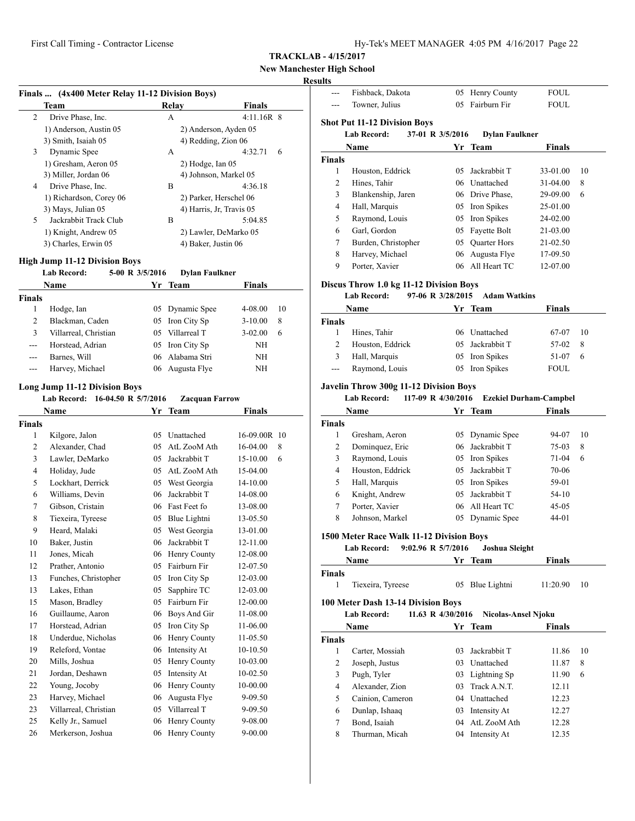# **New Manchester High School**

# **Res**

|                    | Finals  (4x400 Meter Relay 11-12 Division Boys)                         |                 |                          |               |    |
|--------------------|-------------------------------------------------------------------------|-----------------|--------------------------|---------------|----|
|                    | Team                                                                    |                 | Relay                    | Finals        |    |
| 2                  | Drive Phase, Inc.                                                       |                 | А                        | $4:11.16R$ 8  |    |
|                    | 1) Anderson, Austin 05                                                  |                 | 2) Anderson, Ayden 05    |               |    |
|                    | 3) Smith, Isaiah 05                                                     |                 | 4) Redding, Zion 06      |               |    |
| 3                  | Dynamic Spee                                                            |                 | А                        | 4:32.71       | 6  |
|                    | 1) Gresham, Aeron 05                                                    |                 | $2)$ Hodge, Ian $05$     |               |    |
|                    | 3) Miller, Jordan 06                                                    |                 | 4) Johnson, Markel 05    |               |    |
| 4                  | Drive Phase, Inc.                                                       |                 | B                        | 4:36.18       |    |
|                    | 1) Richardson, Corey 06                                                 |                 | 2) Parker, Herschel 06   |               |    |
|                    | 3) Mays, Julian 05                                                      |                 | 4) Harris, Jr, Travis 05 |               |    |
| 5                  | Jackrabbit Track Club                                                   |                 | B                        | 5:04.85       |    |
|                    | 1) Knight, Andrew 05                                                    |                 | 2) Lawler, DeMarko 05    |               |    |
|                    | 3) Charles, Erwin 05                                                    |                 | 4) Baker, Justin 06      |               |    |
|                    | <b>High Jump 11-12 Division Boys</b>                                    |                 |                          |               |    |
|                    | <b>Lab Record:</b>                                                      | 5-00 R 3/5/2016 | <b>Dylan Faulkner</b>    |               |    |
|                    | <b>Name</b>                                                             | Yr              | Team                     | <b>Finals</b> |    |
| <b>Finals</b>      |                                                                         |                 |                          |               |    |
| 1                  | Hodge, Ian                                                              |                 | 05 Dynamic Spee          | 4-08.00       | 10 |
| 2                  | Blackman, Caden                                                         |                 | 05 Iron City Sp          | 3-10.00       | 8  |
| 3                  | Villarreal, Christian                                                   |                 | 05 Villarreal T          | 3-02.00       | 6  |
| $---$              | Horstead, Adrian                                                        |                 | 05 Iron City Sp          | ΝH            |    |
| $---$              | Barnes, Will                                                            |                 | 06 Alabama Stri          | ΝH            |    |
| ---                | Harvey, Michael                                                         |                 | 06 Augusta Flye          | ΝH            |    |
|                    |                                                                         |                 |                          |               |    |
|                    | <b>Long Jump 11-12 Division Boys</b><br>Lab Record: 16-04.50 R 5/7/2016 |                 |                          |               |    |
|                    |                                                                         |                 | <b>Zacquan Farrow</b>    |               |    |
|                    | <b>Name</b>                                                             | Yr              | Team                     | Finals        |    |
| <b>Finals</b><br>1 | Kilgore, Jalon                                                          |                 | 05 Unattached            | 16-09.00R 10  |    |
| 2                  | Alexander, Chad                                                         |                 | 05 AtL ZooM Ath          | 16-04.00      | 8  |
| 3                  | Lawler, DeMarko                                                         |                 | 05 Jackrabbit T          | 15-10.00      | 6  |
| 4                  | Holiday, Jude                                                           |                 | 05 AtL ZooM Ath          |               |    |
|                    | Lockhart, Derrick                                                       |                 |                          | 15-04.00      |    |
| 5                  |                                                                         |                 | 05 West Georgia          | 14-10.00      |    |
| 6                  | Williams, Devin                                                         | 06              | Jackrabbit T             | 14-08.00      |    |
| 7                  | Gibson, Cristain                                                        |                 | 06 Fast Feet fo          | 13-08.00      |    |
| 8                  | Tiexeira, Tyreese                                                       |                 | 05 Blue Lightni          | 13-05.50      |    |
| 9                  | Heard, Malaki                                                           |                 | 05 West Georgia          | 13-01.00      |    |
| 10                 | Baker, Justin                                                           | 06              | Jackrabbit T             | 12-11.00      |    |
| 11                 | Jones, Micah                                                            | 06              | Henry County             | 12-08.00      |    |
| 12                 | Prather, Antonio                                                        | 05              | Fairburn Fir             | 12-07.50      |    |
| 13                 | Funches, Christopher                                                    | 05              | Iron City Sp             | 12-03.00      |    |
| 13                 | Lakes, Ethan                                                            | 05              | Sapphire TC              | 12-03.00      |    |
| 15                 | Mason, Bradley                                                          | 05              | Fairburn Fir             | 12-00.00      |    |
| 16                 | Guillaume, Aaron                                                        | 06              | Boys And Gir             | 11-08.00      |    |
| 17                 | Horstead, Adrian                                                        | 05              | Iron City Sp             | 11-06.00      |    |
| 18                 | Underdue, Nicholas                                                      | 06              | Henry County             | 11-05.50      |    |
| 19                 | Releford, Vontae                                                        | 06              | Intensity At             | 10-10.50      |    |
| 20                 | Mills, Joshua                                                           | 05              | Henry County             | 10-03.00      |    |
| 21                 | Jordan, Deshawn                                                         | 05              | Intensity At             | 10-02.50      |    |
| 22                 | Young, Jocoby                                                           | 06              | Henry County             | 10-00.00      |    |
| 23                 | Harvey, Michael                                                         | 06              | Augusta Flye             | 9-09.50       |    |
| 23                 | Villarreal, Christian                                                   | 05              | Villarreal T             | 9-09.50       |    |
| 25                 | Kelly Jr., Samuel                                                       | 06              | Henry County             | 9-08.00       |    |
| 26                 | Merkerson, Joshua                                                       | 06              | Henry County             | 9-00.00       |    |
|                    |                                                                         |                 |                          |               |    |

| sults          |                                               |                    |                       |                               |    |
|----------------|-----------------------------------------------|--------------------|-----------------------|-------------------------------|----|
| ---            | Fishback, Dakota                              |                    | 05 Henry County       | <b>FOUL</b>                   |    |
| ---            | Towner, Julius                                |                    | 05 Fairburn Fir       | <b>FOUL</b>                   |    |
|                | <b>Shot Put 11-12 Division Boys</b>           |                    |                       |                               |    |
|                | <b>Lab Record:</b>                            | 37-01 R 3/5/2016   | <b>Dylan Faulkner</b> |                               |    |
|                | Name                                          | Yr                 | <b>Team</b>           | Finals                        |    |
| <b>Finals</b>  |                                               |                    |                       |                               |    |
| 1              | Houston, Eddrick                              | 05                 | Jackrabbit T          | 33-01.00                      | 10 |
| 2              | Hines, Tahir                                  |                    | 06 Unattached         | 31-04.00                      | 8  |
| 3              | Blankenship, Jaren                            |                    | 06 Drive Phase,       | 29-09.00                      | 6  |
| 4              | Hall, Marquis                                 |                    | 05 Iron Spikes        | 25-01.00                      |    |
| 5              | Raymond, Louis                                |                    | 05 Iron Spikes        | 24-02.00                      |    |
| 6              | Garl, Gordon                                  |                    | 05 Fayette Bolt       | 21-03.00                      |    |
| 7              | Burden, Christopher                           |                    | 05 Quarter Hors       | 21-02.50                      |    |
| 8              | Harvey, Michael                               |                    | 06 Augusta Flye       | 17-09.50                      |    |
| 9              | Porter, Xavier                                |                    | 06 All Heart TC       | 12-07.00                      |    |
|                |                                               |                    |                       |                               |    |
|                | Discus Throw 1.0 kg 11-12 Division Boys       |                    |                       |                               |    |
|                | <b>Lab Record:</b>                            | 97-06 R 3/28/2015  | <b>Adam Watkins</b>   |                               |    |
|                | Name                                          |                    | Yr Team               | <b>Finals</b>                 |    |
| <b>Finals</b>  |                                               |                    |                       |                               |    |
| 1              | Hines, Tahir                                  |                    | 06 Unattached         | 67-07                         | 10 |
| 2              | Houston, Eddrick                              | 05                 | Jackrabbit T          | 57-02                         | 8  |
| 3              | Hall, Marquis                                 |                    | 05 Iron Spikes        | 51-07                         | 6  |
| ---            | Raymond, Louis                                |                    | 05 Iron Spikes        | FOUL                          |    |
|                | <b>Javelin Throw 300g 11-12 Division Boys</b> |                    |                       |                               |    |
|                | <b>Lab Record:</b>                            | 117-09 R 4/30/2016 |                       | <b>Ezekiel Durham-Campbel</b> |    |
|                | Name                                          | Yr                 | <b>Team</b>           | Finals                        |    |
| <b>Finals</b>  |                                               |                    |                       |                               |    |
| 1              | Gresham, Aeron                                |                    | 05 Dynamic Spee       | 94-07                         | 10 |
| 2              | Dominquez, Eric                               |                    | 06 Jackrabbit T       | 75-03                         | 8  |
| 3              | Raymond, Louis                                |                    | 05 Iron Spikes        | 71-04                         | 6  |
| 4              | Houston, Eddrick                              |                    | 05 Jackrabbit T       | 70-06                         |    |
| 5              | Hall, Marquis                                 |                    | 05 Iron Spikes        | 59-01                         |    |
| 6              | Knight, Andrew                                |                    | 05 Jackrabbit T       | 54-10                         |    |
| 7              | Porter, Xavier                                |                    | 06 All Heart TC       | $45 - 05$                     |    |
| 8              | Johnson, Markel                               |                    | 05 Dynamic Spee       | 44-01                         |    |
|                | 1500 Meter Race Walk 11-12 Division Boys      |                    |                       |                               |    |
|                | Lab Record:                                   | 9:02.96 R 5/7/2016 | <b>Joshua Sleight</b> |                               |    |
|                | Name                                          | Yr                 | <b>Team</b>           | Finals                        |    |
| <b>Finals</b>  |                                               |                    |                       |                               |    |
| $\mathbf{1}$   | Tiexeira, Tyreese                             | 05                 | Blue Lightni          | 11:20.90                      | 10 |
|                |                                               |                    |                       |                               |    |
|                | 100 Meter Dash 13-14 Division Boys            |                    |                       |                               |    |
|                | <b>Lab Record:</b>                            | 11.63 R 4/30/2016  | Nicolas-Ansel Njoku   |                               |    |
|                | <b>Name</b>                                   | Yr                 | <b>Team</b>           | <b>Finals</b>                 |    |
| <b>Finals</b>  |                                               |                    |                       |                               |    |
| $\mathbf{1}$   | Carter, Mossiah                               | 03                 | Jackrabbit T          | 11.86                         | 10 |
| $\overline{c}$ | Joseph, Justus                                |                    | 03 Unattached         | 11.87                         | 8  |
| 3              | Pugh, Tyler                                   |                    | 03 Lightning Sp       | 11.90                         | 6  |
| 4              | Alexander, Zion                               | 03                 | Track A.N.T.          | 12.11                         |    |
| 5              | Cainion, Cameron                              |                    | 04 Unattached         | 12.23                         |    |
| 6              | Dunlap, Ishaaq                                |                    | 03 Intensity At       | 12.27                         |    |
| 7              | Bond, Isaiah                                  | 04                 | AtL ZooM Ath          | 12.28                         |    |
| 8              | Thurman, Micah                                | 04                 | Intensity At          | 12.35                         |    |
|                |                                               |                    |                       |                               |    |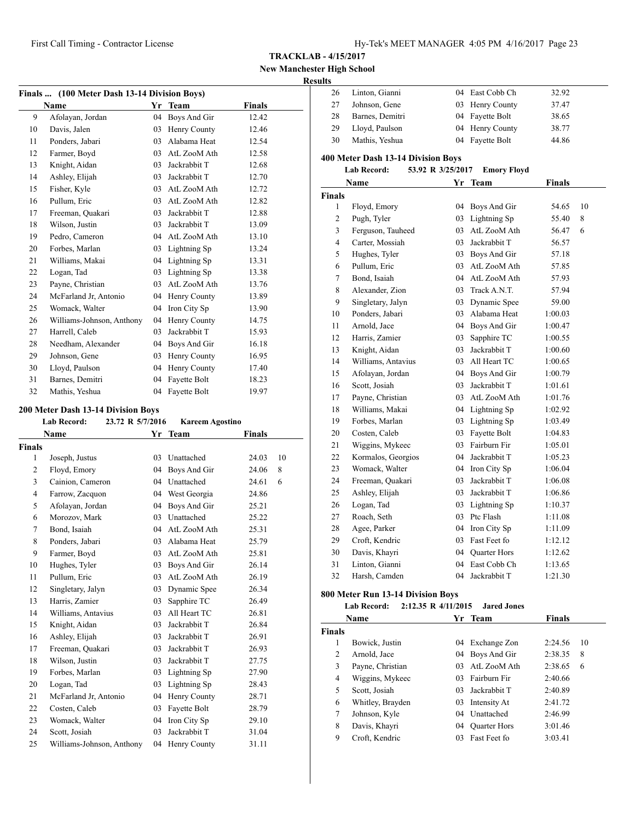**New Manchester High School Resu** 

## **Finals ... (100 Meter Dash 13-14 Division Boys) Name Yr** Team **Finals**  Afolayan, Jordan 04 Boys And Gir 12.42 Davis, Jalen 03 Henry County 12.46 Ponders, Jabari 03 Alabama Heat 12.54 12 Farmer, Boyd 03 AtL ZooM Ath 12.58 13 Knight, Aidan 03 Jackrabbit T 12.68 Ashley, Elijah 03 Jackrabbit T 12.70 Fisher, Kyle 03 AtL ZooM Ath 12.72 Pullum, Eric 03 AtL ZooM Ath 12.82 Freeman, Quakari 03 Jackrabbit T 12.88 18 Wilson, Justin 03 Jackrabbit T 13.09 Pedro, Cameron 04 AtL ZooM Ath 13.10 Forbes, Marlan 03 Lightning Sp 13.24 Williams, Makai 04 Lightning Sp 13.31 22 Logan, Tad 03 Lightning Sp 13.38 Payne, Christian 03 AtL ZooM Ath 13.76 McFarland Jr, Antonio 04 Henry County 13.89 25 Womack, Walter 04 Iron City Sp 13.90 Williams-Johnson, Anthony 04 Henry County 14.75 27 Harrell, Caleb 03 Jackrabbit T 15.93 Needham, Alexander 04 Boys And Gir 16.18 29 Johnson, Gene 03 Henry County 16.95 Lloyd, Paulson 04 Henry County 17.40 Barnes, Demitri 04 Fayette Bolt 18.23 32 Mathis, Yeshua 04 Fayette Bolt 19.97

#### **200 Meter Dash 13-14 Division Boys**

|                | <b>Lab Record:</b><br>23.72 R 5/7/2016 |    | <b>Kareem Agostino</b> |        |    |
|----------------|----------------------------------------|----|------------------------|--------|----|
|                | Name                                   | Yr | Team                   | Finals |    |
| Finals         |                                        |    |                        |        |    |
| 1              | Joseph, Justus                         | 03 | Unattached             | 24.03  | 10 |
| $\overline{2}$ | Floyd, Emory                           | 04 | Boys And Gir           | 24.06  | 8  |
| 3              | Cainion, Cameron                       | 04 | Unattached             | 24.61  | 6  |
| 4              | Farrow, Zacquon                        |    | 04 West Georgia        | 24.86  |    |
| 5              | Afolayan, Jordan                       | 04 | Boys And Gir           | 25.21  |    |
| 6              | Morozov, Mark                          | 03 | Unattached             | 25.22  |    |
| 7              | Bond, Isaiah                           | 04 | AtL ZooM Ath           | 25.31  |    |
| 8              | Ponders, Jabari                        | 03 | Alabama Heat           | 25.79  |    |
| 9              | Farmer, Boyd                           | 03 | AtL ZooM Ath           | 25.81  |    |
| 10             | Hughes, Tyler                          | 03 | Boys And Gir           | 26.14  |    |
| 11             | Pullum, Eric                           | 03 | AtL ZooM Ath           | 26.19  |    |
| 12             | Singletary, Jalyn                      | 03 | Dynamic Spee           | 26.34  |    |
| 13             | Harris, Zamier                         | 03 | Sapphire TC            | 26.49  |    |
| 14             | Williams, Antavius                     | 03 | All Heart TC           | 26.81  |    |
| 15             | Knight, Aidan                          | 03 | Jackrabbit T           | 26.84  |    |
| 16             | Ashley, Elijah                         | 03 | Jackrabbit T           | 26.91  |    |
| 17             | Freeman, Quakari                       | 03 | Jackrabbit T           | 26.93  |    |
| 18             | Wilson, Justin                         |    | 03 Jackrabbit T        | 27.75  |    |
| 19             | Forbes, Marlan                         | 03 | Lightning Sp           | 27.90  |    |
| 20             | Logan, Tad                             | 03 | Lightning Sp           | 28.43  |    |
| 21             | McFarland Jr, Antonio                  | 04 | Henry County           | 28.71  |    |
| 22             | Costen, Caleb                          | 03 | Fayette Bolt           | 28.79  |    |
| 23             | Womack, Walter                         | 04 | Iron City Sp           | 29.10  |    |
| 24             | Scott, Josiah                          | 03 | Jackrabbit T           | 31.04  |    |
| 25             | Williams-Johnson, Anthony              | 04 | Henry County           | 31.11  |    |

| ılts          |                                           |                   |                    |               |    |
|---------------|-------------------------------------------|-------------------|--------------------|---------------|----|
| 26            | Linton, Gianni                            |                   | 04 East Cobb Ch    | 32.92         |    |
| 27            | Johnson, Gene                             |                   | 03 Henry County    | 37.47         |    |
| 28            | Barnes, Demitri                           |                   | 04 Fayette Bolt    | 38.65         |    |
| 29            | Lloyd, Paulson                            |                   | 04 Henry County    | 38.77         |    |
| 30            | Mathis, Yeshua                            | 04                | Fayette Bolt       | 44.86         |    |
|               | 400 Meter Dash 13-14 Division Boys        |                   |                    |               |    |
|               | <b>Lab Record:</b>                        | 53.92 R 3/25/2017 | <b>Emory Floyd</b> |               |    |
|               | Name                                      |                   | Yr Team            | <b>Finals</b> |    |
| Finals        |                                           |                   |                    |               |    |
| $\mathbf{1}$  | Floyd, Emory                              | 04                | Boys And Gir       | 54.65         | 10 |
| 2             | Pugh, Tyler                               | 03                | Lightning Sp       | 55.40         | 8  |
| 3             | Ferguson, Tauheed                         | 03                | AtL ZooM Ath       | 56.47         | 6  |
| 4             | Carter, Mossiah                           | 03                | Jackrabbit T       | 56.57         |    |
| 5             | Hughes, Tyler                             |                   | 03 Boys And Gir    | 57.18         |    |
| 6             | Pullum, Eric                              |                   | 03 AtL ZooM Ath    | 57.85         |    |
| 7             | Bond, Isaiah                              |                   | 04 AtL ZooM Ath    | 57.93         |    |
| 8             | Alexander, Zion                           |                   | 03 Track A.N.T.    | 57.94         |    |
| 9             | Singletary, Jalyn                         |                   | 03 Dynamic Spee    | 59.00         |    |
| 10            | Ponders, Jabari                           |                   | 03 Alabama Heat    | 1:00.03       |    |
| 11            | Arnold, Jace                              |                   | 04 Boys And Gir    | 1:00.47       |    |
| 12            | Harris, Zamier                            | 03                | Sapphire TC        | 1:00.55       |    |
| 13            | Knight, Aidan                             | 03                | Jackrabbit T       | 1:00.60       |    |
| 14            | Williams, Antavius                        | 03                | All Heart TC       | 1:00.65       |    |
| 15            | Afolayan, Jordan                          |                   | 04 Boys And Gir    | 1:00.79       |    |
| 16            | Scott, Josiah                             | 03                | Jackrabbit T       | 1:01.61       |    |
| 17            | Payne, Christian                          |                   | 03 AtL ZooM Ath    | 1:01.76       |    |
| 18            | Williams, Makai                           |                   | 04 Lightning Sp    | 1:02.92       |    |
| 19            | Forbes, Marlan                            |                   | 03 Lightning Sp    | 1:03.49       |    |
| 20            | Costen, Caleb                             |                   | 03 Fayette Bolt    | 1:04.83       |    |
| 21            | Wiggins, Mykeec                           |                   | 03 Fairburn Fir    | 1:05.01       |    |
| 22            | Kormalos, Georgios                        |                   | 04 Jackrabbit T    | 1:05.23       |    |
| 23            | Womack, Walter                            |                   | 04 Iron City Sp    | 1:06.04       |    |
| 24            | Freeman, Quakari                          | 03                | Jackrabbit T       | 1:06.08       |    |
| 25            | Ashley, Elijah                            | 03                | Jackrabbit T       | 1:06.86       |    |
| 26            | Logan, Tad                                |                   | 03 Lightning Sp    | 1:10.37       |    |
| 27            | Roach, Seth                               |                   | 03 Ptc Flash       | 1:11.08       |    |
| 28            | Agee, Parker                              | 04                | Iron City Sp       | 1:11.09       |    |
| 29            | Croft, Kendric                            | 03                | Fast Feet fo       | 1:12.12       |    |
| 30            | Davis, Khayri                             | 04                | Quarter Hors       | 1:12.62       |    |
| 31            | Linton, Gianni                            | 04                | East Cobb Ch       | 1:13.65       |    |
| 32            | Harsh, Camden                             | 04                | Jackrabbit T       | 1:21.30       |    |
|               | 800 Meter Run 13-14 Division Boys         |                   |                    |               |    |
|               | 2:12.35 R 4/11/2015<br><b>Lab Record:</b> |                   | <b>Jared Jones</b> |               |    |
|               | Name                                      | Yr                | Team               | <b>Finals</b> |    |
| <b>Finals</b> |                                           |                   |                    |               |    |

 Bowick, Justin 04 Exchange Zon 2:24.56 10 Arnold, Jace 04 Boys And Gir 2:38.35 8 Payne, Christian 03 AtL ZooM Ath 2:38.65 6 Wiggins, Mykeec 03 Fairburn Fir 2:40.66 Scott, Josiah 03 Jackrabbit T 2:40.89 Whitley, Brayden 03 Intensity At 2:41.72 Johnson, Kyle 04 Unattached 2:46.99 Davis, Khayri 04 Quarter Hors 3:01.46 Croft, Kendric 03 Fast Feet fo 3:03.41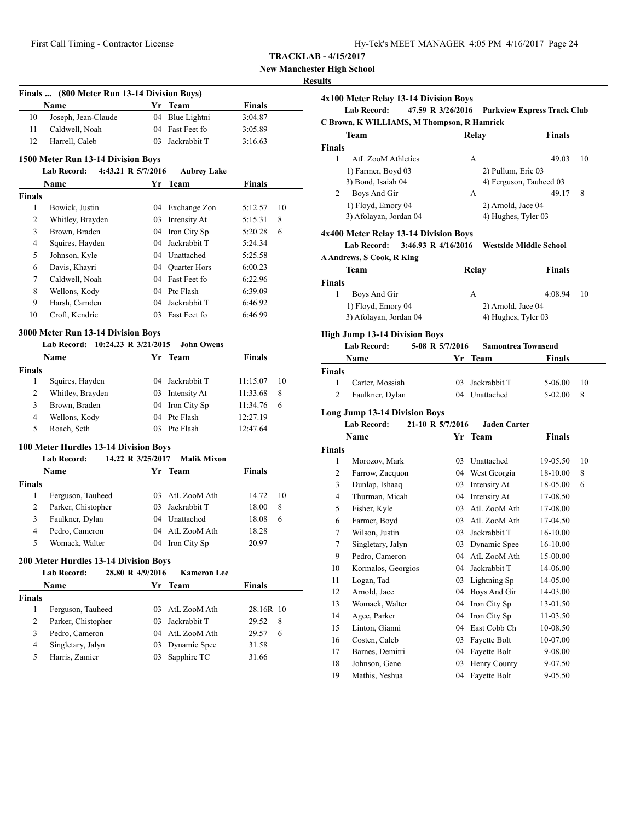| Hy-Tek's MEET MANAGER 4:05 PM 4/16/2017 Page 24 |  |  |  |  |  |  |
|-------------------------------------------------|--|--|--|--|--|--|
|-------------------------------------------------|--|--|--|--|--|--|

**New Manchester High School**

#### **Results**

|                | Finals  (800 Meter Run 13-14 Division Boys) |                   |                                    |               |    |
|----------------|---------------------------------------------|-------------------|------------------------------------|---------------|----|
|                | Name                                        |                   | Yr Team                            | <b>Finals</b> |    |
| 10             | Joseph, Jean-Claude                         | 04                | Blue Lightni                       | 3:04.87       |    |
| 11             | Caldwell, Noah                              | 04                | Fast Feet fo                       | 3:05.89       |    |
| 12             | Harrell, Caleb                              | 03                | Jackrabbit T                       | 3:16.63       |    |
|                | 1500 Meter Run 13-14 Division Boys          |                   |                                    |               |    |
|                | <b>Lab Record:</b><br>4:43.21 R 5/7/2016    |                   | <b>Aubrey Lake</b>                 |               |    |
|                | Name                                        | Yr                | Team                               | <b>Finals</b> |    |
| <b>Finals</b>  |                                             |                   |                                    |               |    |
| 1              | Bowick, Justin                              |                   | 04 Exchange Zon                    | 5:12.57       | 10 |
| 2              | Whitley, Brayden                            |                   | 03 Intensity At                    | 5:15.31       | 8  |
| 3              | Brown, Braden                               |                   | 04 Iron City Sp                    | 5:20.28       | 6  |
| 4              | Squires, Hayden                             |                   | 04 Jackrabbit T                    | 5:24.34       |    |
| 5              | Johnson, Kyle                               |                   | 04 Unattached                      | 5:25.58       |    |
| 6              |                                             |                   |                                    |               |    |
| 7              | Davis, Khayri                               |                   | 04 Quarter Hors<br>04 Fast Feet fo | 6:00.23       |    |
|                | Caldwell, Noah                              |                   |                                    | 6:22.96       |    |
| 8              | Wellons, Kody                               |                   | 04 Ptc Flash                       | 6:39.09       |    |
| 9              | Harsh, Camden                               | 04                | Jackrabbit T                       | 6:46.92       |    |
| 10             | Croft, Kendric                              |                   | 03 Fast Feet fo                    | 6:46.99       |    |
|                | 3000 Meter Run 13-14 Division Boys          |                   |                                    |               |    |
|                | Lab Record: 10:24.23 R 3/21/2015            |                   | <b>John Owens</b>                  |               |    |
|                | Name                                        |                   | Yr Team                            | Finals        |    |
| <b>Finals</b>  |                                             |                   |                                    |               |    |
| 1              | Squires, Hayden                             |                   | 04 Jackrabbit T                    | 11:15.07      | 10 |
| 2              | Whitley, Brayden                            |                   | 03 Intensity At                    | 11:33.68      | 8  |
| 3              | Brown, Braden                               |                   | 04 Iron City Sp                    | 11:34.76      | 6  |
| 4              | Wellons, Kody                               |                   | 04 Ptc Flash                       | 12:27.19      |    |
| 5              | Roach, Seth                                 |                   | 03 Ptc Flash                       | 12:47.64      |    |
|                |                                             |                   |                                    |               |    |
|                | 100 Meter Hurdles 13-14 Division Boys       |                   |                                    |               |    |
|                | <b>Lab Record:</b>                          | 14.22 R 3/25/2017 | <b>Malik Mixon</b>                 |               |    |
|                | <b>Name</b>                                 |                   | Yr Team                            | Finals        |    |
| <b>Finals</b>  |                                             |                   |                                    |               |    |
| 1              | Ferguson, Tauheed                           |                   | 03 AtL ZooM Ath                    | 14.72         | 10 |
| 2              | Parker, Chistopher                          |                   | 03 Jackrabbit T                    | 18.00         | 8  |
| 3              | Faulkner, Dylan                             |                   | 04 Unattached                      | 18.08         | 6  |
| $\overline{4}$ | Pedro, Cameron                              | 04                | AtL ZooM Ath                       | 18.28         |    |
| 5              | Womack, Walter                              |                   | 04 Iron City Sp                    | 20.97         |    |
|                | 200 Meter Hurdles 13-14 Division Boys       |                   |                                    |               |    |
|                | <b>Lab Record:</b>                          | 28.80 R 4/9/2016  | <b>Kameron Lee</b>                 |               |    |
|                | <b>Name</b>                                 |                   | Yr Team                            | <b>Finals</b> |    |
|                |                                             |                   |                                    |               |    |
| Finals<br>1    | Ferguson, Tauheed                           | 03                | AtL ZooM Ath                       | 28.16R 10     |    |
| 2              | Parker, Chistopher                          | 03                | Jackrabbit T                       | 29.52         | 8  |
|                |                                             |                   | AtL ZooM Ath                       |               |    |
| 3              | Pedro, Cameron                              | 04                |                                    | 29.57         | 6  |
| 4              | Singletary, Jalyn                           | 03                | Dynamic Spee                       | 31.58         |    |
| 5              | Harris, Zamier                              | 03                | Sapphire TC                        | 31.66         |    |
|                |                                             |                   |                                    |               |    |
|                |                                             |                   |                                    |               |    |

**4x100 Meter Relay 13-14 Division Boys Lab Record: 47.59 R 3/26/2016 Parkview Express Track Club C Brown, K WILLIAMS, M Thompson, R Hamrick Team Relay Finals Finals** 1 AtL ZooM Athletics A 49.03 10 1) Farmer, Boyd 03 2) Pullum, Eric 03 3) Bond, Isaiah 04 4) Ferguson, Tauheed 03 2 Boys And Gir A 49.17 8 1) Floyd, Emory 04 2) Arnold, Jace 04 3) Afolayan, Jordan 04 4) Hughes, Tyler 03 **4x400 Meter Relay 13-14 Division Boys Lab Record: 3:46.93 R 4/16/2016 Westside Middle School A Andrews, S Cook, R King Team Relay Finals Finals** 1 Boys And Gir A 4:08.94 10 1) Floyd, Emory 04 2) Arnold, Jace 04 3) Afolayan, Jordan 04 4) Hughes, Tyler 03 **High Jump 13-14 Division Boys Lab Record: 5-08 R 5/7/2016 Samontrea Townsend Name Yr** Team **Finals Finals** 1 Carter, Mossiah 03 Jackrabbit T 5-06.00 10 2 Faulkner, Dylan 04 Unattached 5-02.00 8 **Long Jump 13-14 Division Boys Lab Record: 21-10 R 5/7/2016 Jaden Carter Name Yr** Team **Finals Finals** 1 Morozov, Mark 03 Unattached 19-05.50 10 2 Farrow, Zacquon 04 West Georgia 18-10.00 8 3 Dunlap, Ishaaq 03 Intensity At 18-05.00 6 4 Thurman, Micah 04 Intensity At 17-08.50 5 Fisher, Kyle 03 AtL ZooM Ath 17-08.00 6 Farmer, Boyd 03 AtL ZooM Ath 17-04.50 7 Wilson, Justin 03 Jackrabbit T 16-10.00 7 Singletary, Jalyn 03 Dynamic Spee 16-10.00 9 Pedro, Cameron 04 AtL ZooM Ath 15-00.00 10 Kormalos, Georgios 04 Jackrabbit T 14-06.00 11 Logan, Tad 03 Lightning Sp 14-05.00 12 Arnold, Jace 04 Boys And Gir 14-03.00 13 Womack, Walter 04 Iron City Sp 13-01.50 14 Agee, Parker 04 Iron City Sp 11-03.50 15 Linton, Gianni 04 East Cobb Ch 10-08.50 16 Costen, Caleb 03 Fayette Bolt 10-07.00 17 Barnes, Demitri 04 Fayette Bolt 9-08.00 18 Johnson, Gene 03 Henry County 9-07.50 19 Mathis, Yeshua 04 Fayette Bolt 9-05.50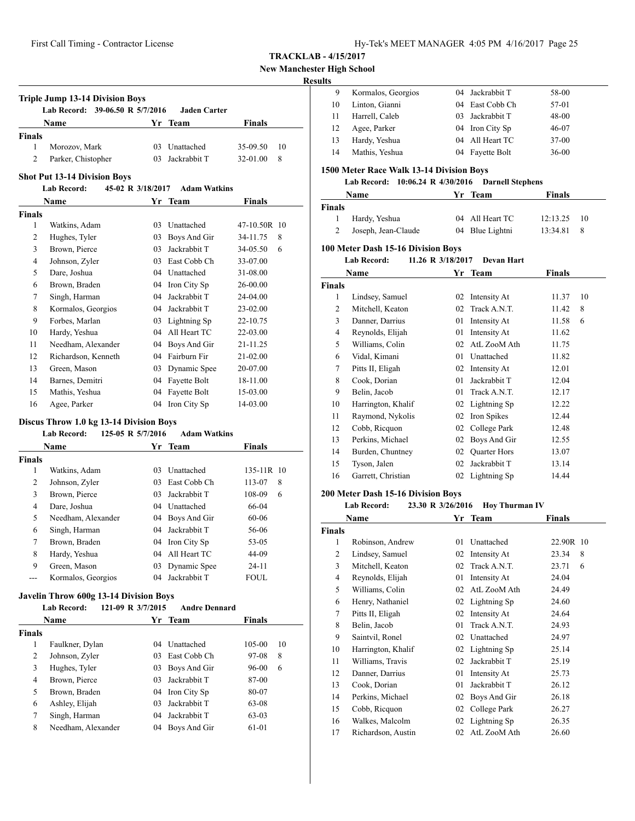First Call Timing - Contractor License Hy-Tek's MEET MANAGER 4:05 PM 4/16/2017 Page 25

**TRACKLAB - 4/15/2017**

**New Manchester High School**

## **Results**

| . |    |                    |                 |           |
|---|----|--------------------|-----------------|-----------|
|   | 9  | Kormalos, Georgios | 04 Jackrabbit T | 58-00     |
|   | 10 | Linton, Gianni     | 04 East Cobb Ch | 57-01     |
|   | 11 | Harrell, Caleb     | 03 Jackrabbit T | 48-00     |
|   | 12 | Agee, Parker       | 04 Iron City Sp | 46-07     |
|   | 13 | Hardy, Yeshua      | 04 All Heart TC | $37-00$   |
|   | 14 | Mathis, Yeshua     | 04 Fayette Bolt | $36 - 00$ |

## **1500 Meter Race Walk 13-14 Division Boys**

# **Lab Record: 10:06.24 R 4/30/2016 Darnell Stephens**

| <b>Name</b>   |                     | Yr Team |                 | <b>Finals</b> |              |
|---------------|---------------------|---------|-----------------|---------------|--------------|
| <b>Finals</b> |                     |         |                 |               |              |
| $\mathbf{1}$  | Hardy, Yeshua       |         | 04 All Heart TC | 12:13.25      | -10          |
|               | Joseph, Jean-Claude |         | 04 Blue Lightni | 13:34.81      | $\mathbf{R}$ |

#### **100 Meter Dash 15-16 Division Boys**

**Lab Record: 11.26 R 3/18/2017 Devan Hart**

|               | Name               | Yr | <b>Team</b>         | <b>Finals</b> |    |
|---------------|--------------------|----|---------------------|---------------|----|
| <b>Finals</b> |                    |    |                     |               |    |
| 1             | Lindsey, Samuel    | 02 | Intensity At        | 11.37         | 10 |
| 2             | Mitchell, Keaton   | 02 | Track A.N.T.        | 11.42         | 8  |
| 3             | Danner, Darrius    | 01 | Intensity At        | 11.58         | 6  |
| 4             | Reynolds, Elijah   | 01 | Intensity At        | 11.62         |    |
| 5             | Williams, Colin    | 02 | AtL ZooM Ath        | 11.75         |    |
| 6             | Vidal, Kimani      | 01 | Unattached          | 11.82         |    |
| 7             | Pitts II, Eligah   | 02 | Intensity At        | 12.01         |    |
| 8             | Cook, Dorian       | 01 | Jackrabbit T        | 12.04         |    |
| 9             | Belin, Jacob       | 01 | Track A.N.T.        | 12.17         |    |
| 10            | Harrington, Khalif |    | 02 Lightning Sp     | 12.22         |    |
| 11            | Raymond, Nykolis   | 02 | Iron Spikes         | 12.44         |    |
| 12            | Cobb, Ricquon      | 02 | College Park        | 12.48         |    |
| 13            | Perkins, Michael   | 02 | Boys And Gir        | 12.55         |    |
| 14            | Burden, Chuntney   | 02 | <b>Quarter Hors</b> | 13.07         |    |
| 15            | Tyson, Jalen       | 02 | Jackrabbit T        | 13.14         |    |
| 16            | Garrett, Christian | 02 | Lightning Sp        | 14.44         |    |

#### **200 Meter Dash 15-16 Division Boys**

| Lab Record:<br><b>Hoy Thurman IV</b><br>23.30 R 3/26/2016 |                    |    |              |            |  |
|-----------------------------------------------------------|--------------------|----|--------------|------------|--|
|                                                           | Name               |    | Yr Team      | Finals     |  |
| <b>Finals</b>                                             |                    |    |              |            |  |
| 1                                                         | Robinson, Andrew   | 01 | Unattached   | 22.90R 10  |  |
| $\overline{2}$                                            | Lindsey, Samuel    | 02 | Intensity At | 8<br>23.34 |  |
| 3                                                         | Mitchell, Keaton   | 02 | Track A.N.T. | 23.71<br>6 |  |
| 4                                                         | Reynolds, Elijah   | 01 | Intensity At | 24.04      |  |
| 5                                                         | Williams, Colin    | 02 | AtL ZooM Ath | 24.49      |  |
| 6                                                         | Henry, Nathaniel   | 02 | Lightning Sp | 24.60      |  |
| 7                                                         | Pitts II, Eligah   | 02 | Intensity At | 24.64      |  |
| 8                                                         | Belin, Jacob       | 01 | Track A.N.T. | 24.93      |  |
| 9                                                         | Saintvil, Ronel    | 02 | Unattached   | 24.97      |  |
| 10                                                        | Harrington, Khalif | 02 | Lightning Sp | 25.14      |  |
| 11                                                        | Williams, Travis   | 02 | Jackrabbit T | 25.19      |  |
| 12                                                        | Danner, Darrius    | 01 | Intensity At | 25.73      |  |
| 13                                                        | Cook, Dorian       | 01 | Jackrabbit T | 26.12      |  |
| 14                                                        | Perkins, Michael   | 02 | Boys And Gir | 26.18      |  |
| 15                                                        | Cobb, Ricquon      | 02 | College Park | 26.27      |  |
| 16                                                        | Walkes, Malcolm    | 02 | Lightning Sp | 26.35      |  |
| 17                                                        | Richardson, Austin | 02 | AtL ZooM Ath | 26.60      |  |

#### **Shot Put 13-14 Division Boys**<br>**Leb Becord:** 45.02 B **Lab Record: 45-02 R 3/18/2017 Adam Watkins**

**Finals**

**Triple Jump 13-14 Division Boys**

|               | Lad Record:   | $45-y2$ K $3/18/201/$ Adam watkins |               |              |
|---------------|---------------|------------------------------------|---------------|--------------|
|               | <b>Name</b>   |                                    | Yr Team       | Finals       |
| <b>Finals</b> |               |                                    |               |              |
|               | Watkins, Adam |                                    | 03 Unattached | 47-10.50R 10 |

**Lab Record: 39-06.50 R 5/7/2016 Jaden Carter**

**Name Yr** Team **Finals** 

 Morozov, Mark 03 Unattached 35-09.50 10 Parker, Chistopher 03 Jackrabbit T 32-01.00 8

| $\overline{2}$ | Hughes, Tyler       | 03 | Boys And Gir    | 34-11.75     | 8 |
|----------------|---------------------|----|-----------------|--------------|---|
| 3              | Brown, Pierce       | 03 | Jackrabbit T    | 34-05.50     | 6 |
| 4              | Johnson, Zyler      | 03 | East Cobb Ch    | 33-07.00     |   |
| 5              | Dare, Joshua        |    | 04 Unattached   | 31-08.00     |   |
| 6              | Brown, Braden       |    | 04 Iron City Sp | 26-00.00     |   |
| 7              | Singh, Harman       | 04 | Jackrabbit T    | 24-04.00     |   |
| 8              | Kormalos, Georgios  | 04 | Jackrabbit T    | 23-02.00     |   |
| 9              | Forbes, Marlan      |    | 03 Lightning Sp | 22-10.75     |   |
| 10             | Hardy, Yeshua       | 04 | All Heart TC    | 22-03.00     |   |
| 11             | Needham, Alexander  |    | 04 Boys And Gir | 21-11.25     |   |
| 12             | Richardson, Kenneth | 04 | Fairburn Fir    | $21 - 02.00$ |   |
| 13             | Green, Mason        |    | 03 Dynamic Spee | 20-07.00     |   |
| 14             | Barnes, Demitri     | 04 | Fayette Bolt    | 18-11.00     |   |
| 15             | Mathis, Yeshua      | 04 | Fayette Bolt    | 15-03.00     |   |
| 16             | Agee, Parker        | 04 | Iron City Sp    | 14-03.00     |   |

## **Discus Throw 1.0 kg 13-14 Division Boys**

#### **Lab Record: 125-05 R 5/7/2016 Adam Watkins**

| <b>Name</b>   |                    | Yr. | Team              | <b>Finals</b> |
|---------------|--------------------|-----|-------------------|---------------|
| <b>Finals</b> |                    |     |                   |               |
| 1             | Watkins, Adam      | 03  | <b>Unattached</b> | 135-11R 10    |
| 2             | Johnson, Zyler     | 03  | East Cobb Ch      | 113-07<br>8   |
| 3             | Brown, Pierce      | 03  | Jackrabbit T      | 108-09<br>6   |
| 4             | Dare, Joshua       | 04  | Unattached        | 66-04         |
| 5             | Needham, Alexander |     | 04 Boys And Gir   | $60 - 06$     |
| 6             | Singh, Harman      | 04  | Jackrabbit T      | 56-06         |
| 7             | Brown, Braden      | 04  | Iron City Sp      | 53-05         |
| 8             | Hardy, Yeshua      | 04  | All Heart TC      | 44-09         |
| 9             | Green, Mason       | 03  | Dynamic Spee      | $24 - 11$     |
|               | Kormalos, Georgios | 04  | Jackrabbit T      | FOUL.         |

#### **Javelin Throw 600g 13-14 Division Boys**

|        | <b>Lab Record:</b> | 121-09 R 3/7/2015 | <b>Andre Dennard</b> |               |    |
|--------|--------------------|-------------------|----------------------|---------------|----|
|        | Name               | Yr.               | <b>Team</b>          | <b>Finals</b> |    |
| Finals |                    |                   |                      |               |    |
| 1      | Faulkner, Dylan    | 04                | Unattached           | 105-00        | 10 |
| 2      | Johnson, Zyler     | 03                | East Cobb Ch         | 97-08         | 8  |
| 3      | Hughes, Tyler      | 03                | Boys And Gir         | 96-00         | 6  |
| 4      | Brown, Pierce      | 03                | Jackrabbit T         | 87-00         |    |
| 5      | Brown, Braden      | 04                | Iron City Sp         | 80-07         |    |
| 6      | Ashley, Elijah     | 03                | Jackrabbit T         | 63-08         |    |
| 7      | Singh, Harman      | 04                | Jackrabbit T         | 63-03         |    |
| 8      | Needham, Alexander | 04                | Boys And Gir         | 61-01         |    |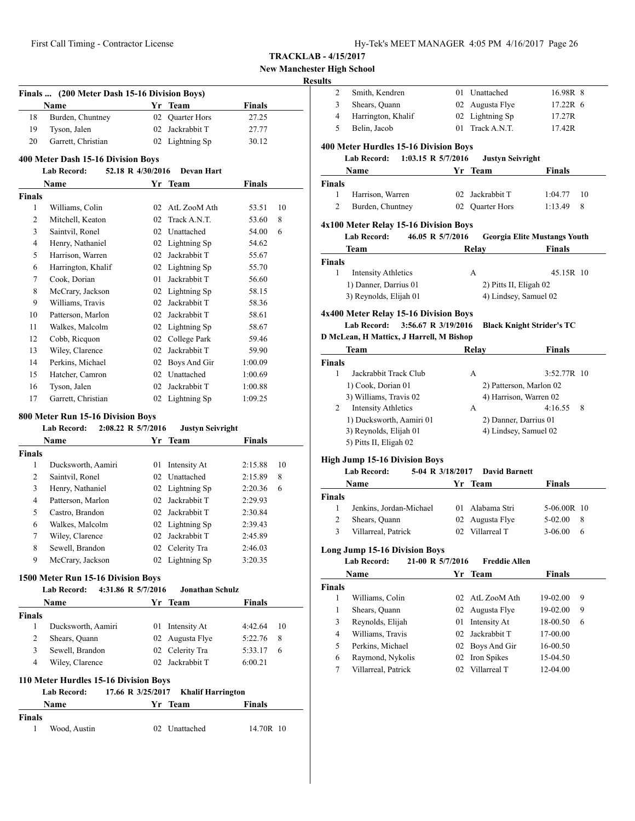| Hy-Tek's MEET MANAGER 4:05 PM 4/16/2017 Page 26 |  |  |  |  |  |
|-------------------------------------------------|--|--|--|--|--|
|-------------------------------------------------|--|--|--|--|--|

# **New Manchester High School**

# **Result**

|               | Finals  (200 Meter Dash 15-16 Division Boys)                                  |                   |                         |               |    |
|---------------|-------------------------------------------------------------------------------|-------------------|-------------------------|---------------|----|
|               | Name                                                                          | Yr                | Team                    | <b>Finals</b> |    |
| 18            | Burden, Chuntney                                                              | 02                | Quarter Hors            | 27.25         |    |
| 19            | Tyson, Jalen                                                                  |                   | 02 Jackrabbit T         | 27.77         |    |
| 20            | Garrett, Christian                                                            |                   | 02 Lightning Sp         | 30.12         |    |
|               | 400 Meter Dash 15-16 Division Boys                                            |                   |                         |               |    |
|               | Lab Record:                                                                   | 52.18 R 4/30/2016 | <b>Devan Hart</b>       |               |    |
|               | Name                                                                          |                   | Yr Team                 | <b>Finals</b> |    |
| Finals<br>1   | Williams, Colin                                                               |                   | 02 AtL ZooM Ath         | 53.51         | 10 |
| 2             | Mitchell, Keaton                                                              | 02                | Track A.N.T.            | 53.60         | 8  |
| 3             | Saintvil, Ronel                                                               |                   | 02 Unattached           | 54.00         | 6  |
| 4             | Henry, Nathaniel                                                              |                   | 02 Lightning Sp         | 54.62         |    |
| 5             | Harrison, Warren                                                              |                   | 02 Jackrabbit T         | 55.67         |    |
| 6             | Harrington, Khalif                                                            |                   | 02 Lightning Sp         | 55.70         |    |
| 7             | Cook, Dorian                                                                  |                   | 01 Jackrabbit T         | 56.60         |    |
| 8             | McCrary, Jackson                                                              |                   | 02 Lightning Sp         | 58.15         |    |
| 9             | Williams, Travis                                                              |                   | 02 Jackrabbit T         | 58.36         |    |
| 10            | Patterson, Marlon                                                             |                   | 02 Jackrabbit T         | 58.61         |    |
| 11            | Walkes, Malcolm                                                               |                   | 02 Lightning Sp         | 58.67         |    |
| 12            | Cobb, Ricquon                                                                 |                   | 02 College Park         | 59.46         |    |
| 13            | Wiley, Clarence                                                               |                   | 02 Jackrabbit T         | 59.90         |    |
| 14            | Perkins, Michael                                                              |                   | 02 Boys And Gir         | 1:00.09       |    |
| 15            | Hatcher, Camron                                                               |                   | 02 Unattached           | 1:00.69       |    |
| 16            | Tyson, Jalen                                                                  |                   | 02 Jackrabbit T         | 1:00.88       |    |
| 17            | Garrett, Christian                                                            |                   | 02 Lightning Sp         | 1:09.25       |    |
|               |                                                                               |                   |                         |               |    |
|               | 800 Meter Run 15-16 Division Boys<br><b>Lab Record:</b><br>2:08.22 R 5/7/2016 |                   | <b>Justyn Seivright</b> |               |    |
|               | Name                                                                          | Yr                | Team                    | <b>Finals</b> |    |
| <b>Finals</b> |                                                                               |                   |                         |               |    |
| 1             | Ducksworth, Aamiri                                                            |                   | 01 Intensity At         | 2:15.88       | 10 |
| 2             | Saintvil, Ronel                                                               |                   | 02 Unattached           | 2:15.89       | 8  |
| 3             | Henry, Nathaniel                                                              |                   | 02 Lightning Sp         | 2:20.36       | 6  |
| 4             | Patterson, Marlon                                                             |                   | 02 Jackrabbit T         | 2:29.93       |    |
| 5             | Castro, Brandon                                                               |                   | 02 Jackrabbit T         | 2:30.84       |    |
| 6             | Walkes, Malcolm                                                               |                   | 02 Lightning Sp         | 2:39.43       |    |
| 7             | Wiley, Clarence                                                               | 02                | Jackrabbit T            | 2:45.89       |    |
| 8             | Sewell, Brandon                                                               |                   | 02 Celerity Tra         | 2:46.03       |    |
| 9             | McCrary, Jackson                                                              | 02                | Lightning Sp            | 3:20.35       |    |
|               | 1500 Meter Run 15-16 Division Boys                                            |                   |                         |               |    |
|               | <b>Lab Record:</b><br>4:31.86 R 5/7/2016                                      |                   | <b>Jonathan Schulz</b>  |               |    |
|               | Name                                                                          | Yr                | Team                    | Finals        |    |
| Finals        |                                                                               |                   |                         |               |    |
| 1             | Ducksworth, Aamiri                                                            | 01                | Intensity At            | 4:42.64       | 10 |
| 2             | Shears, Quann                                                                 | 02                | Augusta Flye            | 5:22.76       | 8  |
| 3             | Sewell, Brandon                                                               | 02                | Celerity Tra            | 5:33.17       | 6  |
| 4             | Wiley, Clarence                                                               | 02                | Jackrabbit T            | 6:00.21       |    |

#### **110 Meter Hurdles 15-16 Division Boys**

|               | <b>Lab Record:</b> | 17.66 R 3/25/2017 Khalif Harrington |               |           |  |
|---------------|--------------------|-------------------------------------|---------------|-----------|--|
|               | <b>Name</b>        |                                     | Yr Team       | Finals    |  |
| <b>Finals</b> |                    |                                     |               |           |  |
|               | Wood, Austin       |                                     | 02 Unattached | 14.70R 10 |  |

|                       | Smith, Kendren                                   |          | 01 Unattached                       | 16.98R 8             |    |
|-----------------------|--------------------------------------------------|----------|-------------------------------------|----------------------|----|
| 3                     | Shears, Quann                                    |          | 02 Augusta Flye                     | 17.22R 6             |    |
| 4                     | Harrington, Khalif                               |          | 02 Lightning Sp                     | 17.27R               |    |
| 5                     | Belin. Jacob                                     | 01       | Track A.N.T.                        | 17.42R               |    |
|                       | 400 Meter Hurdles 15-16 Division Boys            |          |                                     |                      |    |
|                       | 1:03.15 R $5/7/2016$<br><b>Lab Record:</b>       |          | <b>Justyn Seivright</b>             |                      |    |
|                       | Name                                             |          | Yr Team                             | <b>Finals</b>        |    |
| Finals<br>1           | Harrison, Warren                                 |          | 02 Jackrabbit T                     | 1:04.77              | 10 |
| $\overline{c}$        | Burden, Chuntney                                 |          | 02 Quarter Hors                     | 1:13.49              | 8  |
|                       | 4x100 Meter Relay 15-16 Division Boys            |          |                                     |                      |    |
|                       | <b>Lab Record:</b><br>46.05 R 5/7/2016           |          | <b>Georgia Elite Mustangs Youth</b> |                      |    |
|                       | Team                                             |          | Relay                               | <b>Finals</b>        |    |
| <b>Finals</b>         |                                                  |          |                                     |                      |    |
| 1                     | <b>Intensity Athletics</b>                       |          | А                                   | 45.15R 10            |    |
|                       | 1) Danner, Darrius 01                            |          | 2) Pitts II, Eligah 02              |                      |    |
|                       | 3) Reynolds, Elijah 01                           |          | 4) Lindsey, Samuel 02               |                      |    |
|                       | 4x400 Meter Relay 15-16 Division Boys            |          |                                     |                      |    |
|                       | <b>Lab Record:</b><br>3:56.67 R 3/19/2016        |          | <b>Black Knight Strider's TC</b>    |                      |    |
|                       | D McLean, H Matticx, J Harrell, M Bishop<br>Team |          |                                     | Finals               |    |
| <b>Finals</b>         |                                                  |          | Relay                               |                      |    |
| 1                     | Jackrabbit Track Club                            |          | А                                   | 3:52.77R 10          |    |
|                       | 1) Cook, Dorian 01                               |          | 2) Patterson, Marlon 02             |                      |    |
|                       | 3) Williams, Travis 02                           |          | 4) Harrison, Warren 02              |                      |    |
| 2                     | <b>Intensity Athletics</b>                       |          | А                                   | 4:16.55              | 8  |
|                       | 1) Ducksworth, Aamiri 01                         |          | 2) Danner, Darrius 01               |                      |    |
|                       | 3) Reynolds, Elijah 01                           |          | 4) Lindsey, Samuel 02               |                      |    |
|                       | 5) Pitts II, Eligah 02                           |          |                                     |                      |    |
|                       | <b>High Jump 15-16 Division Boys</b>             |          |                                     |                      |    |
|                       |                                                  |          |                                     |                      |    |
|                       | <b>Lab Record:</b><br>5-04 R 3/18/2017           |          | <b>David Barnett</b>                |                      |    |
|                       | Name                                             |          | Yr Team                             | Finals               |    |
|                       |                                                  |          |                                     |                      |    |
| 1                     | Jenkins, Jordan-Michael                          |          | 01 Alabama Stri                     | 5-06.00R 10          |    |
| 2                     | Shears, Quann                                    |          | 02 Augusta Flye                     | 5-02.00              | 8  |
| 3                     | Villarreal, Patrick                              |          | 02 Villarreal T                     | 3-06.00              | 6  |
|                       | <b>Long Jump 15-16 Division Boys</b>             |          |                                     |                      |    |
|                       | <b>Lab Record:</b><br>21-00 R 5/7/2016           |          | <b>Freddie Allen</b>                |                      |    |
|                       | Name                                             |          | Yr Team                             | <b>Finals</b>        |    |
| Finals<br>Finals<br>1 | Williams, Colin                                  | 02       | AtL ZooM Ath                        | 19-02.00             | 9  |
| $\mathbf{1}$          |                                                  | 02       |                                     |                      | 9  |
|                       | Shears, Quann                                    |          | Augusta Flye<br>Intensity At        | 19-02.00             | 6  |
| 3                     | Reynolds, Elijah                                 | 01       |                                     | 18-00.50             |    |
| 4                     | Williams, Travis                                 | 02       | Jackrabbit T                        | 17-00.00             |    |
| 5                     | Perkins, Michael                                 | 02       | Boys And Gir                        | 16-00.50             |    |
| 6<br>7                | Raymond, Nykolis<br>Villarreal, Patrick          | 02<br>02 | Iron Spikes<br>Villarreal T         | 15-04.50<br>12-04.00 |    |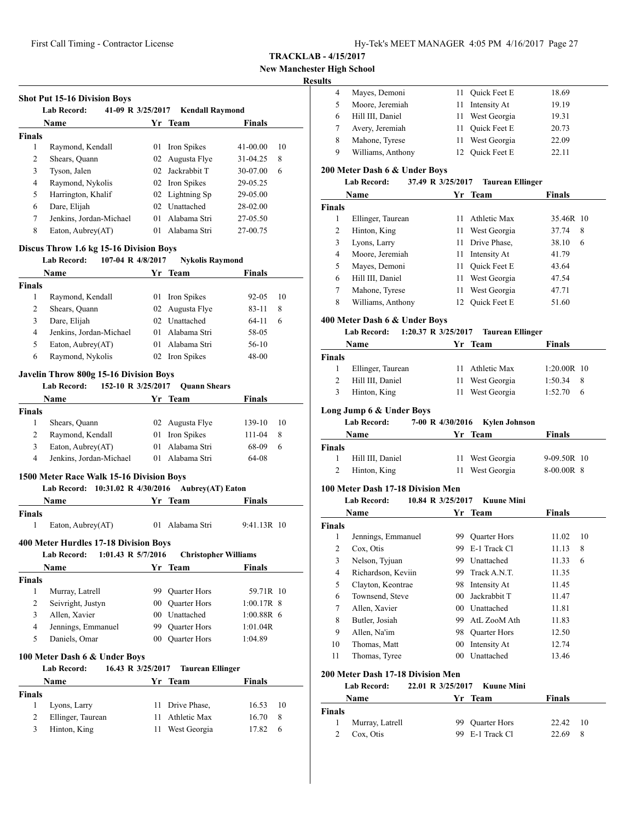First Call Timing - Contractor License Hy-Tek's MEET MANAGER 4:05 PM 4/16/2017 Page 27

**TRACKLAB - 4/15/2017**

**New Manchester High School**

## **Result**

|               | <b>Name</b>             |    | Yr Team         | <b>Finals</b> |    |
|---------------|-------------------------|----|-----------------|---------------|----|
| <b>Finals</b> |                         |    |                 |               |    |
| 1             | Raymond, Kendall        | 01 | Iron Spikes     | $41 - 00.00$  | 10 |
| 2             | Shears, Quann           | 02 | Augusta Flye    | 31-04.25      | 8  |
| 3             | Tyson, Jalen            | 02 | Jackrabbit T    | 30-07.00      | 6  |
| 4             | Raymond, Nykolis        |    | 02 Iron Spikes  | 29-05.25      |    |
| 5             | Harrington, Khalif      |    | 02 Lightning Sp | 29-05.00      |    |
| 6             | Dare, Elijah            | 02 | Unattached      | 28-02.00      |    |
| 7             | Jenkins, Jordan-Michael | 01 | Alabama Stri    | 27-05.50      |    |
| 8             | Eaton, Aubrey(AT)       | 01 | Alabama Stri    | 27-00.75      |    |

#### **Discus Throw 1.6 kg 15-16 Division Boys Lab Record: 107-04 R 4/8/2017 Nykolis Raymond**

|               | Lad Record:<br>$10/-04$ K $4/8/201/$ |         | <b>NVKOHS RAVMONG</b> |               |    |
|---------------|--------------------------------------|---------|-----------------------|---------------|----|
|               | Name                                 |         | Yr Team               | <b>Finals</b> |    |
| <b>Finals</b> |                                      |         |                       |               |    |
| 1             | Raymond, Kendall                     |         | 01 Iron Spikes        | $92 - 0.5$    | 10 |
| 2             | Shears, Quann                        |         | 02 Augusta Flye       | 83-11         | 8  |
| 3             | Dare, Elijah                         |         | 02 Unattached         | 64-11         | 6  |
| 4             | Jenkins, Jordan-Michael              |         | 01 Alabama Stri       | 58-05         |    |
| 5             | Eaton, Aubrey(AT)                    | $^{01}$ | Alabama Stri          | $56-10$       |    |
| 6             | Raymond, Nykolis                     |         | 02 Iron Spikes        | 48-00         |    |
|               |                                      |         |                       |               |    |

#### **Javelin Throw 800g 15-16 Division Boys**

**Lab Record: 152-10 R 3/25/2017 Quann Shears**

| Name   |                         | Yr Team         | <b>Finals</b> |      |
|--------|-------------------------|-----------------|---------------|------|
| Finals |                         |                 |               |      |
|        | Shears, Quann           | 02 Augusta Flye | 139-10        | - 10 |
|        | Raymond, Kendall        | 01 Iron Spikes  | $111 - 04$    | 8    |
|        | Eaton, Aubrey(AT)       | 01 Alabama Stri | 68-09         | 6    |
| 4      | Jenkins, Jordan-Michael | 01 Alabama Stri | 64-08         |      |

#### **1500 Meter Race Walk 15-16 Division Boys**

|          | Lab Record: 10:31.02 R 4/30/2016 Aubrey(AT) Eaton |        |  |
|----------|---------------------------------------------------|--------|--|
| Name     | Yr Team                                           | Finals |  |
| DS-1-1-1 |                                                   |        |  |

| Finals                                |                   |  |                 |               |  |  |
|---------------------------------------|-------------------|--|-----------------|---------------|--|--|
|                                       | Eaton, Aubrey(AT) |  | 01 Alabama Stri | $9:41.13R$ 10 |  |  |
| 400 Meter Hurdles 17-18 Division Boys |                   |  |                 |               |  |  |

|               | 1:01.43 R 5/7/2016<br><b>Lab Record:</b>                                 |                 | <b>Christopher Williams</b> |               |
|---------------|--------------------------------------------------------------------------|-----------------|-----------------------------|---------------|
|               | <b>Name</b>                                                              |                 | Yr Team                     | <b>Finals</b> |
| <b>Finals</b> |                                                                          |                 |                             |               |
| 1             | Murray, Latrell                                                          | 99              | <b>Quarter Hors</b>         | 59.71R 10     |
| 2             | Seivright, Justyn                                                        | 00              | <b>Quarter Hors</b>         | $1:00.17R$ 8  |
| 3             | Allen, Xavier                                                            | 00 <sup>1</sup> | Unattached                  | $1:00.88R$ 6  |
| 4             | Jennings, Emmanuel                                                       | 99              | Quarter Hors                | 1:01.04R      |
| 5             | Daniels, Omar                                                            | 00              | <b>Quarter Hors</b>         | 1:04.89       |
|               | 100 Meter Dash 6 & Under Boys<br><b>Lab Record:</b><br>16.43 R 3/25/2017 |                 | <b>Taurean Ellinger</b>     |               |
|               | <b>Name</b>                                                              |                 | Yr Team                     | Finals        |
| <b>Finals</b> |                                                                          |                 |                             |               |
| 1             | Lyons, Larry                                                             | 11              | Drive Phase,                | 16.53<br>10   |
| 2             | Ellinger, Taurean                                                        | 11              | <b>Athletic Max</b>         | 8<br>16.70    |
| 3             | Hinton, King                                                             | 11              | West Georgia                | 17.82<br>6    |

| lts |                   |        |                     |       |  |
|-----|-------------------|--------|---------------------|-------|--|
| 4   | Mayes, Demoni     | $11 -$ | <b>Ouick Feet E</b> | 18.69 |  |
|     | Moore, Jeremiah   |        | Intensity At        | 19.19 |  |
| 6   | Hill III, Daniel  |        | 11 West Georgia     | 19.31 |  |
|     | Avery, Jeremiah   | 11.    | <b>Ouick Feet E</b> | 20.73 |  |
| 8   | Mahone, Tyrese    |        | 11 West Georgia     | 22.09 |  |
| 9   | Williams, Anthony |        | 12 Ouick Feet E     | 22.11 |  |
|     |                   |        |                     |       |  |

## **200 Meter Dash 6 & Under Boys**

| <b>Lab Record:</b> | 37.49 R 3/25/2017 | <b>Taurean Ellinger</b> |
|--------------------|-------------------|-------------------------|
|--------------------|-------------------|-------------------------|

|               | Name              |     | Yr Team         | <b>Finals</b> |
|---------------|-------------------|-----|-----------------|---------------|
| <b>Finals</b> |                   |     |                 |               |
| 1             | Ellinger, Taurean | 11  | Athletic Max    | 35.46R 10     |
| 2             | Hinton, King      | 11  | West Georgia    | 8<br>37.74    |
| 3             | Lyons, Larry      | 11. | Drive Phase,    | 38.10<br>6    |
| 4             | Moore, Jeremiah   | 11  | Intensity At    | 41.79         |
| 5             | Mayes, Demoni     | 11. | Quick Feet E    | 43.64         |
| 6             | Hill III, Daniel  | 11  | West Georgia    | 47.54         |
| 7             | Mahone, Tyrese    | 11  | West Georgia    | 47.71         |
| 8             | Williams, Anthony |     | 12 Ouick Feet E | 51.60         |

#### **400 Meter Dash 6 & Under Boys**

**Lab Record: 1:20.37 R 3/25/2017 Taurean Ellinger**

|        | Name              | Yr Team         | <b>Finals</b> |     |
|--------|-------------------|-----------------|---------------|-----|
| Finals |                   |                 |               |     |
|        | Ellinger, Taurean | 11 Athletic Max | $1:20.00R$ 10 |     |
|        | Hill III, Daniel  | 11 West Georgia | 1:50.34       | - 8 |
| 3      | Hinton, King      | 11 West Georgia | 1:52.70       | 6   |

# **Long Jump 6 & Under Boys**

**Lab Record: 7-00 R 4/30/2016 Kylen Johnson**

|        | <b>Name</b>      | Yr Team         | <b>Finals</b> |
|--------|------------------|-----------------|---------------|
| Finals |                  |                 |               |
|        | Hill III, Daniel | 11 West Georgia | $9-09.50R$ 10 |
|        | Hinton, King     | 11 West Georgia | $8-00.00R$ 8  |

## **100 Meter Dash 17-18 Division Men**

**Lab Record: 10.84 R 3/25/2017 Kuune Mini**

|        | Name               | Yr.             | Team                | <b>Finals</b> |    |
|--------|--------------------|-----------------|---------------------|---------------|----|
| Finals |                    |                 |                     |               |    |
| 1      | Jennings, Emmanuel | 99              | <b>Quarter Hors</b> | 11.02         | 10 |
| 2      | Cox, Otis          | 99              | E-1 Track Cl        | 11.13         | 8  |
| 3      | Nelson, Tyjuan     | 99              | Unattached          | 11.33         | 6  |
| 4      | Richardson, Keviin | 99.             | Track A.N.T.        | 11.35         |    |
| 5      | Clayton, Keontrae  | 98              | Intensity At        | 11.45         |    |
| 6      | Townsend, Steve    | 00              | Jackrabbit T        | 11.47         |    |
| 7      | Allen, Xavier      | 00              | Unattached          | 11.81         |    |
| 8      | Butler, Josiah     | 99.             | AtL ZooM Ath        | 11.83         |    |
| 9      | Allen, Na'im       | 98              | <b>Quarter Hors</b> | 12.50         |    |
| 10     | Thomas, Matt       | 00              | Intensity At        | 12.74         |    |
| 11     | Thomas, Tyree      | 00 <sup>2</sup> | Unattached          | 13.46         |    |

#### **200 Meter Dash 17-18 Division Men**

**Lab Record: 22.01 R 3/25/2017 Kuune Mini**

|               | <b>Name</b>     | Yr Team         | <b>Finals</b> |  |
|---------------|-----------------|-----------------|---------------|--|
| <b>Finals</b> |                 |                 |               |  |
| $\mathbf{1}$  | Murray, Latrell | 99 Ouarter Hors | 22.42 10      |  |
|               | Cox, Otis       | 99 E-1 Track Cl | 22.69 8       |  |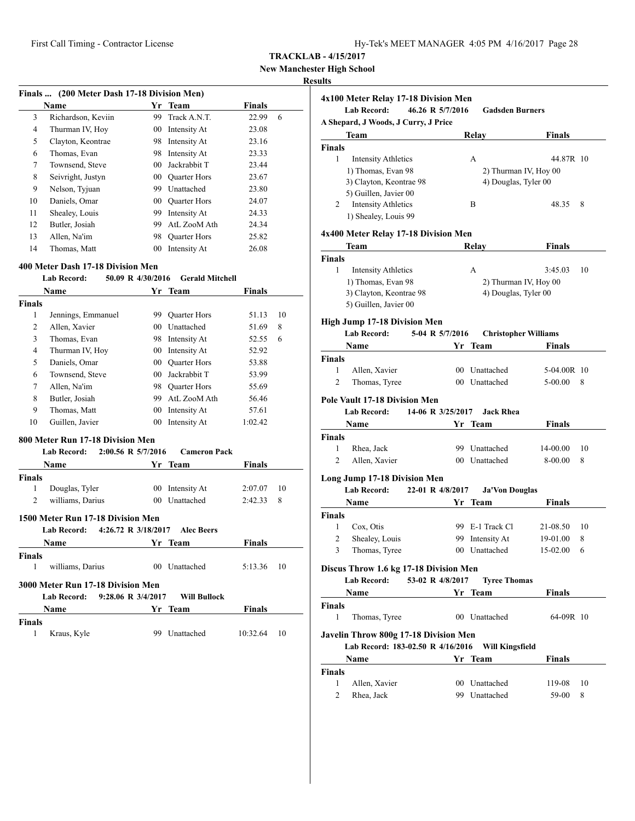# **New Manchester High School**

#### **Results**

| Finals  (200 Meter Dash 17-18 Division Men) |                    |    |                     |               |   |
|---------------------------------------------|--------------------|----|---------------------|---------------|---|
|                                             | <b>Name</b>        |    | Yr Team             | <b>Finals</b> |   |
| 3                                           | Richardson, Keviin | 99 | Track A.N.T.        | 22.99         | 6 |
| 4                                           | Thurman IV, Hoy    | 00 | Intensity At        | 23.08         |   |
| 5                                           | Clayton, Keontrae  | 98 | Intensity At        | 23.16         |   |
| 6                                           | Thomas, Evan       | 98 | Intensity At        | 23.33         |   |
| 7                                           | Townsend, Steve    | 00 | Jackrabbit T        | 23.44         |   |
| 8                                           | Seivright, Justyn  | 00 | <b>Quarter Hors</b> | 23.67         |   |
| 9                                           | Nelson, Tyjuan     | 99 | Unattached          | 23.80         |   |
| 10                                          | Daniels, Omar      | 00 | <b>Quarter Hors</b> | 24.07         |   |
| 11                                          | Shealey, Louis     | 99 | Intensity At        | 24.33         |   |
| 12                                          | Butler, Josiah     | 99 | AtL ZooM Ath        | 24.34         |   |
| 13                                          | Allen, Na'im       | 98 | <b>Quarter Hors</b> | 25.82         |   |
| 14                                          | Thomas, Matt       | 00 | Intensity At        | 26.08         |   |

#### **400 Meter Dash 17-18 Division Men**

#### **Lab Record: 50.09 R 4/30/2016 Gerald Mitchell**

|                | <b>Name</b>                               | Yr              | <b>Team</b>         | <b>Finals</b> |    |
|----------------|-------------------------------------------|-----------------|---------------------|---------------|----|
| <b>Finals</b>  |                                           |                 |                     |               |    |
| 1              | Jennings, Emmanuel                        | 99              | Quarter Hors        | 51.13         | 10 |
| $\overline{2}$ | Allen, Xavier                             | 00 <sup>1</sup> | Unattached          | 51.69         | 8  |
| 3              | Thomas, Evan                              | 98              | Intensity At        | 52.55         | 6  |
| $\overline{4}$ | Thurman IV, Hoy                           |                 | 00 Intensity At     | 52.92         |    |
| 5              | Daniels, Omar                             | $00\,$          | <b>Quarter Hors</b> | 53.88         |    |
| 6              | Townsend, Steve                           | 0 <sub>0</sub>  | Jackrabbit T        | 53.99         |    |
| 7              | Allen, Na'im                              |                 | 98 Ouarter Hors     | 55.69         |    |
| 8              | Butler, Josiah                            |                 | 99 AtL ZooM Ath     | 56.46         |    |
| 9              | Thomas, Matt                              |                 | 00 Intensity At     | 57.61         |    |
| 10             | Guillen, Javier                           | $00\,$          | Intensity At        | 1:02.42       |    |
|                | 800 Meter Run 17-18 Division Men          |                 |                     |               |    |
|                | 2:00.56 R 5/7/2016<br>Lab Record:         |                 | <b>Cameron Pack</b> |               |    |
|                | <b>Name</b>                               | Yr              | <b>Team</b>         | Finals        |    |
| <b>Finals</b>  |                                           |                 |                     |               |    |
| 1              | Douglas, Tyler                            |                 | 00 Intensity At     | 2:07.07       | 10 |
| $\overline{2}$ | williams, Darius                          | 0 <sub>0</sub>  | Unattached          | 2:42.33       | 8  |
|                | 1500 Meter Run 17-18 Division Men         |                 |                     |               |    |
|                | 4:26.72 R 3/18/2017<br><b>Lab Record:</b> |                 | <b>Alec Beers</b>   |               |    |
|                | <b>Name</b>                               | Yr              | <b>Team</b>         | <b>Finals</b> |    |
| <b>Finals</b>  |                                           |                 |                     |               |    |
| 1              | williams, Darius                          |                 | 00 Unattached       | 5:13.36       | 10 |
|                | 3000 Meter Run 17-18 Division Men         |                 |                     |               |    |
|                | 9:28.06 R 3/4/2017<br>Lab Record:         |                 | <b>Will Bullock</b> |               |    |
|                | Name                                      | Yr              | <b>Team</b>         | <b>Finals</b> |    |
| <b>Finals</b>  |                                           |                 |                     |               |    |
| 1              | Kraus, Kyle                               | 99              | Unattached          | 10:32.64      | 10 |

# **4x100 Meter Relay 17-18 Division Men Lab Record: 46.26 R 5/7/2016 Gadsden Burners A Shepard, J Woods, J Curry, J Price Team Relay Finals Finals** 1 Intensity Athletics A 44.87R 10 1) Thomas, Evan 98 2) Thurman IV, Hoy 00 3) Clayton, Keontrae 98 4) Douglas, Tyler 00 5) Guillen, Javier 00 2 Intensity Athletics B 48.35 8 1) Shealey, Louis 99 **4x400 Meter Relay 17-18 Division Men Team Relay Finals Finals** 1 Intensity Athletics A 3:45.03 10 1) Thomas, Evan 98 2) Thurman IV, Hoy 00 3) Clayton, Keontrae 98 4) Douglas, Tyler 00 5) Guillen, Javier 00 **High Jump 17-18 Division Men**<br>Lab Record: 5-04 R 5/7/2016 **Lab Record: 5-04 R 5/7/2016 Christopher Williams Name Yr Team Finals Finals** 1 Allen, Xavier 00 Unattached 5-04.00R 10 2 Thomas, Tyree 00 Unattached 5-00.00 8 **Pole Vault 17-18 Division Men Lab Record: 14-06 R 3/25/2017 Jack Rhea Name Yr Team Finals Finals** 1 Rhea, Jack 99 Unattached 14-00.00 10 2 Allen, Xavier 00 Unattached 8-00.00 8 **Long Jump 17-18 Division Men Lab Record: 22-01 R 4/8/2017 Ja'Von Douglas Name Vr** Team **Finals Finals** 1 Cox, Otis 99 E-1 Track Cl 21-08.50 10 2 Shealey, Louis 99 Intensity At 19-01.00 8 3 Thomas, Tyree 00 Unattached 15-02.00 6 **Discus Throw 1.6 kg 17-18 Division Men Lab Record: 53-02 R 4/8/2017 Tyree Thomas Name Yr** Team **Finals Finals** 1 Thomas, Tyree 00 Unattached 64-09R 10 **Javelin Throw 800g 17-18 Division Men Lab Record: 183-02.50 R 4/16/2016 Will Kingsfield Name Yr** Team **Finals Finals** 1 Allen, Xavier 00 Unattached 119-08 10 2 Rhea, Jack 99 Unattached 59-00 8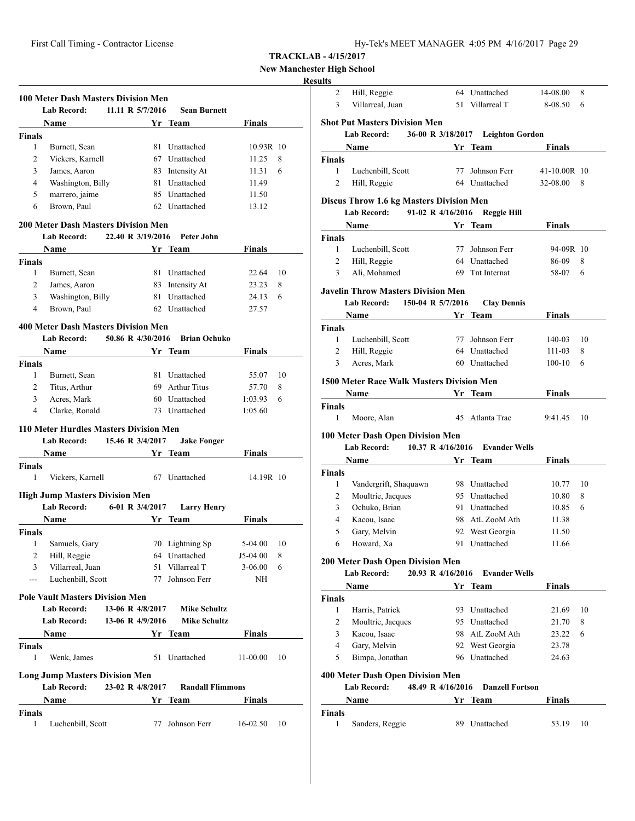| Hy-Tek's MEET MANAGER 4:05 PM 4/16/2017 Page 29 |  |  |  |
|-------------------------------------------------|--|--|--|
|-------------------------------------------------|--|--|--|

3 Villarreal, Juan 51 Villarreal T 8-08.50 6

**TRACKLAB - 4/15/2017**

**New Manchester High School**

# **Results** 2 Hill, Reggie 64 Unattached 14-08.00 8

|                               | <b>100 Meter Dash Masters Division Men</b><br><b>Lab Record:</b> | 11.11 R 5/7/2016  |      | <b>Sean Burnett</b>     |                    |    |
|-------------------------------|------------------------------------------------------------------|-------------------|------|-------------------------|--------------------|----|
|                               | Name                                                             |                   |      | Yr Team                 | Finals             |    |
| <b>Finals</b>                 |                                                                  |                   |      |                         |                    |    |
| 1                             | Burnett, Sean                                                    |                   |      | 81 Unattached           | 10.93R 10          |    |
| 2                             | Vickers, Karnell                                                 |                   |      | 67 Unattached           | 11.25              | 8  |
| 3                             | James, Aaron                                                     |                   |      | 83 Intensity At         | 11.31              | 6  |
| $\overline{4}$                | Washington, Billy                                                |                   | 81 - | Unattached              | 11.49              |    |
| 5                             | marrero, jaime                                                   |                   |      | 85 Unattached           | 11.50              |    |
| 6                             | Brown, Paul                                                      |                   |      | 62 Unattached           | 13.12              |    |
|                               |                                                                  |                   |      |                         |                    |    |
|                               | <b>200 Meter Dash Masters Division Men</b><br><b>Lab Record:</b> | 22.40 R 3/19/2016 |      | Peter John              |                    |    |
|                               | Name                                                             |                   |      | Yr Team                 | Finals             |    |
| <b>Finals</b>                 |                                                                  |                   |      |                         |                    |    |
| 1                             | Burnett, Sean                                                    |                   | 81   | Unattached              | 22.64              | 10 |
| 2                             | James, Aaron                                                     |                   |      | 83 Intensity At         | 23.23              | 8  |
| 3                             | Washington, Billy                                                |                   |      | 81 Unattached           | 24.13              | 6  |
| 4                             | Brown, Paul                                                      |                   |      | 62 Unattached           | 27.57              |    |
|                               |                                                                  |                   |      |                         |                    |    |
|                               | <b>400 Meter Dash Masters Division Men</b><br><b>Lab Record:</b> | 50.86 R 4/30/2016 |      | <b>Brian Ochuko</b>     |                    |    |
|                               | <b>Name</b>                                                      |                   |      | Yr Team                 | <b>Finals</b>      |    |
|                               |                                                                  |                   |      |                         |                    |    |
| <b>Finals</b><br>$\mathbf{1}$ |                                                                  |                   |      | 81 Unattached           | 55.07              | 10 |
| $\overline{2}$                | Burnett, Sean<br>Titus, Arthur                                   |                   |      | 69 Arthur Titus         | 57.70              | 8  |
| 3                             |                                                                  |                   |      | 60 Unattached           |                    |    |
| 4                             | Acres, Mark<br>Clarke, Ronald                                    |                   |      | 73 Unattached           | 1:03.93<br>1:05.60 | 6  |
|                               | 110 Meter Hurdles Masters Division Men<br><b>Lab Record:</b>     | 15.46 R 3/4/2017  |      |                         |                    |    |
|                               | <b>Name</b>                                                      |                   |      | <b>Jake Fonger</b>      | Finals             |    |
|                               |                                                                  |                   |      | Yr Team                 |                    |    |
| <b>Finals</b><br>1            | Vickers, Karnell                                                 |                   |      | 67 Unattached           | 14.19R 10          |    |
|                               | <b>High Jump Masters Division Men</b>                            |                   |      |                         |                    |    |
|                               | <b>Lab Record:</b>                                               | 6-01 R 3/4/2017   |      | <b>Larry Henry</b>      |                    |    |
|                               | Name                                                             |                   |      | Yr Team                 | Finals             |    |
| <b>Finals</b>                 |                                                                  |                   |      |                         |                    |    |
| 1                             | Samuels, Gary                                                    |                   |      | 70 Lightning Sp         | 5-04.00            | 10 |
| 2                             | Hill, Reggie                                                     |                   |      | 64 Unattached           | J5-04.00           | 8  |
| 3                             | Villarreal, Juan                                                 |                   | 51.  | Villarreal T            | $3-06.00$          | 6  |
| ---                           | Luchenbill, Scott                                                |                   | 77   | Johnson Ferr            | NH                 |    |
|                               | <b>Pole Vault Masters Division Men</b>                           |                   |      |                         |                    |    |
|                               | <b>Lab Record:</b>                                               | 13-06 R 4/8/2017  |      | <b>Mike Schultz</b>     |                    |    |
|                               | Lab Record:                                                      | 13-06 R 4/9/2016  |      | <b>Mike Schultz</b>     |                    |    |
|                               |                                                                  |                   |      |                         |                    |    |
|                               | Name                                                             |                   |      | Yr Team                 | Finals             |    |
| Finals<br>1                   | Wenk, James                                                      |                   | 51   | Unattached              | 11-00.00           | 10 |
|                               | <b>Long Jump Masters Division Men</b>                            |                   |      |                         |                    |    |
|                               | <b>Lab Record:</b>                                               | 23-02 R 4/8/2017  |      | <b>Randall Flimmons</b> |                    |    |
|                               | Name                                                             |                   |      | Yr Team                 | Finals             |    |
| Finals                        |                                                                  |                   |      |                         |                    |    |
| 1                             | Luchenbill, Scott                                                |                   | 77   | Johnson Ferr            | 16-02.50           | 10 |

|                | <b>Lab Record:</b>                              | 36-00 R 3/18/2017 Leighton Gordon |                |    |
|----------------|-------------------------------------------------|-----------------------------------|----------------|----|
|                | <b>Name</b>                                     | Yr Team                           | Finals         |    |
| Finals         |                                                 |                                   |                |    |
| 1              | Luchenbill, Scott                               | 77 Johnson Ferr                   | 41-10.00R 10   |    |
| 2              | Hill, Reggie                                    | 64 Unattached                     | 32-08.00       | 8  |
|                | <b>Discus Throw 1.6 kg Masters Division Men</b> |                                   |                |    |
|                | 91-02 R 4/16/2016<br><b>Lab Record:</b>         | Reggie Hill                       |                |    |
|                | Name                                            | Yr Team                           | Finals         |    |
| Finals         |                                                 |                                   |                |    |
| 1              | Luchenbill, Scott                               | 77 Johnson Ferr                   | 94-09R 10      |    |
| 2              | Hill, Reggie                                    | 64 Unattached                     | 86-09          | 8  |
| 3              | Ali, Mohamed                                    | 69 Tnt Internat                   | 58-07          | 6  |
|                | Javelin Throw Masters Division Men              |                                   |                |    |
|                | 150-04 R 5/7/2016<br>Lab Record:                | <b>Clay Dennis</b>                |                |    |
|                | Name Yr Team                                    |                                   | <b>Finals</b>  |    |
| Finals         |                                                 |                                   |                |    |
| $\mathbf{1}$   | Luchenbill, Scott                               | 77 Johnson Ferr                   | 140-03         | 10 |
| $\overline{c}$ | Hill, Reggie                                    | 64 Unattached                     | 111-03         | 8  |
| 3              | Acres, Mark                                     | 60 Unattached                     | $100-10$       | 6  |
|                | 1500 Meter Race Walk Masters Division Men       |                                   |                |    |
|                | <b>Name</b>                                     | Yr Team                           | Finals         |    |
| Finals         |                                                 |                                   |                |    |
|                |                                                 |                                   |                |    |
| 1              |                                                 | 45 Atlanta Trac                   |                |    |
|                | Moore, Alan                                     |                                   | 9:41.45        | 10 |
|                | 100 Meter Dash Open Division Men                |                                   |                |    |
|                | <b>Lab Record:</b><br>10.37 R 4/16/2016         | <b>Evander Wells</b>              |                |    |
|                | Name                                            | Yr Team                           | Finals         |    |
| Finals         |                                                 |                                   |                |    |
| 1              | Vandergrift, Shaquawn                           | 98 Unattached                     | 10.77          |    |
| 2              | Moultrie, Jacques                               | 95 Unattached                     | 10.80          | 8  |
| 3<br>4         | Ochuko, Brian                                   | 91 Unattached<br>98 AtL ZooM Ath  | 10.85          | 6  |
|                | Kacou, Isaac                                    |                                   | 11.38<br>11.50 |    |
| 5<br>6         | Gary, Melvin<br>Howard, Xa                      | 92 West Georgia<br>91 Unattached  | 11.66          | 10 |
|                |                                                 |                                   |                |    |
|                | 200 Meter Dash Open Division Men                |                                   |                |    |
|                | <b>Lab Record:</b><br>20.93 R 4/16/2016         | <b>Evander Wells</b>              |                |    |
|                | Name                                            | Yr Team                           | <b>Finals</b>  |    |
| Finals         |                                                 |                                   |                |    |
| 1              | Harris, Patrick                                 | 93 Unattached                     | 21.69          |    |
| 2              | Moultrie, Jacques                               | 95 Unattached                     | 21.70          | 8  |
| 3              | Kacou, Isaac                                    | 98 AtL ZooM Ath                   | 23.22          | 6  |
| 4              | Gary, Melvin                                    | 92 West Georgia                   | 23.78          |    |
| 5              | Bimpa, Jonathan                                 | 96 Unattached                     | 24.63          |    |
|                | 400 Meter Dash Open Division Men                |                                   |                |    |
|                | <b>Lab Record:</b><br>48.49 R 4/16/2016         | <b>Danzell Fortson</b>            |                | 10 |
|                | Name                                            | Yr Team                           | Finals         |    |
| Finals<br>1    | Sanders, Reggie                                 | 89 Unattached                     | 53.19          | 10 |